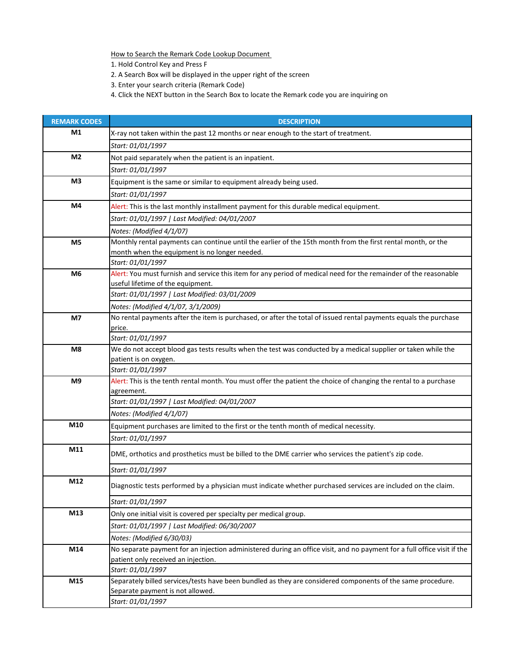How to Search the Remark Code Lookup Document

1. Hold Control Key and Press F

- 2. A Search Box will be displayed in the upper right of the screen
- 3. Enter your search criteria (Remark Code)
- 4. Click the NEXT button in the Search Box to locate the Remark code you are inquiring on

| <b>REMARK CODES</b> | <b>DESCRIPTION</b>                                                                                                         |
|---------------------|----------------------------------------------------------------------------------------------------------------------------|
| M1                  | X-ray not taken within the past 12 months or near enough to the start of treatment.                                        |
|                     | Start: 01/01/1997                                                                                                          |
| M <sub>2</sub>      | Not paid separately when the patient is an inpatient.                                                                      |
|                     | Start: 01/01/1997                                                                                                          |
| M <sub>3</sub>      | Equipment is the same or similar to equipment already being used.                                                          |
|                     | Start: 01/01/1997                                                                                                          |
| M4                  | Alert: This is the last monthly installment payment for this durable medical equipment.                                    |
|                     | Start: 01/01/1997   Last Modified: 04/01/2007                                                                              |
|                     | Notes: (Modified 4/1/07)                                                                                                   |
| M <sub>5</sub>      | Monthly rental payments can continue until the earlier of the 15th month from the first rental month, or the               |
|                     | month when the equipment is no longer needed.                                                                              |
|                     | Start: 01/01/1997                                                                                                          |
| M <sub>6</sub>      | Alert: You must furnish and service this item for any period of medical need for the remainder of the reasonable           |
|                     | useful lifetime of the equipment.                                                                                          |
|                     | Start: 01/01/1997   Last Modified: 03/01/2009                                                                              |
|                     | Notes: (Modified 4/1/07, 3/1/2009)                                                                                         |
| M7                  | No rental payments after the item is purchased, or after the total of issued rental payments equals the purchase<br>price. |
|                     | Start: 01/01/1997                                                                                                          |
| M8                  | We do not accept blood gas tests results when the test was conducted by a medical supplier or taken while the              |
|                     | patient is on oxygen.                                                                                                      |
|                     | Start: 01/01/1997                                                                                                          |
| M <sub>9</sub>      | Alert: This is the tenth rental month. You must offer the patient the choice of changing the rental to a purchase          |
|                     | agreement.                                                                                                                 |
|                     | Start: 01/01/1997   Last Modified: 04/01/2007                                                                              |
|                     | Notes: (Modified 4/1/07)                                                                                                   |
| M10                 | Equipment purchases are limited to the first or the tenth month of medical necessity.                                      |
|                     | Start: 01/01/1997                                                                                                          |
| M11                 | DME, orthotics and prosthetics must be billed to the DME carrier who services the patient's zip code.                      |
|                     | Start: 01/01/1997                                                                                                          |
| M12                 |                                                                                                                            |
|                     | Diagnostic tests performed by a physician must indicate whether purchased services are included on the claim.              |
|                     | Start: 01/01/1997                                                                                                          |
| M13                 | Only one initial visit is covered per specialty per medical group.                                                         |
|                     | Start: 01/01/1997   Last Modified: 06/30/2007                                                                              |
|                     | Notes: (Modified 6/30/03)                                                                                                  |
| M14                 | No separate payment for an injection administered during an office visit, and no payment for a full office visit if the    |
|                     | patient only received an injection.                                                                                        |
|                     | Start: 01/01/1997                                                                                                          |
| M15                 | Separately billed services/tests have been bundled as they are considered components of the same procedure.                |
|                     | Separate payment is not allowed.                                                                                           |
|                     | Start: 01/01/1997                                                                                                          |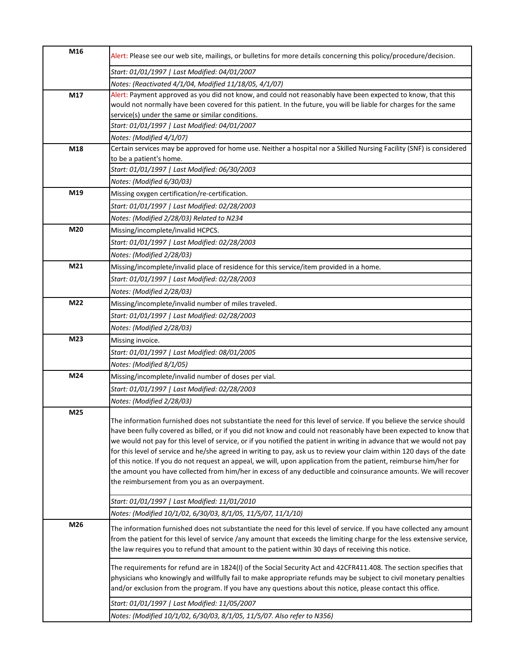| M16 | Alert: Please see our web site, mailings, or bulletins for more details concerning this policy/procedure/decision.                                                                                                                           |
|-----|----------------------------------------------------------------------------------------------------------------------------------------------------------------------------------------------------------------------------------------------|
|     | Start: 01/01/1997   Last Modified: 04/01/2007                                                                                                                                                                                                |
|     | Notes: (Reactivated 4/1/04, Modified 11/18/05, 4/1/07)                                                                                                                                                                                       |
| M17 | Alert: Payment approved as you did not know, and could not reasonably have been expected to know, that this                                                                                                                                  |
|     | would not normally have been covered for this patient. In the future, you will be liable for charges for the same                                                                                                                            |
|     | service(s) under the same or similar conditions.                                                                                                                                                                                             |
|     | Start: 01/01/1997   Last Modified: 04/01/2007                                                                                                                                                                                                |
|     | Notes: (Modified 4/1/07)                                                                                                                                                                                                                     |
| M18 | Certain services may be approved for home use. Neither a hospital nor a Skilled Nursing Facility (SNF) is considered                                                                                                                         |
|     | to be a patient's home.                                                                                                                                                                                                                      |
|     | Start: 01/01/1997   Last Modified: 06/30/2003                                                                                                                                                                                                |
|     | Notes: (Modified 6/30/03)                                                                                                                                                                                                                    |
| M19 | Missing oxygen certification/re-certification.                                                                                                                                                                                               |
|     | Start: 01/01/1997   Last Modified: 02/28/2003                                                                                                                                                                                                |
|     | Notes: (Modified 2/28/03) Related to N234                                                                                                                                                                                                    |
| M20 | Missing/incomplete/invalid HCPCS.                                                                                                                                                                                                            |
|     | Start: 01/01/1997   Last Modified: 02/28/2003                                                                                                                                                                                                |
|     | Notes: (Modified 2/28/03)                                                                                                                                                                                                                    |
| M21 | Missing/incomplete/invalid place of residence for this service/item provided in a home.                                                                                                                                                      |
|     | Start: 01/01/1997   Last Modified: 02/28/2003                                                                                                                                                                                                |
|     | Notes: (Modified 2/28/03)                                                                                                                                                                                                                    |
| M22 | Missing/incomplete/invalid number of miles traveled.                                                                                                                                                                                         |
|     | Start: 01/01/1997   Last Modified: 02/28/2003                                                                                                                                                                                                |
|     |                                                                                                                                                                                                                                              |
| M23 | Notes: (Modified 2/28/03)                                                                                                                                                                                                                    |
|     | Missing invoice.                                                                                                                                                                                                                             |
|     | Start: 01/01/1997   Last Modified: 08/01/2005                                                                                                                                                                                                |
|     | Notes: (Modified 8/1/05)                                                                                                                                                                                                                     |
| M24 | Missing/incomplete/invalid number of doses per vial.                                                                                                                                                                                         |
|     | Start: 01/01/1997   Last Modified: 02/28/2003                                                                                                                                                                                                |
|     | Notes: (Modified 2/28/03)                                                                                                                                                                                                                    |
| M25 |                                                                                                                                                                                                                                              |
|     | The information furnished does not substantiate the need for this level of service. If you believe the service should                                                                                                                        |
|     | have been fully covered as billed, or if you did not know and could not reasonably have been expected to know that<br>we would not pay for this level of service, or if you notified the patient in writing in advance that we would not pay |
|     | for this level of service and he/she agreed in writing to pay, ask us to review your claim within 120 days of the date                                                                                                                       |
|     | of this notice. If you do not request an appeal, we will, upon application from the patient, reimburse him/her for                                                                                                                           |
|     | the amount you have collected from him/her in excess of any deductible and coinsurance amounts. We will recover                                                                                                                              |
|     | the reimbursement from you as an overpayment.                                                                                                                                                                                                |
|     |                                                                                                                                                                                                                                              |
|     | Start: 01/01/1997   Last Modified: 11/01/2010                                                                                                                                                                                                |
|     | Notes: (Modified 10/1/02, 6/30/03, 8/1/05, 11/5/07, 11/1/10)                                                                                                                                                                                 |
| M26 | The information furnished does not substantiate the need for this level of service. If you have collected any amount                                                                                                                         |
|     | from the patient for this level of service /any amount that exceeds the limiting charge for the less extensive service,                                                                                                                      |
|     | the law requires you to refund that amount to the patient within 30 days of receiving this notice.                                                                                                                                           |
|     |                                                                                                                                                                                                                                              |
|     | The requirements for refund are in 1824(I) of the Social Security Act and 42CFR411.408. The section specifies that                                                                                                                           |
|     | physicians who knowingly and willfully fail to make appropriate refunds may be subject to civil monetary penalties<br>and/or exclusion from the program. If you have any questions about this notice, please contact this office.            |
|     |                                                                                                                                                                                                                                              |
|     | Start: 01/01/1997   Last Modified: 11/05/2007                                                                                                                                                                                                |
|     | Notes: (Modified 10/1/02, 6/30/03, 8/1/05, 11/5/07. Also refer to N356)                                                                                                                                                                      |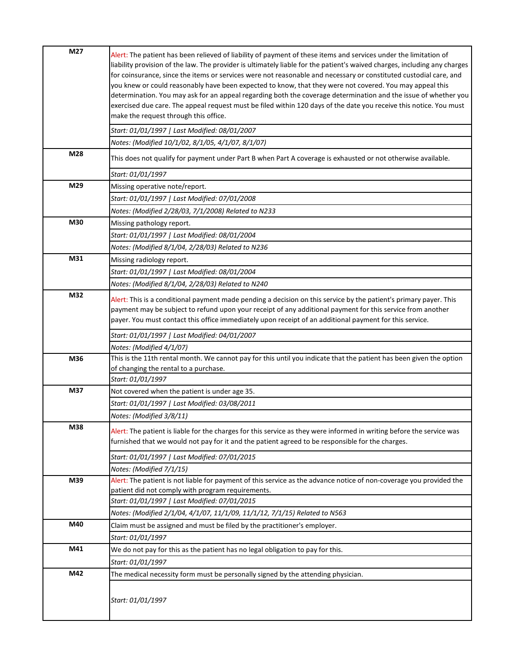| M27 | Alert: The patient has been relieved of liability of payment of these items and services under the limitation of<br>liability provision of the law. The provider is ultimately liable for the patient's waived charges, including any charges<br>for coinsurance, since the items or services were not reasonable and necessary or constituted custodial care, and<br>you knew or could reasonably have been expected to know, that they were not covered. You may appeal this<br>determination. You may ask for an appeal regarding both the coverage determination and the issue of whether you<br>exercised due care. The appeal request must be filed within 120 days of the date you receive this notice. You must<br>make the request through this office.<br>Start: 01/01/1997   Last Modified: 08/01/2007 |
|-----|-------------------------------------------------------------------------------------------------------------------------------------------------------------------------------------------------------------------------------------------------------------------------------------------------------------------------------------------------------------------------------------------------------------------------------------------------------------------------------------------------------------------------------------------------------------------------------------------------------------------------------------------------------------------------------------------------------------------------------------------------------------------------------------------------------------------|
|     | Notes: (Modified 10/1/02, 8/1/05, 4/1/07, 8/1/07)                                                                                                                                                                                                                                                                                                                                                                                                                                                                                                                                                                                                                                                                                                                                                                 |
| M28 | This does not qualify for payment under Part B when Part A coverage is exhausted or not otherwise available.                                                                                                                                                                                                                                                                                                                                                                                                                                                                                                                                                                                                                                                                                                      |
|     | Start: 01/01/1997                                                                                                                                                                                                                                                                                                                                                                                                                                                                                                                                                                                                                                                                                                                                                                                                 |
| M29 | Missing operative note/report.                                                                                                                                                                                                                                                                                                                                                                                                                                                                                                                                                                                                                                                                                                                                                                                    |
|     | Start: 01/01/1997   Last Modified: 07/01/2008                                                                                                                                                                                                                                                                                                                                                                                                                                                                                                                                                                                                                                                                                                                                                                     |
|     | Notes: (Modified 2/28/03, 7/1/2008) Related to N233                                                                                                                                                                                                                                                                                                                                                                                                                                                                                                                                                                                                                                                                                                                                                               |
| M30 | Missing pathology report.                                                                                                                                                                                                                                                                                                                                                                                                                                                                                                                                                                                                                                                                                                                                                                                         |
|     | Start: 01/01/1997   Last Modified: 08/01/2004                                                                                                                                                                                                                                                                                                                                                                                                                                                                                                                                                                                                                                                                                                                                                                     |
|     | Notes: (Modified 8/1/04, 2/28/03) Related to N236                                                                                                                                                                                                                                                                                                                                                                                                                                                                                                                                                                                                                                                                                                                                                                 |
| M31 | Missing radiology report.                                                                                                                                                                                                                                                                                                                                                                                                                                                                                                                                                                                                                                                                                                                                                                                         |
|     | Start: 01/01/1997   Last Modified: 08/01/2004                                                                                                                                                                                                                                                                                                                                                                                                                                                                                                                                                                                                                                                                                                                                                                     |
|     | Notes: (Modified 8/1/04, 2/28/03) Related to N240                                                                                                                                                                                                                                                                                                                                                                                                                                                                                                                                                                                                                                                                                                                                                                 |
| M32 | Alert: This is a conditional payment made pending a decision on this service by the patient's primary payer. This<br>payment may be subject to refund upon your receipt of any additional payment for this service from another<br>payer. You must contact this office immediately upon receipt of an additional payment for this service.                                                                                                                                                                                                                                                                                                                                                                                                                                                                        |
|     | Start: 01/01/1997   Last Modified: 04/01/2007                                                                                                                                                                                                                                                                                                                                                                                                                                                                                                                                                                                                                                                                                                                                                                     |
|     | Notes: (Modified 4/1/07)                                                                                                                                                                                                                                                                                                                                                                                                                                                                                                                                                                                                                                                                                                                                                                                          |
| M36 | This is the 11th rental month. We cannot pay for this until you indicate that the patient has been given the option                                                                                                                                                                                                                                                                                                                                                                                                                                                                                                                                                                                                                                                                                               |
|     | of changing the rental to a purchase.                                                                                                                                                                                                                                                                                                                                                                                                                                                                                                                                                                                                                                                                                                                                                                             |
|     | Start: 01/01/1997                                                                                                                                                                                                                                                                                                                                                                                                                                                                                                                                                                                                                                                                                                                                                                                                 |
| M37 | Not covered when the patient is under age 35.                                                                                                                                                                                                                                                                                                                                                                                                                                                                                                                                                                                                                                                                                                                                                                     |
|     | Start: 01/01/1997   Last Modified: 03/08/2011                                                                                                                                                                                                                                                                                                                                                                                                                                                                                                                                                                                                                                                                                                                                                                     |
|     | Notes: (Modified 3/8/11)                                                                                                                                                                                                                                                                                                                                                                                                                                                                                                                                                                                                                                                                                                                                                                                          |
| M38 | Alert: The patient is liable for the charges for this service as they were informed in writing before the service was<br>furnished that we would not pay for it and the patient agreed to be responsible for the charges.                                                                                                                                                                                                                                                                                                                                                                                                                                                                                                                                                                                         |
|     | Start: 01/01/1997   Last Modified: 07/01/2015                                                                                                                                                                                                                                                                                                                                                                                                                                                                                                                                                                                                                                                                                                                                                                     |
|     | Notes: (Modified 7/1/15)                                                                                                                                                                                                                                                                                                                                                                                                                                                                                                                                                                                                                                                                                                                                                                                          |
| M39 | Alert: The patient is not liable for payment of this service as the advance notice of non-coverage you provided the                                                                                                                                                                                                                                                                                                                                                                                                                                                                                                                                                                                                                                                                                               |
|     | patient did not comply with program requirements.                                                                                                                                                                                                                                                                                                                                                                                                                                                                                                                                                                                                                                                                                                                                                                 |
|     | Start: 01/01/1997   Last Modified: 07/01/2015                                                                                                                                                                                                                                                                                                                                                                                                                                                                                                                                                                                                                                                                                                                                                                     |
|     | Notes: (Modified 2/1/04, 4/1/07, 11/1/09, 11/1/12, 7/1/15) Related to N563                                                                                                                                                                                                                                                                                                                                                                                                                                                                                                                                                                                                                                                                                                                                        |
| M40 | Claim must be assigned and must be filed by the practitioner's employer.                                                                                                                                                                                                                                                                                                                                                                                                                                                                                                                                                                                                                                                                                                                                          |
|     | Start: 01/01/1997                                                                                                                                                                                                                                                                                                                                                                                                                                                                                                                                                                                                                                                                                                                                                                                                 |
| M41 | We do not pay for this as the patient has no legal obligation to pay for this.                                                                                                                                                                                                                                                                                                                                                                                                                                                                                                                                                                                                                                                                                                                                    |
|     | Start: 01/01/1997                                                                                                                                                                                                                                                                                                                                                                                                                                                                                                                                                                                                                                                                                                                                                                                                 |
| M42 | The medical necessity form must be personally signed by the attending physician.                                                                                                                                                                                                                                                                                                                                                                                                                                                                                                                                                                                                                                                                                                                                  |
|     | Start: 01/01/1997                                                                                                                                                                                                                                                                                                                                                                                                                                                                                                                                                                                                                                                                                                                                                                                                 |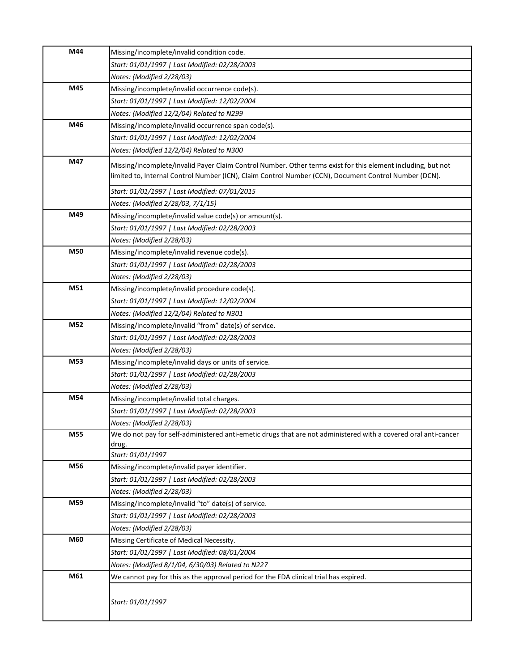| M44 | Missing/incomplete/invalid condition code.                                                                                                                                                                            |
|-----|-----------------------------------------------------------------------------------------------------------------------------------------------------------------------------------------------------------------------|
|     | Start: 01/01/1997   Last Modified: 02/28/2003                                                                                                                                                                         |
|     | Notes: (Modified 2/28/03)                                                                                                                                                                                             |
| M45 | Missing/incomplete/invalid occurrence code(s).                                                                                                                                                                        |
|     | Start: 01/01/1997   Last Modified: 12/02/2004                                                                                                                                                                         |
|     | Notes: (Modified 12/2/04) Related to N299                                                                                                                                                                             |
| M46 | Missing/incomplete/invalid occurrence span code(s).                                                                                                                                                                   |
|     | Start: 01/01/1997   Last Modified: 12/02/2004                                                                                                                                                                         |
|     | Notes: (Modified 12/2/04) Related to N300                                                                                                                                                                             |
| M47 | Missing/incomplete/invalid Payer Claim Control Number. Other terms exist for this element including, but not<br>limited to, Internal Control Number (ICN), Claim Control Number (CCN), Document Control Number (DCN). |
|     | Start: 01/01/1997   Last Modified: 07/01/2015                                                                                                                                                                         |
|     | Notes: (Modified 2/28/03, 7/1/15)                                                                                                                                                                                     |
| M49 | Missing/incomplete/invalid value code(s) or amount(s).                                                                                                                                                                |
|     | Start: 01/01/1997   Last Modified: 02/28/2003                                                                                                                                                                         |
|     | Notes: (Modified 2/28/03)                                                                                                                                                                                             |
| M50 | Missing/incomplete/invalid revenue code(s).                                                                                                                                                                           |
|     | Start: 01/01/1997   Last Modified: 02/28/2003                                                                                                                                                                         |
|     | Notes: (Modified 2/28/03)                                                                                                                                                                                             |
| M51 | Missing/incomplete/invalid procedure code(s).                                                                                                                                                                         |
|     | Start: 01/01/1997   Last Modified: 12/02/2004                                                                                                                                                                         |
|     | Notes: (Modified 12/2/04) Related to N301                                                                                                                                                                             |
| M52 | Missing/incomplete/invalid "from" date(s) of service.                                                                                                                                                                 |
|     | Start: 01/01/1997   Last Modified: 02/28/2003                                                                                                                                                                         |
|     | Notes: (Modified 2/28/03)                                                                                                                                                                                             |
| M53 | Missing/incomplete/invalid days or units of service.                                                                                                                                                                  |
|     | Start: 01/01/1997   Last Modified: 02/28/2003                                                                                                                                                                         |
|     | Notes: (Modified 2/28/03)                                                                                                                                                                                             |
| M54 | Missing/incomplete/invalid total charges.                                                                                                                                                                             |
|     | Start: 01/01/1997   Last Modified: 02/28/2003                                                                                                                                                                         |
|     | Notes: (Modified 2/28/03)                                                                                                                                                                                             |
| M55 | We do not pay for self-administered anti-emetic drugs that are not administered with a covered oral anti-cancer<br>drug.                                                                                              |
|     | Start: 01/01/1997                                                                                                                                                                                                     |
| M56 | Missing/incomplete/invalid payer identifier.                                                                                                                                                                          |
|     | Start: 01/01/1997   Last Modified: 02/28/2003                                                                                                                                                                         |
|     | Notes: (Modified 2/28/03)                                                                                                                                                                                             |
| M59 | Missing/incomplete/invalid "to" date(s) of service.                                                                                                                                                                   |
|     | Start: 01/01/1997   Last Modified: 02/28/2003                                                                                                                                                                         |
|     | Notes: (Modified 2/28/03)                                                                                                                                                                                             |
| M60 | Missing Certificate of Medical Necessity.                                                                                                                                                                             |
|     | Start: 01/01/1997   Last Modified: 08/01/2004                                                                                                                                                                         |
|     | Notes: (Modified 8/1/04, 6/30/03) Related to N227                                                                                                                                                                     |
| M61 | We cannot pay for this as the approval period for the FDA clinical trial has expired.                                                                                                                                 |
|     | Start: 01/01/1997                                                                                                                                                                                                     |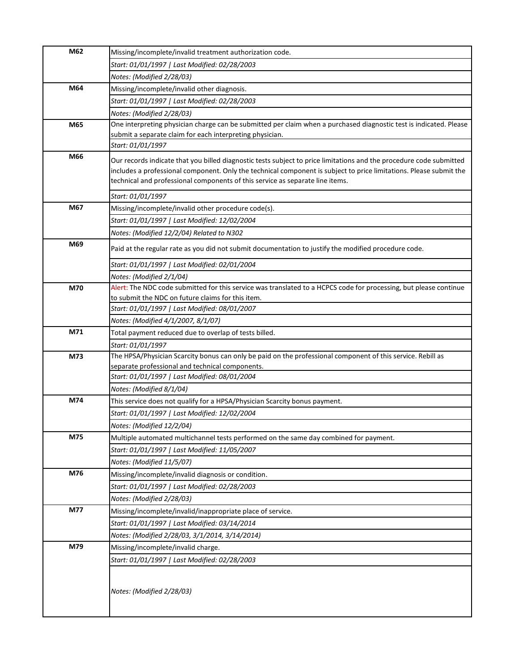| M62 | Missing/incomplete/invalid treatment authorization code.                                                            |
|-----|---------------------------------------------------------------------------------------------------------------------|
|     | Start: 01/01/1997   Last Modified: 02/28/2003                                                                       |
|     | Notes: (Modified 2/28/03)                                                                                           |
| M64 | Missing/incomplete/invalid other diagnosis.                                                                         |
|     | Start: 01/01/1997   Last Modified: 02/28/2003                                                                       |
|     | Notes: (Modified 2/28/03)                                                                                           |
| M65 | One interpreting physician charge can be submitted per claim when a purchased diagnostic test is indicated. Please  |
|     | submit a separate claim for each interpreting physician.                                                            |
|     | Start: 01/01/1997                                                                                                   |
| M66 | Our records indicate that you billed diagnostic tests subject to price limitations and the procedure code submitted |
|     | includes a professional component. Only the technical component is subject to price limitations. Please submit the  |
|     | technical and professional components of this service as separate line items.                                       |
|     | Start: 01/01/1997                                                                                                   |
| M67 | Missing/incomplete/invalid other procedure code(s).                                                                 |
|     | Start: 01/01/1997   Last Modified: 12/02/2004                                                                       |
|     | Notes: (Modified 12/2/04) Related to N302                                                                           |
| M69 | Paid at the regular rate as you did not submit documentation to justify the modified procedure code.                |
|     | Start: 01/01/1997   Last Modified: 02/01/2004                                                                       |
|     | Notes: (Modified 2/1/04)                                                                                            |
| M70 | Alert: The NDC code submitted for this service was translated to a HCPCS code for processing, but please continue   |
|     | to submit the NDC on future claims for this item.                                                                   |
|     | Start: 01/01/1997   Last Modified: 08/01/2007                                                                       |
|     | Notes: (Modified 4/1/2007, 8/1/07)                                                                                  |
| M71 | Total payment reduced due to overlap of tests billed.                                                               |
|     | Start: 01/01/1997                                                                                                   |
| M73 | The HPSA/Physician Scarcity bonus can only be paid on the professional component of this service. Rebill as         |
|     | separate professional and technical components.<br>Start: 01/01/1997   Last Modified: 08/01/2004                    |
|     | Notes: (Modified 8/1/04)                                                                                            |
| M74 | This service does not qualify for a HPSA/Physician Scarcity bonus payment.                                          |
|     | Start: 01/01/1997   Last Modified: 12/02/2004                                                                       |
|     | Notes: (Modified 12/2/04)                                                                                           |
| M75 | Multiple automated multichannel tests performed on the same day combined for payment.                               |
|     | Start: 01/01/1997   Last Modified: 11/05/2007                                                                       |
|     | Notes: (Modified 11/5/07)                                                                                           |
| M76 | Missing/incomplete/invalid diagnosis or condition.                                                                  |
|     | Start: 01/01/1997   Last Modified: 02/28/2003                                                                       |
|     | Notes: (Modified 2/28/03)                                                                                           |
| M77 | Missing/incomplete/invalid/inappropriate place of service.                                                          |
|     | Start: 01/01/1997   Last Modified: 03/14/2014                                                                       |
|     | Notes: (Modified 2/28/03, 3/1/2014, 3/14/2014)                                                                      |
| M79 | Missing/incomplete/invalid charge.                                                                                  |
|     | Start: 01/01/1997   Last Modified: 02/28/2003                                                                       |
|     |                                                                                                                     |
|     |                                                                                                                     |
|     | Notes: (Modified 2/28/03)                                                                                           |
|     |                                                                                                                     |
|     |                                                                                                                     |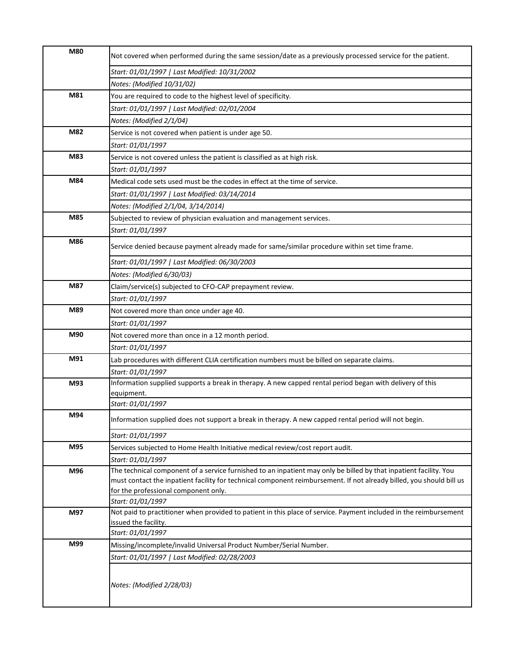| M80 | Not covered when performed during the same session/date as a previously processed service for the patient.                               |
|-----|------------------------------------------------------------------------------------------------------------------------------------------|
|     | Start: 01/01/1997   Last Modified: 10/31/2002                                                                                            |
|     | Notes: (Modified 10/31/02)                                                                                                               |
| M81 | You are required to code to the highest level of specificity.                                                                            |
|     | Start: 01/01/1997   Last Modified: 02/01/2004                                                                                            |
|     | Notes: (Modified 2/1/04)                                                                                                                 |
| M82 | Service is not covered when patient is under age 50.                                                                                     |
|     | Start: 01/01/1997                                                                                                                        |
| M83 | Service is not covered unless the patient is classified as at high risk.                                                                 |
|     | Start: 01/01/1997                                                                                                                        |
| M84 | Medical code sets used must be the codes in effect at the time of service.                                                               |
|     | Start: 01/01/1997   Last Modified: 03/14/2014                                                                                            |
|     | Notes: (Modified 2/1/04, 3/14/2014)                                                                                                      |
| M85 | Subjected to review of physician evaluation and management services.                                                                     |
|     | Start: 01/01/1997                                                                                                                        |
| M86 |                                                                                                                                          |
|     | Service denied because payment already made for same/similar procedure within set time frame.                                            |
|     | Start: 01/01/1997   Last Modified: 06/30/2003                                                                                            |
|     | Notes: (Modified 6/30/03)                                                                                                                |
| M87 | Claim/service(s) subjected to CFO-CAP prepayment review.                                                                                 |
|     | Start: 01/01/1997                                                                                                                        |
| M89 | Not covered more than once under age 40.                                                                                                 |
|     | Start: 01/01/1997                                                                                                                        |
| M90 | Not covered more than once in a 12 month period.                                                                                         |
|     | Start: 01/01/1997                                                                                                                        |
| M91 | Lab procedures with different CLIA certification numbers must be billed on separate claims.                                              |
|     | Start: 01/01/1997                                                                                                                        |
| M93 | Information supplied supports a break in therapy. A new capped rental period began with delivery of this                                 |
|     | equipment.                                                                                                                               |
|     | Start: 01/01/1997                                                                                                                        |
| M94 | Information supplied does not support a break in therapy. A new capped rental period will not begin.                                     |
|     | Start: 01/01/1997                                                                                                                        |
| M95 | Services subjected to Home Health Initiative medical review/cost report audit.                                                           |
|     | Start: 01/01/1997                                                                                                                        |
| M96 | The technical component of a service furnished to an inpatient may only be billed by that inpatient facility. You                        |
|     | must contact the inpatient facility for technical component reimbursement. If not already billed, you should bill us                     |
|     | for the professional component only.                                                                                                     |
|     | Start: 01/01/1997                                                                                                                        |
| M97 | Not paid to practitioner when provided to patient in this place of service. Payment included in the reimbursement                        |
|     | issued the facility.                                                                                                                     |
|     |                                                                                                                                          |
|     |                                                                                                                                          |
|     |                                                                                                                                          |
|     |                                                                                                                                          |
|     | Notes: (Modified 2/28/03)                                                                                                                |
|     |                                                                                                                                          |
| M99 | Start: 01/01/1997<br>Missing/incomplete/invalid Universal Product Number/Serial Number.<br>Start: 01/01/1997   Last Modified: 02/28/2003 |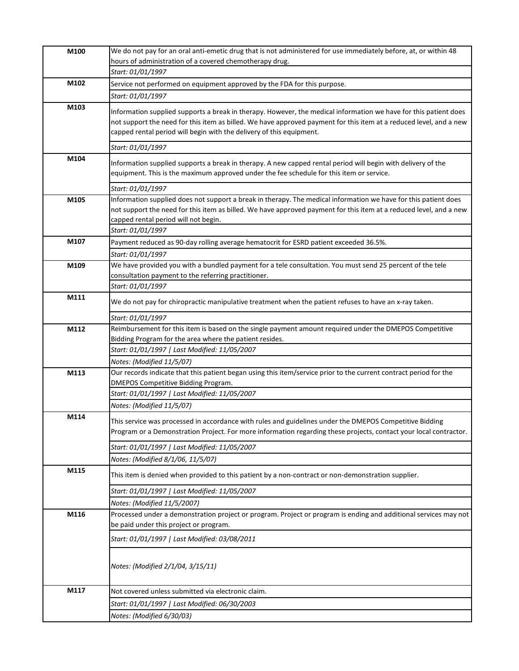| M100 | We do not pay for an oral anti-emetic drug that is not administered for use immediately before, at, or within 48                                                                                                                                                                                                                    |
|------|-------------------------------------------------------------------------------------------------------------------------------------------------------------------------------------------------------------------------------------------------------------------------------------------------------------------------------------|
|      | hours of administration of a covered chemotherapy drug.                                                                                                                                                                                                                                                                             |
|      | Start: 01/01/1997                                                                                                                                                                                                                                                                                                                   |
| M102 | Service not performed on equipment approved by the FDA for this purpose.                                                                                                                                                                                                                                                            |
|      | Start: 01/01/1997                                                                                                                                                                                                                                                                                                                   |
| M103 | Information supplied supports a break in therapy. However, the medical information we have for this patient does<br>not support the need for this item as billed. We have approved payment for this item at a reduced level, and a new<br>capped rental period will begin with the delivery of this equipment.<br>Start: 01/01/1997 |
| M104 |                                                                                                                                                                                                                                                                                                                                     |
|      | Information supplied supports a break in therapy. A new capped rental period will begin with delivery of the<br>equipment. This is the maximum approved under the fee schedule for this item or service.                                                                                                                            |
|      | Start: 01/01/1997                                                                                                                                                                                                                                                                                                                   |
| M105 | Information supplied does not support a break in therapy. The medical information we have for this patient does<br>not support the need for this item as billed. We have approved payment for this item at a reduced level, and a new<br>capped rental period will not begin.<br>Start: 01/01/1997                                  |
| M107 | Payment reduced as 90-day rolling average hematocrit for ESRD patient exceeded 36.5%.                                                                                                                                                                                                                                               |
|      | Start: 01/01/1997                                                                                                                                                                                                                                                                                                                   |
| M109 | We have provided you with a bundled payment for a tele consultation. You must send 25 percent of the tele                                                                                                                                                                                                                           |
|      | consultation payment to the referring practitioner.                                                                                                                                                                                                                                                                                 |
|      | Start: 01/01/1997                                                                                                                                                                                                                                                                                                                   |
| M111 | We do not pay for chiropractic manipulative treatment when the patient refuses to have an x-ray taken.                                                                                                                                                                                                                              |
|      | Start: 01/01/1997                                                                                                                                                                                                                                                                                                                   |
| M112 | Reimbursement for this item is based on the single payment amount required under the DMEPOS Competitive                                                                                                                                                                                                                             |
|      | Bidding Program for the area where the patient resides.                                                                                                                                                                                                                                                                             |
|      | Start: 01/01/1997   Last Modified: 11/05/2007                                                                                                                                                                                                                                                                                       |
|      | Notes: (Modified 11/5/07)                                                                                                                                                                                                                                                                                                           |
| M113 | Our records indicate that this patient began using this item/service prior to the current contract period for the<br><b>DMEPOS Competitive Bidding Program.</b>                                                                                                                                                                     |
|      | Start: 01/01/1997   Last Modified: 11/05/2007                                                                                                                                                                                                                                                                                       |
|      | Notes: (Modified 11/5/07)                                                                                                                                                                                                                                                                                                           |
| M114 | This service was processed in accordance with rules and guidelines under the DMEPOS Competitive Bidding<br>Program or a Demonstration Project. For more information regarding these projects, contact your local contractor.<br>Start: 01/01/1997   Last Modified: 11/05/2007                                                       |
|      | Notes: (Modified 8/1/06, 11/5/07)                                                                                                                                                                                                                                                                                                   |
| M115 | This item is denied when provided to this patient by a non-contract or non-demonstration supplier.                                                                                                                                                                                                                                  |
|      | Start: 01/01/1997   Last Modified: 11/05/2007                                                                                                                                                                                                                                                                                       |
|      | Notes: (Modified 11/5/2007)                                                                                                                                                                                                                                                                                                         |
| M116 | Processed under a demonstration project or program. Project or program is ending and additional services may not<br>be paid under this project or program.                                                                                                                                                                          |
|      | Start: 01/01/1997   Last Modified: 03/08/2011                                                                                                                                                                                                                                                                                       |
|      | Notes: (Modified 2/1/04, 3/15/11)                                                                                                                                                                                                                                                                                                   |
| M117 | Not covered unless submitted via electronic claim.                                                                                                                                                                                                                                                                                  |
|      | Start: 01/01/1997   Last Modified: 06/30/2003                                                                                                                                                                                                                                                                                       |
|      | Notes: (Modified 6/30/03)                                                                                                                                                                                                                                                                                                           |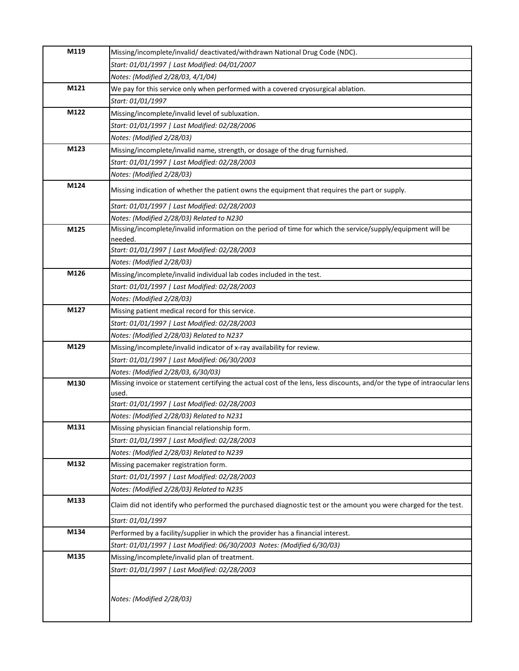| M119 | Missing/incomplete/invalid/ deactivated/withdrawn National Drug Code (NDC).                                                                                    |
|------|----------------------------------------------------------------------------------------------------------------------------------------------------------------|
|      | Start: 01/01/1997   Last Modified: 04/01/2007                                                                                                                  |
|      | Notes: (Modified 2/28/03, 4/1/04)                                                                                                                              |
| M121 | We pay for this service only when performed with a covered cryosurgical ablation.                                                                              |
|      | Start: 01/01/1997                                                                                                                                              |
| M122 | Missing/incomplete/invalid level of subluxation.                                                                                                               |
|      | Start: 01/01/1997   Last Modified: 02/28/2006                                                                                                                  |
|      | Notes: (Modified 2/28/03)                                                                                                                                      |
| M123 | Missing/incomplete/invalid name, strength, or dosage of the drug furnished.                                                                                    |
|      | Start: 01/01/1997   Last Modified: 02/28/2003                                                                                                                  |
|      | Notes: (Modified 2/28/03)                                                                                                                                      |
| M124 | Missing indication of whether the patient owns the equipment that requires the part or supply.                                                                 |
|      | Start: 01/01/1997   Last Modified: 02/28/2003                                                                                                                  |
|      | Notes: (Modified 2/28/03) Related to N230                                                                                                                      |
| M125 | Missing/incomplete/invalid information on the period of time for which the service/supply/equipment will be                                                    |
|      | needed.                                                                                                                                                        |
|      | Start: 01/01/1997   Last Modified: 02/28/2003                                                                                                                  |
| M126 | Notes: (Modified 2/28/03)                                                                                                                                      |
|      | Missing/incomplete/invalid individual lab codes included in the test.                                                                                          |
|      | Start: 01/01/1997   Last Modified: 02/28/2003                                                                                                                  |
| M127 | Notes: (Modified 2/28/03)                                                                                                                                      |
|      | Missing patient medical record for this service.                                                                                                               |
|      | Start: 01/01/1997   Last Modified: 02/28/2003                                                                                                                  |
| M129 | Notes: (Modified 2/28/03) Related to N237                                                                                                                      |
|      | Missing/incomplete/invalid indicator of x-ray availability for review.                                                                                         |
|      | Start: 01/01/1997   Last Modified: 06/30/2003                                                                                                                  |
| M130 | Notes: (Modified 2/28/03, 6/30/03)<br>Missing invoice or statement certifying the actual cost of the lens, less discounts, and/or the type of intraocular lens |
|      | used.                                                                                                                                                          |
|      | Start: 01/01/1997   Last Modified: 02/28/2003                                                                                                                  |
|      | Notes: (Modified 2/28/03) Related to N231                                                                                                                      |
| M131 | Missing physician financial relationship form.                                                                                                                 |
|      | Start: 01/01/1997   Last Modified: 02/28/2003                                                                                                                  |
|      | Notes: (Modified 2/28/03) Related to N239                                                                                                                      |
| M132 | Missing pacemaker registration form.                                                                                                                           |
|      | Start: 01/01/1997   Last Modified: 02/28/2003                                                                                                                  |
|      | Notes: (Modified 2/28/03) Related to N235                                                                                                                      |
| M133 | Claim did not identify who performed the purchased diagnostic test or the amount you were charged for the test.                                                |
|      | Start: 01/01/1997                                                                                                                                              |
| M134 | Performed by a facility/supplier in which the provider has a financial interest.                                                                               |
|      | Start: 01/01/1997   Last Modified: 06/30/2003 Notes: (Modified 6/30/03)                                                                                        |
| M135 | Missing/incomplete/invalid plan of treatment.                                                                                                                  |
|      | Start: 01/01/1997   Last Modified: 02/28/2003                                                                                                                  |
|      | Notes: (Modified 2/28/03)                                                                                                                                      |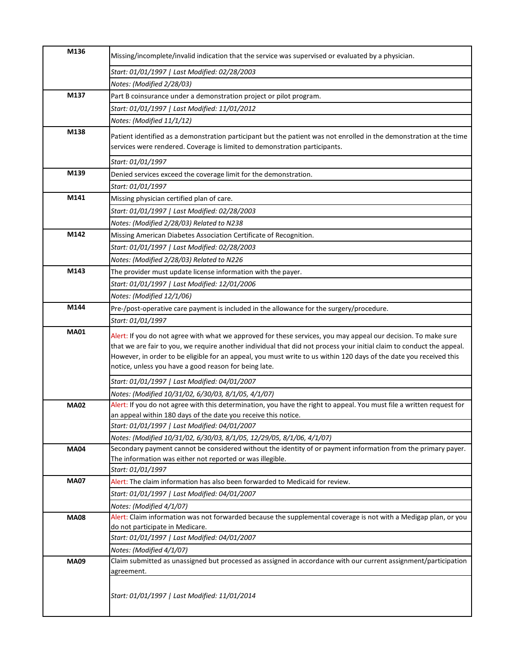| M136        | Missing/incomplete/invalid indication that the service was supervised or evaluated by a physician.                                                                                                                                                                                                                                                                                                                     |
|-------------|------------------------------------------------------------------------------------------------------------------------------------------------------------------------------------------------------------------------------------------------------------------------------------------------------------------------------------------------------------------------------------------------------------------------|
|             | Start: 01/01/1997   Last Modified: 02/28/2003                                                                                                                                                                                                                                                                                                                                                                          |
|             | Notes: (Modified 2/28/03)                                                                                                                                                                                                                                                                                                                                                                                              |
| M137        | Part B coinsurance under a demonstration project or pilot program.                                                                                                                                                                                                                                                                                                                                                     |
|             | Start: 01/01/1997   Last Modified: 11/01/2012                                                                                                                                                                                                                                                                                                                                                                          |
|             | Notes: (Modified 11/1/12)                                                                                                                                                                                                                                                                                                                                                                                              |
| M138        |                                                                                                                                                                                                                                                                                                                                                                                                                        |
|             | Patient identified as a demonstration participant but the patient was not enrolled in the demonstration at the time<br>services were rendered. Coverage is limited to demonstration participants.                                                                                                                                                                                                                      |
|             | Start: 01/01/1997                                                                                                                                                                                                                                                                                                                                                                                                      |
| M139        | Denied services exceed the coverage limit for the demonstration.                                                                                                                                                                                                                                                                                                                                                       |
|             | Start: 01/01/1997                                                                                                                                                                                                                                                                                                                                                                                                      |
| M141        | Missing physician certified plan of care.                                                                                                                                                                                                                                                                                                                                                                              |
|             | Start: 01/01/1997   Last Modified: 02/28/2003                                                                                                                                                                                                                                                                                                                                                                          |
|             | Notes: (Modified 2/28/03) Related to N238                                                                                                                                                                                                                                                                                                                                                                              |
| M142        | Missing American Diabetes Association Certificate of Recognition.                                                                                                                                                                                                                                                                                                                                                      |
|             | Start: 01/01/1997   Last Modified: 02/28/2003                                                                                                                                                                                                                                                                                                                                                                          |
|             | Notes: (Modified 2/28/03) Related to N226                                                                                                                                                                                                                                                                                                                                                                              |
| M143        | The provider must update license information with the payer.                                                                                                                                                                                                                                                                                                                                                           |
|             |                                                                                                                                                                                                                                                                                                                                                                                                                        |
|             | Start: 01/01/1997   Last Modified: 12/01/2006                                                                                                                                                                                                                                                                                                                                                                          |
| M144        | Notes: (Modified 12/1/06)                                                                                                                                                                                                                                                                                                                                                                                              |
|             | Pre-/post-operative care payment is included in the allowance for the surgery/procedure.                                                                                                                                                                                                                                                                                                                               |
|             | Start: 01/01/1997                                                                                                                                                                                                                                                                                                                                                                                                      |
| <b>MA01</b> | Alert: If you do not agree with what we approved for these services, you may appeal our decision. To make sure<br>that we are fair to you, we require another individual that did not process your initial claim to conduct the appeal.<br>However, in order to be eligible for an appeal, you must write to us within 120 days of the date you received this<br>notice, unless you have a good reason for being late. |
|             | Start: 01/01/1997   Last Modified: 04/01/2007                                                                                                                                                                                                                                                                                                                                                                          |
|             | Notes: (Modified 10/31/02, 6/30/03, 8/1/05, 4/1/07)                                                                                                                                                                                                                                                                                                                                                                    |
| <b>MA02</b> | Alert: If you do not agree with this determination, you have the right to appeal. You must file a written request for                                                                                                                                                                                                                                                                                                  |
|             | an appeal within 180 days of the date you receive this notice.                                                                                                                                                                                                                                                                                                                                                         |
|             | Start: 01/01/1997   Last Modified: 04/01/2007                                                                                                                                                                                                                                                                                                                                                                          |
|             | Notes: (Modified 10/31/02, 6/30/03, 8/1/05, 12/29/05, 8/1/06, 4/1/07)                                                                                                                                                                                                                                                                                                                                                  |
| <b>MA04</b> | Secondary payment cannot be considered without the identity of or payment information from the primary payer.                                                                                                                                                                                                                                                                                                          |
|             | The information was either not reported or was illegible.                                                                                                                                                                                                                                                                                                                                                              |
|             | Start: 01/01/1997                                                                                                                                                                                                                                                                                                                                                                                                      |
| <b>MA07</b> | Alert: The claim information has also been forwarded to Medicaid for review.                                                                                                                                                                                                                                                                                                                                           |
|             | Start: 01/01/1997   Last Modified: 04/01/2007                                                                                                                                                                                                                                                                                                                                                                          |
|             | Notes: (Modified 4/1/07)                                                                                                                                                                                                                                                                                                                                                                                               |
| <b>MA08</b> | Alert: Claim information was not forwarded because the supplemental coverage is not with a Medigap plan, or you                                                                                                                                                                                                                                                                                                        |
|             | do not participate in Medicare.                                                                                                                                                                                                                                                                                                                                                                                        |
|             | Start: 01/01/1997   Last Modified: 04/01/2007                                                                                                                                                                                                                                                                                                                                                                          |
|             | Notes: (Modified 4/1/07)<br>Claim submitted as unassigned but processed as assigned in accordance with our current assignment/participation                                                                                                                                                                                                                                                                            |
| <b>MA09</b> | agreement.                                                                                                                                                                                                                                                                                                                                                                                                             |
|             | Start: 01/01/1997   Last Modified: 11/01/2014                                                                                                                                                                                                                                                                                                                                                                          |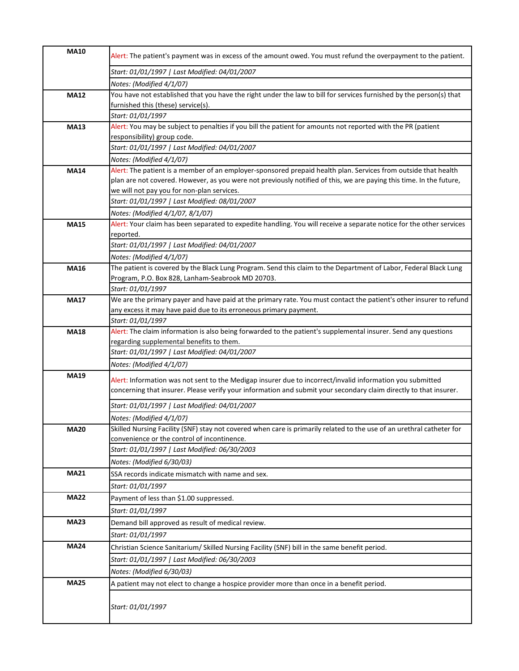| <b>MA10</b> | Alert: The patient's payment was in excess of the amount owed. You must refund the overpayment to the patient.                      |
|-------------|-------------------------------------------------------------------------------------------------------------------------------------|
|             | Start: 01/01/1997   Last Modified: 04/01/2007                                                                                       |
|             | Notes: (Modified 4/1/07)                                                                                                            |
| <b>MA12</b> | You have not established that you have the right under the law to bill for services furnished by the person(s) that                 |
|             | furnished this (these) service(s).                                                                                                  |
|             | Start: 01/01/1997                                                                                                                   |
| <b>MA13</b> | Alert: You may be subject to penalties if you bill the patient for amounts not reported with the PR (patient                        |
|             | responsibility) group code.                                                                                                         |
|             | Start: 01/01/1997   Last Modified: 04/01/2007                                                                                       |
|             | Notes: (Modified 4/1/07)                                                                                                            |
| <b>MA14</b> | Alert: The patient is a member of an employer-sponsored prepaid health plan. Services from outside that health                      |
|             | plan are not covered. However, as you were not previously notified of this, we are paying this time. In the future,                 |
|             | we will not pay you for non-plan services.                                                                                          |
|             | Start: 01/01/1997   Last Modified: 08/01/2007                                                                                       |
|             | Notes: (Modified 4/1/07, 8/1/07)                                                                                                    |
| <b>MA15</b> | Alert: Your claim has been separated to expedite handling. You will receive a separate notice for the other services                |
|             | reported.                                                                                                                           |
|             | Start: 01/01/1997   Last Modified: 04/01/2007                                                                                       |
|             | Notes: (Modified 4/1/07)                                                                                                            |
| <b>MA16</b> | The patient is covered by the Black Lung Program. Send this claim to the Department of Labor, Federal Black Lung                    |
|             | Program, P.O. Box 828, Lanham-Seabrook MD 20703.                                                                                    |
|             | Start: 01/01/1997                                                                                                                   |
| <b>MA17</b> | We are the primary payer and have paid at the primary rate. You must contact the patient's other insurer to refund                  |
|             | any excess it may have paid due to its erroneous primary payment.                                                                   |
| <b>MA18</b> | Start: 01/01/1997<br>Alert: The claim information is also being forwarded to the patient's supplemental insurer. Send any questions |
|             | regarding supplemental benefits to them.                                                                                            |
|             | Start: 01/01/1997   Last Modified: 04/01/2007                                                                                       |
|             | Notes: (Modified 4/1/07)                                                                                                            |
| <b>MA19</b> |                                                                                                                                     |
|             | Alert: Information was not sent to the Medigap insurer due to incorrect/invalid information you submitted                           |
|             | concerning that insurer. Please verify your information and submit your secondary claim directly to that insurer.                   |
|             | Start: 01/01/1997   Last Modified: 04/01/2007                                                                                       |
|             | Notes: (Modified 4/1/07)                                                                                                            |
| <b>MA20</b> | Skilled Nursing Facility (SNF) stay not covered when care is primarily related to the use of an urethral catheter for               |
|             | convenience or the control of incontinence.                                                                                         |
|             | Start: 01/01/1997   Last Modified: 06/30/2003                                                                                       |
|             | Notes: (Modified 6/30/03)                                                                                                           |
| <b>MA21</b> | SSA records indicate mismatch with name and sex.                                                                                    |
|             | Start: 01/01/1997                                                                                                                   |
| <b>MA22</b> | Payment of less than \$1.00 suppressed.                                                                                             |
|             | Start: 01/01/1997                                                                                                                   |
| <b>MA23</b> | Demand bill approved as result of medical review.                                                                                   |
|             | Start: 01/01/1997                                                                                                                   |
| <b>MA24</b> | Christian Science Sanitarium/ Skilled Nursing Facility (SNF) bill in the same benefit period.                                       |
|             | Start: 01/01/1997   Last Modified: 06/30/2003                                                                                       |
|             | Notes: (Modified 6/30/03)                                                                                                           |
|             |                                                                                                                                     |
| <b>MA25</b> | A patient may not elect to change a hospice provider more than once in a benefit period.                                            |
|             | Start: 01/01/1997                                                                                                                   |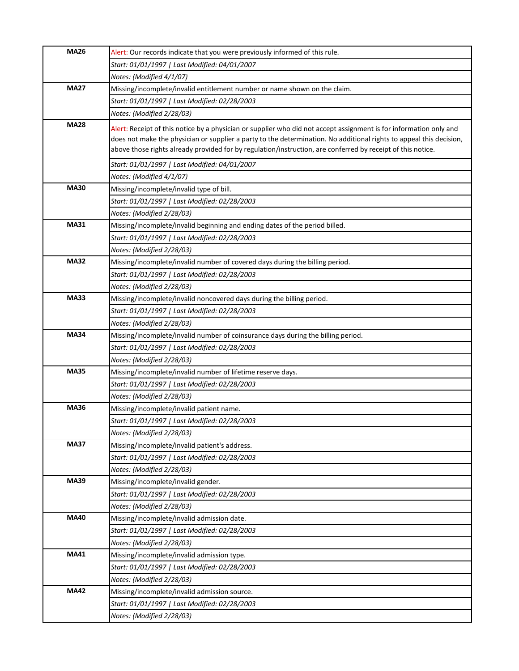| <b>MA26</b> | Alert: Our records indicate that you were previously informed of this rule.                                                                                                                                                                                                                                                                              |
|-------------|----------------------------------------------------------------------------------------------------------------------------------------------------------------------------------------------------------------------------------------------------------------------------------------------------------------------------------------------------------|
|             | Start: 01/01/1997   Last Modified: 04/01/2007                                                                                                                                                                                                                                                                                                            |
|             | Notes: (Modified 4/1/07)                                                                                                                                                                                                                                                                                                                                 |
| <b>MA27</b> | Missing/incomplete/invalid entitlement number or name shown on the claim.                                                                                                                                                                                                                                                                                |
|             | Start: 01/01/1997   Last Modified: 02/28/2003                                                                                                                                                                                                                                                                                                            |
|             | Notes: (Modified 2/28/03)                                                                                                                                                                                                                                                                                                                                |
| <b>MA28</b> | Alert: Receipt of this notice by a physician or supplier who did not accept assignment is for information only and<br>does not make the physician or supplier a party to the determination. No additional rights to appeal this decision,<br>above those rights already provided for by regulation/instruction, are conferred by receipt of this notice. |
|             | Start: 01/01/1997   Last Modified: 04/01/2007                                                                                                                                                                                                                                                                                                            |
|             | Notes: (Modified 4/1/07)                                                                                                                                                                                                                                                                                                                                 |
| <b>MA30</b> | Missing/incomplete/invalid type of bill.                                                                                                                                                                                                                                                                                                                 |
|             | Start: 01/01/1997   Last Modified: 02/28/2003                                                                                                                                                                                                                                                                                                            |
|             | Notes: (Modified 2/28/03)                                                                                                                                                                                                                                                                                                                                |
| <b>MA31</b> | Missing/incomplete/invalid beginning and ending dates of the period billed.                                                                                                                                                                                                                                                                              |
|             | Start: 01/01/1997   Last Modified: 02/28/2003                                                                                                                                                                                                                                                                                                            |
|             | Notes: (Modified 2/28/03)                                                                                                                                                                                                                                                                                                                                |
| <b>MA32</b> | Missing/incomplete/invalid number of covered days during the billing period.                                                                                                                                                                                                                                                                             |
|             | Start: 01/01/1997   Last Modified: 02/28/2003                                                                                                                                                                                                                                                                                                            |
|             | Notes: (Modified 2/28/03)                                                                                                                                                                                                                                                                                                                                |
| <b>MA33</b> | Missing/incomplete/invalid noncovered days during the billing period.                                                                                                                                                                                                                                                                                    |
|             | Start: 01/01/1997   Last Modified: 02/28/2003                                                                                                                                                                                                                                                                                                            |
|             | Notes: (Modified 2/28/03)                                                                                                                                                                                                                                                                                                                                |
| <b>MA34</b> | Missing/incomplete/invalid number of coinsurance days during the billing period.                                                                                                                                                                                                                                                                         |
|             | Start: 01/01/1997   Last Modified: 02/28/2003                                                                                                                                                                                                                                                                                                            |
|             | Notes: (Modified 2/28/03)                                                                                                                                                                                                                                                                                                                                |
| <b>MA35</b> | Missing/incomplete/invalid number of lifetime reserve days.                                                                                                                                                                                                                                                                                              |
|             | Start: 01/01/1997   Last Modified: 02/28/2003                                                                                                                                                                                                                                                                                                            |
|             | Notes: (Modified 2/28/03)                                                                                                                                                                                                                                                                                                                                |
| <b>MA36</b> | Missing/incomplete/invalid patient name.                                                                                                                                                                                                                                                                                                                 |
|             | Start: 01/01/1997   Last Modified: 02/28/2003                                                                                                                                                                                                                                                                                                            |
|             | Notes: (Modified 2/28/03)                                                                                                                                                                                                                                                                                                                                |
| <b>MA37</b> | Missing/incomplete/invalid patient's address.                                                                                                                                                                                                                                                                                                            |
|             | Start: 01/01/1997   Last Modified: 02/28/2003                                                                                                                                                                                                                                                                                                            |
|             | Notes: (Modified 2/28/03)                                                                                                                                                                                                                                                                                                                                |
| <b>MA39</b> | Missing/incomplete/invalid gender.                                                                                                                                                                                                                                                                                                                       |
|             | Start: 01/01/1997   Last Modified: 02/28/2003                                                                                                                                                                                                                                                                                                            |
|             | Notes: (Modified 2/28/03)                                                                                                                                                                                                                                                                                                                                |
| <b>MA40</b> | Missing/incomplete/invalid admission date.                                                                                                                                                                                                                                                                                                               |
|             | Start: 01/01/1997   Last Modified: 02/28/2003                                                                                                                                                                                                                                                                                                            |
|             | Notes: (Modified 2/28/03)                                                                                                                                                                                                                                                                                                                                |
| <b>MA41</b> | Missing/incomplete/invalid admission type.                                                                                                                                                                                                                                                                                                               |
|             | Start: 01/01/1997   Last Modified: 02/28/2003                                                                                                                                                                                                                                                                                                            |
|             | Notes: (Modified 2/28/03)                                                                                                                                                                                                                                                                                                                                |
| <b>MA42</b> | Missing/incomplete/invalid admission source.                                                                                                                                                                                                                                                                                                             |
|             | Start: 01/01/1997   Last Modified: 02/28/2003                                                                                                                                                                                                                                                                                                            |
|             | Notes: (Modified 2/28/03)                                                                                                                                                                                                                                                                                                                                |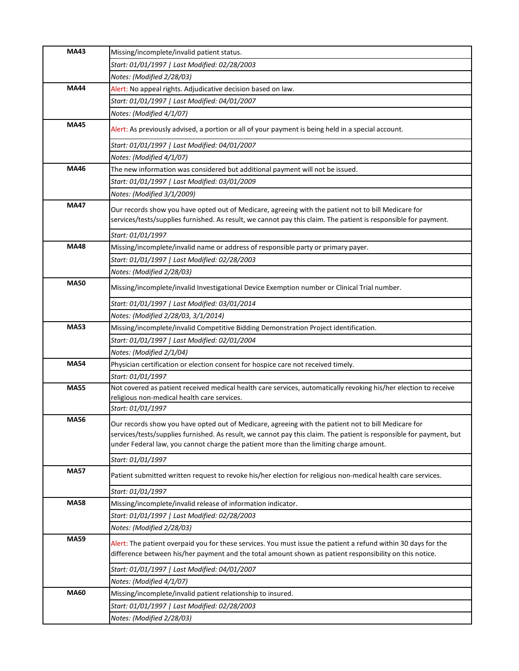| <b>MA43</b> | Missing/incomplete/invalid patient status.                                                                                                                                                                                                                                                                           |
|-------------|----------------------------------------------------------------------------------------------------------------------------------------------------------------------------------------------------------------------------------------------------------------------------------------------------------------------|
|             | Start: 01/01/1997   Last Modified: 02/28/2003                                                                                                                                                                                                                                                                        |
|             | Notes: (Modified 2/28/03)                                                                                                                                                                                                                                                                                            |
| <b>MA44</b> | Alert: No appeal rights. Adjudicative decision based on law.                                                                                                                                                                                                                                                         |
|             | Start: 01/01/1997   Last Modified: 04/01/2007                                                                                                                                                                                                                                                                        |
|             | Notes: (Modified 4/1/07)                                                                                                                                                                                                                                                                                             |
| <b>MA45</b> | Alert: As previously advised, a portion or all of your payment is being held in a special account.                                                                                                                                                                                                                   |
|             | Start: 01/01/1997   Last Modified: 04/01/2007                                                                                                                                                                                                                                                                        |
|             | Notes: (Modified 4/1/07)                                                                                                                                                                                                                                                                                             |
| <b>MA46</b> | The new information was considered but additional payment will not be issued.                                                                                                                                                                                                                                        |
|             | Start: 01/01/1997   Last Modified: 03/01/2009                                                                                                                                                                                                                                                                        |
|             | Notes: (Modified 3/1/2009)                                                                                                                                                                                                                                                                                           |
| <b>MA47</b> | Our records show you have opted out of Medicare, agreeing with the patient not to bill Medicare for<br>services/tests/supplies furnished. As result, we cannot pay this claim. The patient is responsible for payment.                                                                                               |
|             | Start: 01/01/1997                                                                                                                                                                                                                                                                                                    |
| <b>MA48</b> | Missing/incomplete/invalid name or address of responsible party or primary payer.                                                                                                                                                                                                                                    |
|             | Start: 01/01/1997   Last Modified: 02/28/2003                                                                                                                                                                                                                                                                        |
|             | Notes: (Modified 2/28/03)                                                                                                                                                                                                                                                                                            |
| <b>MA50</b> | Missing/incomplete/invalid Investigational Device Exemption number or Clinical Trial number.                                                                                                                                                                                                                         |
|             | Start: 01/01/1997   Last Modified: 03/01/2014                                                                                                                                                                                                                                                                        |
|             | Notes: (Modified 2/28/03, 3/1/2014)                                                                                                                                                                                                                                                                                  |
| <b>MA53</b> | Missing/incomplete/invalid Competitive Bidding Demonstration Project identification.                                                                                                                                                                                                                                 |
|             | Start: 01/01/1997   Last Modified: 02/01/2004                                                                                                                                                                                                                                                                        |
|             | Notes: (Modified 2/1/04)                                                                                                                                                                                                                                                                                             |
| <b>MA54</b> | Physician certification or election consent for hospice care not received timely.                                                                                                                                                                                                                                    |
|             | Start: 01/01/1997                                                                                                                                                                                                                                                                                                    |
| <b>MA55</b> | Not covered as patient received medical health care services, automatically revoking his/her election to receive<br>religious non-medical health care services.                                                                                                                                                      |
|             | Start: 01/01/1997                                                                                                                                                                                                                                                                                                    |
| <b>MA56</b> | Our records show you have opted out of Medicare, agreeing with the patient not to bill Medicare for<br>services/tests/supplies furnished. As result, we cannot pay this claim. The patient is responsible for payment, but<br>under Federal law, you cannot charge the patient more than the limiting charge amount. |
|             | Start: 01/01/1997                                                                                                                                                                                                                                                                                                    |
| <b>MA57</b> | Patient submitted written request to revoke his/her election for religious non-medical health care services.                                                                                                                                                                                                         |
|             | Start: 01/01/1997                                                                                                                                                                                                                                                                                                    |
| <b>MA58</b> | Missing/incomplete/invalid release of information indicator.                                                                                                                                                                                                                                                         |
|             | Start: 01/01/1997   Last Modified: 02/28/2003                                                                                                                                                                                                                                                                        |
|             | Notes: (Modified 2/28/03)                                                                                                                                                                                                                                                                                            |
| <b>MA59</b> | Alert: The patient overpaid you for these services. You must issue the patient a refund within 30 days for the<br>difference between his/her payment and the total amount shown as patient responsibility on this notice.                                                                                            |
|             | Start: 01/01/1997   Last Modified: 04/01/2007                                                                                                                                                                                                                                                                        |
|             | Notes: (Modified 4/1/07)                                                                                                                                                                                                                                                                                             |
| <b>MA60</b> | Missing/incomplete/invalid patient relationship to insured.                                                                                                                                                                                                                                                          |
|             | Start: 01/01/1997   Last Modified: 02/28/2003                                                                                                                                                                                                                                                                        |
|             | Notes: (Modified 2/28/03)                                                                                                                                                                                                                                                                                            |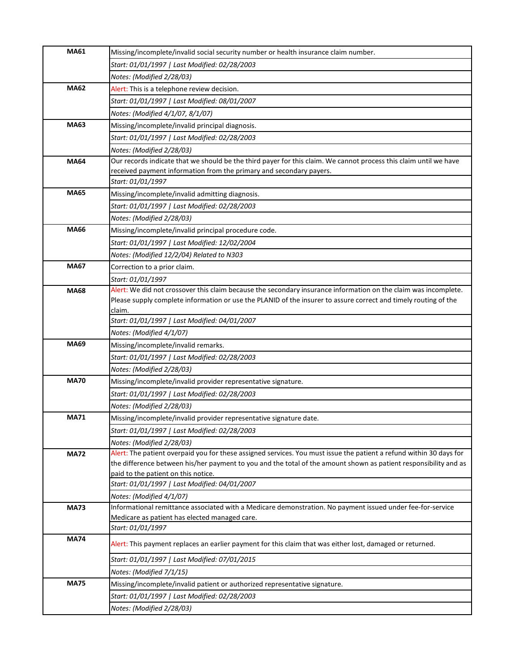| <b>MA61</b> | Missing/incomplete/invalid social security number or health insurance claim number.                                 |
|-------------|---------------------------------------------------------------------------------------------------------------------|
|             | Start: 01/01/1997   Last Modified: 02/28/2003                                                                       |
|             | Notes: (Modified 2/28/03)                                                                                           |
| <b>MA62</b> | Alert: This is a telephone review decision.                                                                         |
|             | Start: 01/01/1997   Last Modified: 08/01/2007                                                                       |
|             | Notes: (Modified 4/1/07, 8/1/07)                                                                                    |
| <b>MA63</b> | Missing/incomplete/invalid principal diagnosis.                                                                     |
|             | Start: 01/01/1997   Last Modified: 02/28/2003                                                                       |
|             | Notes: (Modified 2/28/03)                                                                                           |
| <b>MA64</b> | Our records indicate that we should be the third payer for this claim. We cannot process this claim until we have   |
|             | received payment information from the primary and secondary payers.                                                 |
|             | Start: 01/01/1997                                                                                                   |
| <b>MA65</b> | Missing/incomplete/invalid admitting diagnosis.                                                                     |
|             | Start: 01/01/1997   Last Modified: 02/28/2003                                                                       |
|             | Notes: (Modified 2/28/03)                                                                                           |
| <b>MA66</b> | Missing/incomplete/invalid principal procedure code.                                                                |
|             | Start: 01/01/1997   Last Modified: 12/02/2004                                                                       |
|             | Notes: (Modified 12/2/04) Related to N303                                                                           |
| <b>MA67</b> | Correction to a prior claim.                                                                                        |
|             | Start: 01/01/1997                                                                                                   |
| <b>MA68</b> | Alert: We did not crossover this claim because the secondary insurance information on the claim was incomplete.     |
|             | Please supply complete information or use the PLANID of the insurer to assure correct and timely routing of the     |
|             | claim.                                                                                                              |
|             | Start: 01/01/1997   Last Modified: 04/01/2007                                                                       |
|             | Notes: (Modified 4/1/07)                                                                                            |
| <b>MA69</b> | Missing/incomplete/invalid remarks.                                                                                 |
|             | Start: 01/01/1997   Last Modified: 02/28/2003                                                                       |
|             | Notes: (Modified 2/28/03)                                                                                           |
| <b>MA70</b> | Missing/incomplete/invalid provider representative signature.                                                       |
|             | Start: 01/01/1997   Last Modified: 02/28/2003                                                                       |
|             | Notes: (Modified 2/28/03)                                                                                           |
| <b>MA71</b> | Missing/incomplete/invalid provider representative signature date.                                                  |
|             | Start: 01/01/1997   Last Modified: 02/28/2003                                                                       |
|             | Notes: (Modified 2/28/03)                                                                                           |
| <b>MA72</b> | Alert: The patient overpaid you for these assigned services. You must issue the patient a refund within 30 days for |
|             | the difference between his/her payment to you and the total of the amount shown as patient responsibility and as    |
|             | paid to the patient on this notice.                                                                                 |
|             | Start: 01/01/1997   Last Modified: 04/01/2007                                                                       |
|             | Notes: (Modified 4/1/07)                                                                                            |
| <b>MA73</b> | Informational remittance associated with a Medicare demonstration. No payment issued under fee-for-service          |
|             | Medicare as patient has elected managed care.                                                                       |
| <b>MA74</b> | Start: 01/01/1997                                                                                                   |
|             | Alert: This payment replaces an earlier payment for this claim that was either lost, damaged or returned.           |
|             | Start: 01/01/1997   Last Modified: 07/01/2015                                                                       |
|             | Notes: (Modified 7/1/15)                                                                                            |
| <b>MA75</b> | Missing/incomplete/invalid patient or authorized representative signature.                                          |
|             | Start: 01/01/1997   Last Modified: 02/28/2003                                                                       |
|             | Notes: (Modified 2/28/03)                                                                                           |
|             |                                                                                                                     |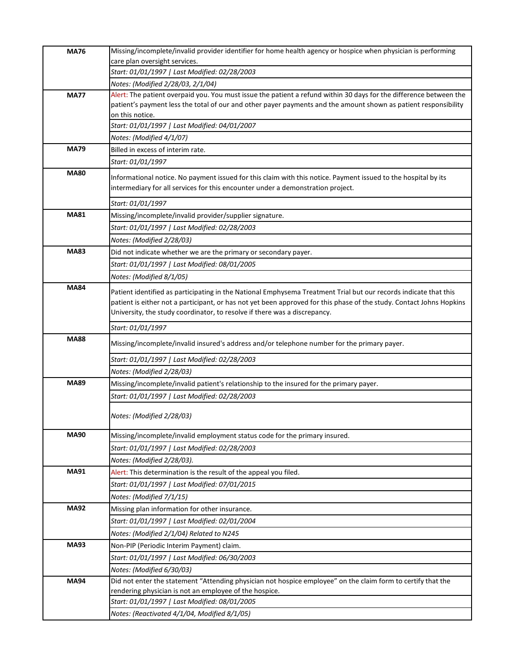| <b>MA76</b> | Missing/incomplete/invalid provider identifier for home health agency or hospice when physician is performing                                                                                     |
|-------------|---------------------------------------------------------------------------------------------------------------------------------------------------------------------------------------------------|
|             | care plan oversight services.                                                                                                                                                                     |
|             | Start: 01/01/1997   Last Modified: 02/28/2003                                                                                                                                                     |
|             | Notes: (Modified 2/28/03, 2/1/04)<br>Alert: The patient overpaid you. You must issue the patient a refund within 30 days for the difference between the                                           |
| <b>MA77</b> | patient's payment less the total of our and other payer payments and the amount shown as patient responsibility                                                                                   |
|             | on this notice.                                                                                                                                                                                   |
|             | Start: 01/01/1997   Last Modified: 04/01/2007                                                                                                                                                     |
|             | Notes: (Modified 4/1/07)                                                                                                                                                                          |
| <b>MA79</b> | Billed in excess of interim rate.                                                                                                                                                                 |
|             | Start: 01/01/1997                                                                                                                                                                                 |
| <b>MA80</b> | Informational notice. No payment issued for this claim with this notice. Payment issued to the hospital by its<br>intermediary for all services for this encounter under a demonstration project. |
|             | Start: 01/01/1997                                                                                                                                                                                 |
| <b>MA81</b> | Missing/incomplete/invalid provider/supplier signature.                                                                                                                                           |
|             | Start: 01/01/1997   Last Modified: 02/28/2003                                                                                                                                                     |
|             | Notes: (Modified 2/28/03)                                                                                                                                                                         |
| <b>MA83</b> | Did not indicate whether we are the primary or secondary payer.                                                                                                                                   |
|             | Start: 01/01/1997   Last Modified: 08/01/2005                                                                                                                                                     |
|             | Notes: (Modified 8/1/05)                                                                                                                                                                          |
| <b>MA84</b> | Patient identified as participating in the National Emphysema Treatment Trial but our records indicate that this                                                                                  |
|             | patient is either not a participant, or has not yet been approved for this phase of the study. Contact Johns Hopkins                                                                              |
|             | University, the study coordinator, to resolve if there was a discrepancy.                                                                                                                         |
|             | Start: 01/01/1997                                                                                                                                                                                 |
| <b>MA88</b> | Missing/incomplete/invalid insured's address and/or telephone number for the primary payer.                                                                                                       |
|             | Start: 01/01/1997   Last Modified: 02/28/2003                                                                                                                                                     |
|             | Notes: (Modified 2/28/03)                                                                                                                                                                         |
| <b>MA89</b> | Missing/incomplete/invalid patient's relationship to the insured for the primary payer.                                                                                                           |
|             | Start: 01/01/1997   Last Modified: 02/28/2003                                                                                                                                                     |
|             | Notes: (Modified 2/28/03)                                                                                                                                                                         |
| <b>MA90</b> | Missing/incomplete/invalid employment status code for the primary insured.                                                                                                                        |
|             | Start: 01/01/1997   Last Modified: 02/28/2003                                                                                                                                                     |
|             | Notes: (Modified 2/28/03).                                                                                                                                                                        |
| <b>MA91</b> | Alert: This determination is the result of the appeal you filed.                                                                                                                                  |
|             | Start: 01/01/1997   Last Modified: 07/01/2015                                                                                                                                                     |
|             | Notes: (Modified 7/1/15)                                                                                                                                                                          |
| <b>MA92</b> | Missing plan information for other insurance.                                                                                                                                                     |
|             | Start: 01/01/1997   Last Modified: 02/01/2004                                                                                                                                                     |
|             | Notes: (Modified 2/1/04) Related to N245                                                                                                                                                          |
| <b>MA93</b> | Non-PIP (Periodic Interim Payment) claim.                                                                                                                                                         |
|             | Start: 01/01/1997   Last Modified: 06/30/2003                                                                                                                                                     |
|             | Notes: (Modified 6/30/03)                                                                                                                                                                         |
| <b>MA94</b> | Did not enter the statement "Attending physician not hospice employee" on the claim form to certify that the                                                                                      |
|             | rendering physician is not an employee of the hospice.                                                                                                                                            |
|             | Start: 01/01/1997   Last Modified: 08/01/2005                                                                                                                                                     |
|             | Notes: (Reactivated 4/1/04, Modified 8/1/05)                                                                                                                                                      |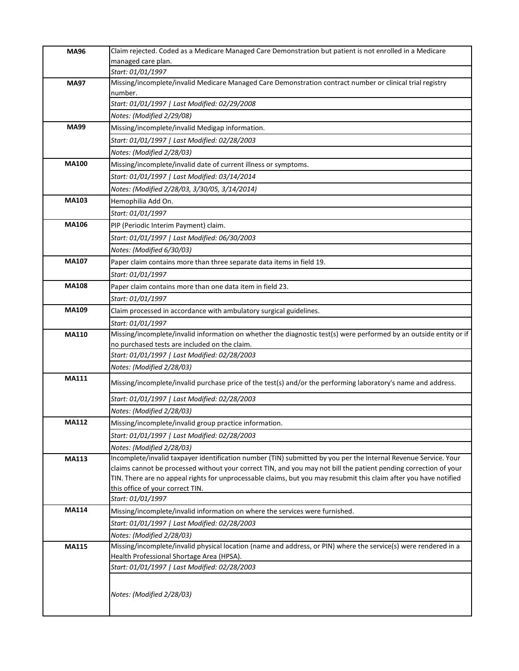| <b>MA96</b>  | Claim rejected. Coded as a Medicare Managed Care Demonstration but patient is not enrolled in a Medicare                                              |
|--------------|-------------------------------------------------------------------------------------------------------------------------------------------------------|
|              | managed care plan.                                                                                                                                    |
|              | Start: 01/01/1997                                                                                                                                     |
| <b>MA97</b>  | Missing/incomplete/invalid Medicare Managed Care Demonstration contract number or clinical trial registry<br>number.                                  |
|              | Start: 01/01/1997   Last Modified: 02/29/2008                                                                                                         |
|              | Notes: (Modified 2/29/08)                                                                                                                             |
| <b>MA99</b>  | Missing/incomplete/invalid Medigap information.                                                                                                       |
|              | Start: 01/01/1997   Last Modified: 02/28/2003                                                                                                         |
|              | Notes: (Modified 2/28/03)                                                                                                                             |
| <b>MA100</b> | Missing/incomplete/invalid date of current illness or symptoms.                                                                                       |
|              | Start: 01/01/1997   Last Modified: 03/14/2014                                                                                                         |
|              | Notes: (Modified 2/28/03, 3/30/05, 3/14/2014)                                                                                                         |
| MA103        | Hemophilia Add On.                                                                                                                                    |
|              | Start: 01/01/1997                                                                                                                                     |
| <b>MA106</b> | PIP (Periodic Interim Payment) claim.                                                                                                                 |
|              | Start: 01/01/1997   Last Modified: 06/30/2003                                                                                                         |
|              | Notes: (Modified 6/30/03)                                                                                                                             |
| MA107        | Paper claim contains more than three separate data items in field 19.                                                                                 |
|              | Start: 01/01/1997                                                                                                                                     |
| <b>MA108</b> | Paper claim contains more than one data item in field 23.                                                                                             |
|              | Start: 01/01/1997                                                                                                                                     |
| <b>MA109</b> | Claim processed in accordance with ambulatory surgical guidelines.                                                                                    |
|              | Start: 01/01/1997                                                                                                                                     |
| <b>MA110</b> | Missing/incomplete/invalid information on whether the diagnostic test(s) were performed by an outside entity or if                                    |
|              | no purchased tests are included on the claim.                                                                                                         |
|              | Start: 01/01/1997   Last Modified: 02/28/2003                                                                                                         |
|              | Notes: (Modified 2/28/03)                                                                                                                             |
| <b>MA111</b> | Missing/incomplete/invalid purchase price of the test(s) and/or the performing laboratory's name and address.                                         |
|              | Start: 01/01/1997   Last Modified: 02/28/2003                                                                                                         |
|              | Notes: (Modified 2/28/03)                                                                                                                             |
| <b>MA112</b> | Missing/incomplete/invalid group practice information.                                                                                                |
|              | Start: 01/01/1997   Last Modified: 02/28/2003                                                                                                         |
|              | Notes: (Modified 2/28/03)                                                                                                                             |
| MA113        | Incomplete/invalid taxpayer identification number (TIN) submitted by you per the Internal Revenue Service. Your                                       |
|              | claims cannot be processed without your correct TIN, and you may not bill the patient pending correction of your                                      |
|              | TIN. There are no appeal rights for unprocessable claims, but you may resubmit this claim after you have notified<br>this office of your correct TIN. |
|              | Start: 01/01/1997                                                                                                                                     |
| <b>MA114</b> | Missing/incomplete/invalid information on where the services were furnished.                                                                          |
|              | Start: 01/01/1997   Last Modified: 02/28/2003                                                                                                         |
|              | Notes: (Modified 2/28/03)                                                                                                                             |
| <b>MA115</b> | Missing/incomplete/invalid physical location (name and address, or PIN) where the service(s) were rendered in a                                       |
|              | Health Professional Shortage Area (HPSA).                                                                                                             |
|              | Start: 01/01/1997   Last Modified: 02/28/2003                                                                                                         |
|              |                                                                                                                                                       |
|              | Notes: (Modified 2/28/03)                                                                                                                             |
|              |                                                                                                                                                       |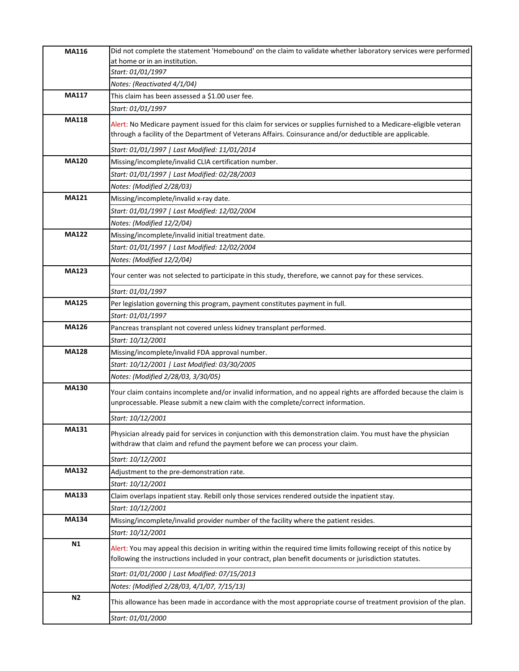| MA116          | Did not complete the statement 'Homebound' on the claim to validate whether laboratory services were performed                                                                                                                |
|----------------|-------------------------------------------------------------------------------------------------------------------------------------------------------------------------------------------------------------------------------|
|                | at home or in an institution.                                                                                                                                                                                                 |
|                | Start: 01/01/1997                                                                                                                                                                                                             |
|                | Notes: (Reactivated 4/1/04)                                                                                                                                                                                                   |
| <b>MA117</b>   | This claim has been assessed a \$1.00 user fee.                                                                                                                                                                               |
|                | Start: 01/01/1997                                                                                                                                                                                                             |
| <b>MA118</b>   | Alert: No Medicare payment issued for this claim for services or supplies furnished to a Medicare-eligible veteran<br>through a facility of the Department of Veterans Affairs. Coinsurance and/or deductible are applicable. |
|                | Start: 01/01/1997   Last Modified: 11/01/2014                                                                                                                                                                                 |
| <b>MA120</b>   | Missing/incomplete/invalid CLIA certification number.                                                                                                                                                                         |
|                | Start: 01/01/1997   Last Modified: 02/28/2003                                                                                                                                                                                 |
|                | Notes: (Modified 2/28/03)                                                                                                                                                                                                     |
| <b>MA121</b>   | Missing/incomplete/invalid x-ray date.                                                                                                                                                                                        |
|                | Start: 01/01/1997   Last Modified: 12/02/2004                                                                                                                                                                                 |
|                | Notes: (Modified 12/2/04)                                                                                                                                                                                                     |
| <b>MA122</b>   | Missing/incomplete/invalid initial treatment date.                                                                                                                                                                            |
|                | Start: 01/01/1997   Last Modified: 12/02/2004                                                                                                                                                                                 |
|                | Notes: (Modified 12/2/04)                                                                                                                                                                                                     |
| <b>MA123</b>   | Your center was not selected to participate in this study, therefore, we cannot pay for these services.                                                                                                                       |
|                | Start: 01/01/1997                                                                                                                                                                                                             |
| <b>MA125</b>   | Per legislation governing this program, payment constitutes payment in full.                                                                                                                                                  |
|                | Start: 01/01/1997                                                                                                                                                                                                             |
| <b>MA126</b>   | Pancreas transplant not covered unless kidney transplant performed.                                                                                                                                                           |
|                | Start: 10/12/2001                                                                                                                                                                                                             |
| <b>MA128</b>   | Missing/incomplete/invalid FDA approval number.                                                                                                                                                                               |
|                | Start: 10/12/2001   Last Modified: 03/30/2005                                                                                                                                                                                 |
|                | Notes: (Modified 2/28/03, 3/30/05)                                                                                                                                                                                            |
| <b>MA130</b>   | Your claim contains incomplete and/or invalid information, and no appeal rights are afforded because the claim is<br>unprocessable. Please submit a new claim with the complete/correct information.                          |
|                | Start: 10/12/2001                                                                                                                                                                                                             |
| MA131          | Physician already paid for services in conjunction with this demonstration claim. You must have the physician<br>withdraw that claim and refund the payment before we can process your claim.                                 |
|                | Start: 10/12/2001                                                                                                                                                                                                             |
| <b>MA132</b>   | Adjustment to the pre-demonstration rate.                                                                                                                                                                                     |
|                | Start: 10/12/2001                                                                                                                                                                                                             |
| <b>MA133</b>   | Claim overlaps inpatient stay. Rebill only those services rendered outside the inpatient stay.                                                                                                                                |
|                | Start: 10/12/2001                                                                                                                                                                                                             |
| <b>MA134</b>   | Missing/incomplete/invalid provider number of the facility where the patient resides.                                                                                                                                         |
|                | Start: 10/12/2001                                                                                                                                                                                                             |
| N1             | Alert: You may appeal this decision in writing within the required time limits following receipt of this notice by<br>following the instructions included in your contract, plan benefit documents or jurisdiction statutes.  |
|                | Start: 01/01/2000   Last Modified: 07/15/2013                                                                                                                                                                                 |
|                | Notes: (Modified 2/28/03, 4/1/07, 7/15/13)                                                                                                                                                                                    |
| N <sub>2</sub> | This allowance has been made in accordance with the most appropriate course of treatment provision of the plan.                                                                                                               |
|                | Start: 01/01/2000                                                                                                                                                                                                             |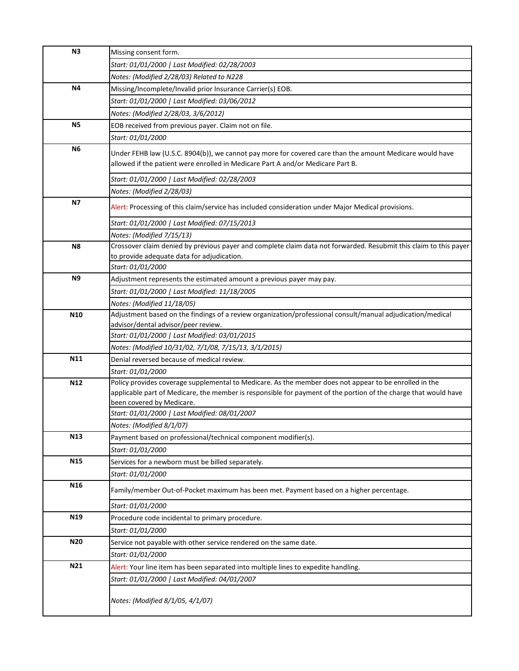| N3              | Missing consent form.                                                                                                                                                                                                                                  |
|-----------------|--------------------------------------------------------------------------------------------------------------------------------------------------------------------------------------------------------------------------------------------------------|
|                 | Start: 01/01/2000   Last Modified: 02/28/2003                                                                                                                                                                                                          |
|                 | Notes: (Modified 2/28/03) Related to N228                                                                                                                                                                                                              |
| N4              | Missing/Incomplete/Invalid prior Insurance Carrier(s) EOB.                                                                                                                                                                                             |
|                 | Start: 01/01/2000   Last Modified: 03/06/2012                                                                                                                                                                                                          |
|                 | Notes: (Modified 2/28/03, 3/6/2012)                                                                                                                                                                                                                    |
| <b>N5</b>       | EOB received from previous payer. Claim not on file.                                                                                                                                                                                                   |
|                 | Start: 01/01/2000                                                                                                                                                                                                                                      |
| N6              | Under FEHB law (U.S.C. 8904(b)), we cannot pay more for covered care than the amount Medicare would have<br>allowed if the patient were enrolled in Medicare Part A and/or Medicare Part B.                                                            |
|                 | Start: 01/01/2000   Last Modified: 02/28/2003                                                                                                                                                                                                          |
|                 | Notes: (Modified 2/28/03)                                                                                                                                                                                                                              |
| <b>N7</b>       | Alert: Processing of this claim/service has included consideration under Major Medical provisions.                                                                                                                                                     |
|                 | Start: 01/01/2000   Last Modified: 07/15/2013                                                                                                                                                                                                          |
|                 | Notes: (Modified 7/15/13)                                                                                                                                                                                                                              |
| N <sub>8</sub>  | Crossover claim denied by previous payer and complete claim data not forwarded. Resubmit this claim to this payer                                                                                                                                      |
|                 | to provide adequate data for adjudication.                                                                                                                                                                                                             |
| N <sub>9</sub>  | Start: 01/01/2000                                                                                                                                                                                                                                      |
|                 | Adjustment represents the estimated amount a previous payer may pay.                                                                                                                                                                                   |
|                 | Start: 01/01/2000   Last Modified: 11/18/2005                                                                                                                                                                                                          |
|                 | Notes: (Modified 11/18/05)                                                                                                                                                                                                                             |
| N10             | Adjustment based on the findings of a review organization/professional consult/manual adjudication/medical<br>advisor/dental advisor/peer review.                                                                                                      |
|                 | Start: 01/01/2000   Last Modified: 03/01/2015                                                                                                                                                                                                          |
|                 | Notes: (Modified 10/31/02, 7/1/08, 7/15/13, 3/1/2015)                                                                                                                                                                                                  |
| N11             | Denial reversed because of medical review.                                                                                                                                                                                                             |
|                 | Start: 01/01/2000                                                                                                                                                                                                                                      |
| N12             | Policy provides coverage supplemental to Medicare. As the member does not appear to be enrolled in the<br>applicable part of Medicare, the member is responsible for payment of the portion of the charge that would have<br>been covered by Medicare. |
|                 | Start: 01/01/2000   Last Modified: 08/01/2007                                                                                                                                                                                                          |
|                 | Notes: (Modified 8/1/07)                                                                                                                                                                                                                               |
| N13             | Payment based on professional/technical component modifier(s).                                                                                                                                                                                         |
|                 | Start: 01/01/2000                                                                                                                                                                                                                                      |
| N <sub>15</sub> | Services for a newborn must be billed separately.                                                                                                                                                                                                      |
|                 | Start: 01/01/2000                                                                                                                                                                                                                                      |
| N <sub>16</sub> | Family/member Out-of-Pocket maximum has been met. Payment based on a higher percentage.                                                                                                                                                                |
|                 | Start: 01/01/2000                                                                                                                                                                                                                                      |
| N19             | Procedure code incidental to primary procedure.                                                                                                                                                                                                        |
|                 | Start: 01/01/2000                                                                                                                                                                                                                                      |
| N20             | Service not payable with other service rendered on the same date.                                                                                                                                                                                      |
|                 | Start: 01/01/2000                                                                                                                                                                                                                                      |
| N21             | Alert: Your line item has been separated into multiple lines to expedite handling.                                                                                                                                                                     |
|                 | Start: 01/01/2000   Last Modified: 04/01/2007                                                                                                                                                                                                          |
|                 | Notes: (Modified 8/1/05, 4/1/07)                                                                                                                                                                                                                       |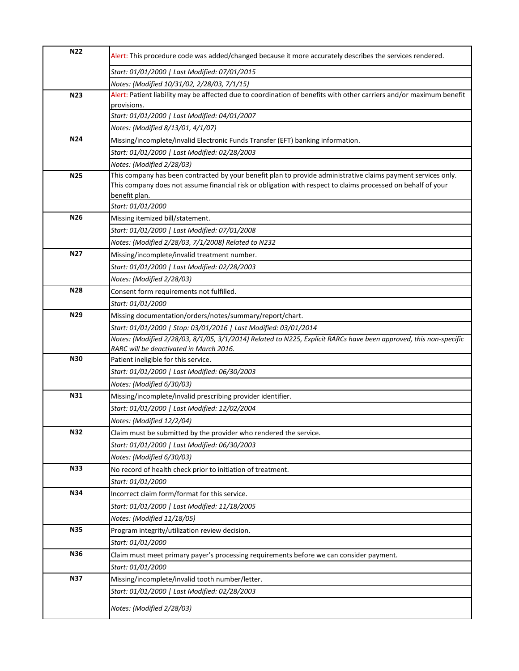| <b>N22</b>      | Alert: This procedure code was added/changed because it more accurately describes the services rendered.            |
|-----------------|---------------------------------------------------------------------------------------------------------------------|
|                 | Start: 01/01/2000   Last Modified: 07/01/2015                                                                       |
|                 | Notes: (Modified 10/31/02, 2/28/03, 7/1/15)                                                                         |
| N <sub>23</sub> | Alert: Patient liability may be affected due to coordination of benefits with other carriers and/or maximum benefit |
|                 | provisions.                                                                                                         |
|                 | Start: 01/01/2000   Last Modified: 04/01/2007                                                                       |
|                 | Notes: (Modified 8/13/01, 4/1/07)                                                                                   |
| N24             | Missing/incomplete/invalid Electronic Funds Transfer (EFT) banking information.                                     |
|                 | Start: 01/01/2000   Last Modified: 02/28/2003                                                                       |
|                 | Notes: (Modified 2/28/03)                                                                                           |
| <b>N25</b>      | This company has been contracted by your benefit plan to provide administrative claims payment services only.       |
|                 | This company does not assume financial risk or obligation with respect to claims processed on behalf of your        |
|                 | benefit plan.                                                                                                       |
|                 | Start: 01/01/2000                                                                                                   |
| N26             | Missing itemized bill/statement.                                                                                    |
|                 | Start: 01/01/2000   Last Modified: 07/01/2008                                                                       |
|                 | Notes: (Modified 2/28/03, 7/1/2008) Related to N232                                                                 |
| N <sub>27</sub> | Missing/incomplete/invalid treatment number.                                                                        |
|                 | Start: 01/01/2000   Last Modified: 02/28/2003                                                                       |
|                 | Notes: (Modified 2/28/03)                                                                                           |
| N28             | Consent form requirements not fulfilled.                                                                            |
|                 | Start: 01/01/2000                                                                                                   |
| N29             | Missing documentation/orders/notes/summary/report/chart.                                                            |
|                 | Start: 01/01/2000   Stop: 03/01/2016   Last Modified: 03/01/2014                                                    |
|                 | Notes: (Modified 2/28/03, 8/1/05, 3/1/2014) Related to N225, Explicit RARCs have been approved, this non-specific   |
|                 | RARC will be deactivated in March 2016.                                                                             |
| <b>N30</b>      | Patient ineligible for this service.                                                                                |
|                 | Start: 01/01/2000   Last Modified: 06/30/2003                                                                       |
|                 | Notes: (Modified 6/30/03)                                                                                           |
| <b>N31</b>      | Missing/incomplete/invalid prescribing provider identifier.                                                         |
|                 | Start: 01/01/2000   Last Modified: 12/02/2004                                                                       |
|                 | Notes: (Modified 12/2/04)                                                                                           |
| <b>N32</b>      | Claim must be submitted by the provider who rendered the service.                                                   |
|                 | Start: 01/01/2000   Last Modified: 06/30/2003                                                                       |
|                 | Notes: (Modified 6/30/03)                                                                                           |
| <b>N33</b>      | No record of health check prior to initiation of treatment.                                                         |
|                 | Start: 01/01/2000                                                                                                   |
| <b>N34</b>      | Incorrect claim form/format for this service.                                                                       |
|                 | Start: 01/01/2000   Last Modified: 11/18/2005                                                                       |
|                 | Notes: (Modified 11/18/05)                                                                                          |
| <b>N35</b>      | Program integrity/utilization review decision.                                                                      |
|                 | Start: 01/01/2000                                                                                                   |
| <b>N36</b>      | Claim must meet primary payer's processing requirements before we can consider payment.                             |
|                 | Start: 01/01/2000                                                                                                   |
| <b>N37</b>      | Missing/incomplete/invalid tooth number/letter.                                                                     |
|                 | Start: 01/01/2000   Last Modified: 02/28/2003                                                                       |
|                 |                                                                                                                     |
|                 | Notes: (Modified 2/28/03)                                                                                           |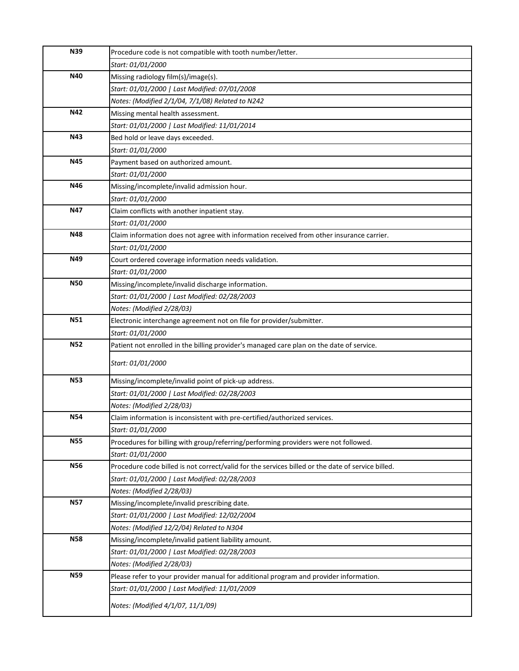| <b>N39</b> | Procedure code is not compatible with tooth number/letter.                                        |
|------------|---------------------------------------------------------------------------------------------------|
|            | Start: 01/01/2000                                                                                 |
| N40        | Missing radiology film(s)/image(s).                                                               |
|            | Start: 01/01/2000   Last Modified: 07/01/2008                                                     |
|            | Notes: (Modified 2/1/04, 7/1/08) Related to N242                                                  |
| N42        | Missing mental health assessment.                                                                 |
|            | Start: 01/01/2000   Last Modified: 11/01/2014                                                     |
| N43        | Bed hold or leave days exceeded.                                                                  |
|            | Start: 01/01/2000                                                                                 |
| <b>N45</b> | Payment based on authorized amount.                                                               |
|            | Start: 01/01/2000                                                                                 |
| N46        | Missing/incomplete/invalid admission hour.                                                        |
|            | Start: 01/01/2000                                                                                 |
| N47        | Claim conflicts with another inpatient stay.                                                      |
|            | Start: 01/01/2000                                                                                 |
| <b>N48</b> | Claim information does not agree with information received from other insurance carrier.          |
|            | Start: 01/01/2000                                                                                 |
| N49        | Court ordered coverage information needs validation.                                              |
|            | Start: 01/01/2000                                                                                 |
| <b>N50</b> | Missing/incomplete/invalid discharge information.                                                 |
|            | Start: 01/01/2000   Last Modified: 02/28/2003                                                     |
|            | Notes: (Modified 2/28/03)                                                                         |
| <b>N51</b> | Electronic interchange agreement not on file for provider/submitter.                              |
|            | Start: 01/01/2000                                                                                 |
| <b>N52</b> | Patient not enrolled in the billing provider's managed care plan on the date of service.          |
|            | Start: 01/01/2000                                                                                 |
|            |                                                                                                   |
| <b>N53</b> | Missing/incomplete/invalid point of pick-up address.                                              |
|            | Start: 01/01/2000   Last Modified: 02/28/2003                                                     |
|            | Notes: (Modified 2/28/03)                                                                         |
| <b>N54</b> | Claim information is inconsistent with pre-certified/authorized services.                         |
|            | Start: 01/01/2000                                                                                 |
| <b>N55</b> | Procedures for billing with group/referring/performing providers were not followed.               |
|            | Start: 01/01/2000                                                                                 |
| <b>N56</b> | Procedure code billed is not correct/valid for the services billed or the date of service billed. |
|            | Start: 01/01/2000   Last Modified: 02/28/2003                                                     |
|            | Notes: (Modified 2/28/03)                                                                         |
| <b>N57</b> | Missing/incomplete/invalid prescribing date.                                                      |
|            | Start: 01/01/2000   Last Modified: 12/02/2004                                                     |
|            | Notes: (Modified 12/2/04) Related to N304                                                         |
| <b>N58</b> | Missing/incomplete/invalid patient liability amount.                                              |
|            | Start: 01/01/2000   Last Modified: 02/28/2003                                                     |
|            | Notes: (Modified 2/28/03)                                                                         |
| <b>N59</b> | Please refer to your provider manual for additional program and provider information.             |
|            | Start: 01/01/2000   Last Modified: 11/01/2009                                                     |
|            | Notes: (Modified 4/1/07, 11/1/09)                                                                 |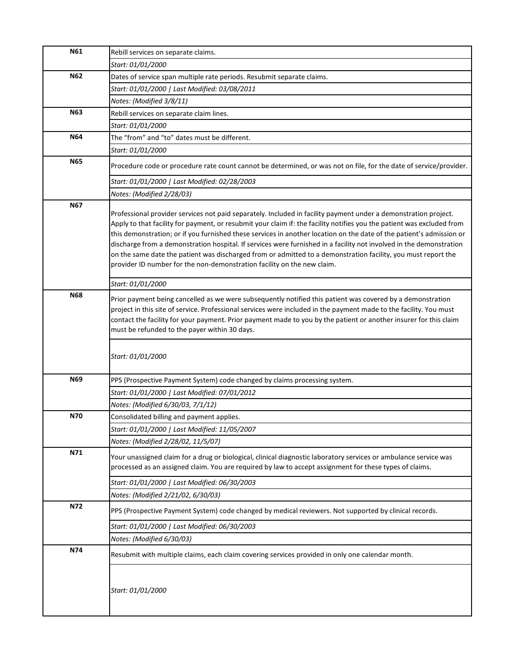| N61        | Rebill services on separate claims.                                                                                                                                                                                                                                                                                                                                                                                                                                                                                                                                                                                                                                                  |
|------------|--------------------------------------------------------------------------------------------------------------------------------------------------------------------------------------------------------------------------------------------------------------------------------------------------------------------------------------------------------------------------------------------------------------------------------------------------------------------------------------------------------------------------------------------------------------------------------------------------------------------------------------------------------------------------------------|
|            | Start: 01/01/2000                                                                                                                                                                                                                                                                                                                                                                                                                                                                                                                                                                                                                                                                    |
| <b>N62</b> | Dates of service span multiple rate periods. Resubmit separate claims.                                                                                                                                                                                                                                                                                                                                                                                                                                                                                                                                                                                                               |
|            | Start: 01/01/2000   Last Modified: 03/08/2011                                                                                                                                                                                                                                                                                                                                                                                                                                                                                                                                                                                                                                        |
|            | Notes: (Modified 3/8/11)                                                                                                                                                                                                                                                                                                                                                                                                                                                                                                                                                                                                                                                             |
| <b>N63</b> | Rebill services on separate claim lines.                                                                                                                                                                                                                                                                                                                                                                                                                                                                                                                                                                                                                                             |
|            | Start: 01/01/2000                                                                                                                                                                                                                                                                                                                                                                                                                                                                                                                                                                                                                                                                    |
| <b>N64</b> | The "from" and "to" dates must be different.                                                                                                                                                                                                                                                                                                                                                                                                                                                                                                                                                                                                                                         |
|            | Start: 01/01/2000                                                                                                                                                                                                                                                                                                                                                                                                                                                                                                                                                                                                                                                                    |
| <b>N65</b> | Procedure code or procedure rate count cannot be determined, or was not on file, for the date of service/provider.                                                                                                                                                                                                                                                                                                                                                                                                                                                                                                                                                                   |
|            | Start: 01/01/2000   Last Modified: 02/28/2003                                                                                                                                                                                                                                                                                                                                                                                                                                                                                                                                                                                                                                        |
|            | Notes: (Modified 2/28/03)                                                                                                                                                                                                                                                                                                                                                                                                                                                                                                                                                                                                                                                            |
| <b>N67</b> | Professional provider services not paid separately. Included in facility payment under a demonstration project.<br>Apply to that facility for payment, or resubmit your claim if: the facility notifies you the patient was excluded from<br>this demonstration; or if you furnished these services in another location on the date of the patient's admission or<br>discharge from a demonstration hospital. If services were furnished in a facility not involved in the demonstration<br>on the same date the patient was discharged from or admitted to a demonstration facility, you must report the<br>provider ID number for the non-demonstration facility on the new claim. |
|            | Start: 01/01/2000                                                                                                                                                                                                                                                                                                                                                                                                                                                                                                                                                                                                                                                                    |
| <b>N68</b> | Prior payment being cancelled as we were subsequently notified this patient was covered by a demonstration<br>project in this site of service. Professional services were included in the payment made to the facility. You must<br>contact the facility for your payment. Prior payment made to you by the patient or another insurer for this claim<br>must be refunded to the payer within 30 days.                                                                                                                                                                                                                                                                               |
|            | Start: 01/01/2000                                                                                                                                                                                                                                                                                                                                                                                                                                                                                                                                                                                                                                                                    |
| <b>N69</b> | PPS (Prospective Payment System) code changed by claims processing system.                                                                                                                                                                                                                                                                                                                                                                                                                                                                                                                                                                                                           |
|            | Start: 01/01/2000   Last Modified: 07/01/2012                                                                                                                                                                                                                                                                                                                                                                                                                                                                                                                                                                                                                                        |
|            | Notes: (Modified 6/30/03, 7/1/12)                                                                                                                                                                                                                                                                                                                                                                                                                                                                                                                                                                                                                                                    |
| N70        | Consolidated billing and payment applies.                                                                                                                                                                                                                                                                                                                                                                                                                                                                                                                                                                                                                                            |
|            | Start: 01/01/2000   Last Modified: 11/05/2007                                                                                                                                                                                                                                                                                                                                                                                                                                                                                                                                                                                                                                        |
|            | Notes: (Modified 2/28/02, 11/5/07)                                                                                                                                                                                                                                                                                                                                                                                                                                                                                                                                                                                                                                                   |
| N71        | Your unassigned claim for a drug or biological, clinical diagnostic laboratory services or ambulance service was<br>processed as an assigned claim. You are required by law to accept assignment for these types of claims.                                                                                                                                                                                                                                                                                                                                                                                                                                                          |
|            | Start: 01/01/2000   Last Modified: 06/30/2003                                                                                                                                                                                                                                                                                                                                                                                                                                                                                                                                                                                                                                        |
|            | Notes: (Modified 2/21/02, 6/30/03)                                                                                                                                                                                                                                                                                                                                                                                                                                                                                                                                                                                                                                                   |
| N72        | PPS (Prospective Payment System) code changed by medical reviewers. Not supported by clinical records.                                                                                                                                                                                                                                                                                                                                                                                                                                                                                                                                                                               |
|            | Start: 01/01/2000   Last Modified: 06/30/2003                                                                                                                                                                                                                                                                                                                                                                                                                                                                                                                                                                                                                                        |
|            | Notes: (Modified 6/30/03)                                                                                                                                                                                                                                                                                                                                                                                                                                                                                                                                                                                                                                                            |
| N74        | Resubmit with multiple claims, each claim covering services provided in only one calendar month.                                                                                                                                                                                                                                                                                                                                                                                                                                                                                                                                                                                     |
|            | Start: 01/01/2000                                                                                                                                                                                                                                                                                                                                                                                                                                                                                                                                                                                                                                                                    |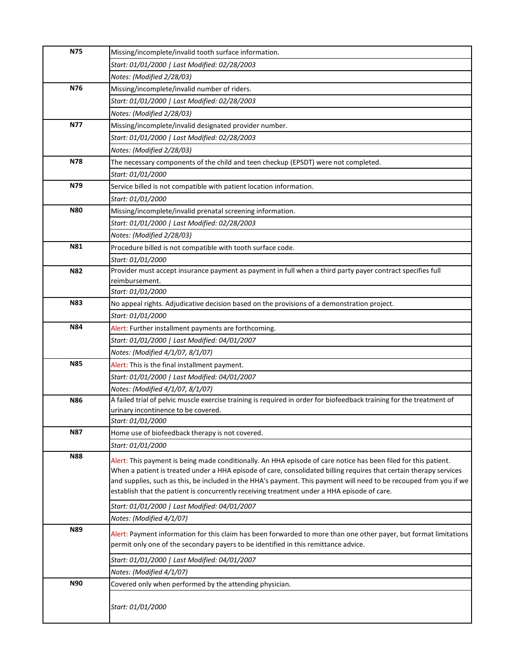| N75        | Missing/incomplete/invalid tooth surface information.                                                                                                                                                                                    |
|------------|------------------------------------------------------------------------------------------------------------------------------------------------------------------------------------------------------------------------------------------|
|            | Start: 01/01/2000   Last Modified: 02/28/2003                                                                                                                                                                                            |
|            | Notes: (Modified 2/28/03)                                                                                                                                                                                                                |
| N76        | Missing/incomplete/invalid number of riders.                                                                                                                                                                                             |
|            | Start: 01/01/2000   Last Modified: 02/28/2003                                                                                                                                                                                            |
|            | Notes: (Modified 2/28/03)                                                                                                                                                                                                                |
| <b>N77</b> | Missing/incomplete/invalid designated provider number.                                                                                                                                                                                   |
|            | Start: 01/01/2000   Last Modified: 02/28/2003                                                                                                                                                                                            |
|            | Notes: (Modified 2/28/03)                                                                                                                                                                                                                |
| N78        | The necessary components of the child and teen checkup (EPSDT) were not completed.                                                                                                                                                       |
|            | Start: 01/01/2000                                                                                                                                                                                                                        |
| N79        | Service billed is not compatible with patient location information.                                                                                                                                                                      |
|            | Start: 01/01/2000                                                                                                                                                                                                                        |
| <b>N80</b> | Missing/incomplete/invalid prenatal screening information.                                                                                                                                                                               |
|            | Start: 01/01/2000   Last Modified: 02/28/2003                                                                                                                                                                                            |
|            | Notes: (Modified 2/28/03)                                                                                                                                                                                                                |
| N81        | Procedure billed is not compatible with tooth surface code.                                                                                                                                                                              |
|            | Start: 01/01/2000                                                                                                                                                                                                                        |
| <b>N82</b> | Provider must accept insurance payment as payment in full when a third party payer contract specifies full                                                                                                                               |
|            | reimbursement.                                                                                                                                                                                                                           |
|            | Start: 01/01/2000                                                                                                                                                                                                                        |
| <b>N83</b> | No appeal rights. Adjudicative decision based on the provisions of a demonstration project.                                                                                                                                              |
|            | Start: 01/01/2000                                                                                                                                                                                                                        |
| <b>N84</b> | Alert: Further installment payments are forthcoming.                                                                                                                                                                                     |
|            | Start: 01/01/2000   Last Modified: 04/01/2007                                                                                                                                                                                            |
|            | Notes: (Modified 4/1/07, 8/1/07)                                                                                                                                                                                                         |
| <b>N85</b> | Alert: This is the final installment payment.                                                                                                                                                                                            |
|            | Start: 01/01/2000   Last Modified: 04/01/2007                                                                                                                                                                                            |
|            | Notes: (Modified 4/1/07, 8/1/07)                                                                                                                                                                                                         |
| <b>N86</b> | A failed trial of pelvic muscle exercise training is required in order for biofeedback training for the treatment of                                                                                                                     |
|            | urinary incontinence to be covered.<br>Start: 01/01/2000                                                                                                                                                                                 |
| <b>N87</b> | Home use of biofeedback therapy is not covered.                                                                                                                                                                                          |
|            | Start: 01/01/2000                                                                                                                                                                                                                        |
| <b>N88</b> |                                                                                                                                                                                                                                          |
|            | Alert: This payment is being made conditionally. An HHA episode of care notice has been filed for this patient.                                                                                                                          |
|            | When a patient is treated under a HHA episode of care, consolidated billing requires that certain therapy services<br>and supplies, such as this, be included in the HHA's payment. This payment will need to be recouped from you if we |
|            | establish that the patient is concurrently receiving treatment under a HHA episode of care.                                                                                                                                              |
|            | Start: 01/01/2000   Last Modified: 04/01/2007                                                                                                                                                                                            |
|            | Notes: (Modified 4/1/07)                                                                                                                                                                                                                 |
| N89        |                                                                                                                                                                                                                                          |
|            | Alert: Payment information for this claim has been forwarded to more than one other payer, but format limitations<br>permit only one of the secondary payers to be identified in this remittance advice.                                 |
|            |                                                                                                                                                                                                                                          |
|            | Start: 01/01/2000   Last Modified: 04/01/2007                                                                                                                                                                                            |
|            | Notes: (Modified 4/1/07)                                                                                                                                                                                                                 |
| <b>N90</b> | Covered only when performed by the attending physician.                                                                                                                                                                                  |
|            | Start: 01/01/2000                                                                                                                                                                                                                        |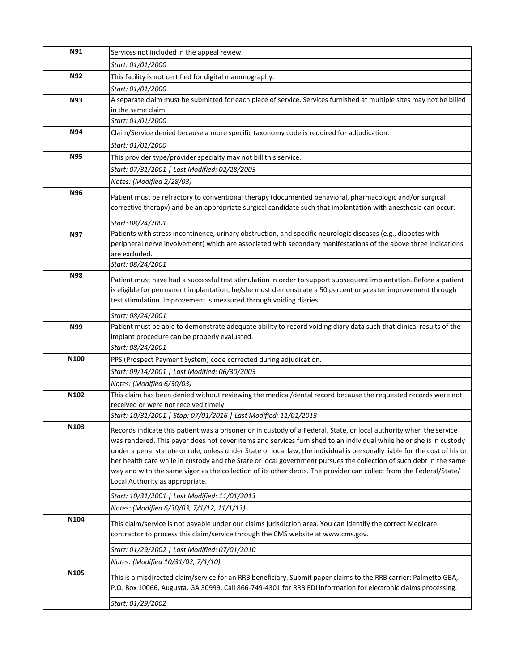| N91        | Services not included in the appeal review.                                                                                                                                                                                      |
|------------|----------------------------------------------------------------------------------------------------------------------------------------------------------------------------------------------------------------------------------|
|            | Start: 01/01/2000                                                                                                                                                                                                                |
| <b>N92</b> | This facility is not certified for digital mammography.                                                                                                                                                                          |
|            | Start: 01/01/2000                                                                                                                                                                                                                |
| <b>N93</b> | A separate claim must be submitted for each place of service. Services furnished at multiple sites may not be billed                                                                                                             |
|            | in the same claim.                                                                                                                                                                                                               |
|            | Start: 01/01/2000                                                                                                                                                                                                                |
| <b>N94</b> | Claim/Service denied because a more specific taxonomy code is required for adjudication.                                                                                                                                         |
|            | Start: 01/01/2000                                                                                                                                                                                                                |
| <b>N95</b> | This provider type/provider specialty may not bill this service.                                                                                                                                                                 |
|            | Start: 07/31/2001   Last Modified: 02/28/2003                                                                                                                                                                                    |
|            | Notes: (Modified 2/28/03)                                                                                                                                                                                                        |
| N96        | Patient must be refractory to conventional therapy (documented behavioral, pharmacologic and/or surgical                                                                                                                         |
|            | corrective therapy) and be an appropriate surgical candidate such that implantation with anesthesia can occur.                                                                                                                   |
|            |                                                                                                                                                                                                                                  |
|            | Start: 08/24/2001                                                                                                                                                                                                                |
| <b>N97</b> | Patients with stress incontinence, urinary obstruction, and specific neurologic diseases (e.g., diabetes with<br>peripheral nerve involvement) which are associated with secondary manifestations of the above three indications |
|            | are excluded.                                                                                                                                                                                                                    |
|            | Start: 08/24/2001                                                                                                                                                                                                                |
| <b>N98</b> |                                                                                                                                                                                                                                  |
|            | Patient must have had a successful test stimulation in order to support subsequent implantation. Before a patient<br>is eligible for permanent implantation, he/she must demonstrate a 50 percent or greater improvement through |
|            | test stimulation. Improvement is measured through voiding diaries.                                                                                                                                                               |
|            |                                                                                                                                                                                                                                  |
|            | Start: 08/24/2001                                                                                                                                                                                                                |
| N99        | Patient must be able to demonstrate adequate ability to record voiding diary data such that clinical results of the<br>implant procedure can be properly evaluated.                                                              |
|            | Start: 08/24/2001                                                                                                                                                                                                                |
| N100       | PPS (Prospect Payment System) code corrected during adjudication.                                                                                                                                                                |
|            | Start: 09/14/2001   Last Modified: 06/30/2003                                                                                                                                                                                    |
|            | Notes: (Modified 6/30/03)                                                                                                                                                                                                        |
| N102       | This claim has been denied without reviewing the medical/dental record because the requested records were not                                                                                                                    |
|            | received or were not received timely.                                                                                                                                                                                            |
|            | Start: 10/31/2001   Stop: 07/01/2016   Last Modified: 11/01/2013                                                                                                                                                                 |
| N103       | Records indicate this patient was a prisoner or in custody of a Federal, State, or local authority when the service                                                                                                              |
|            | was rendered. This payer does not cover items and services furnished to an individual while he or she is in custody                                                                                                              |
|            | under a penal statute or rule, unless under State or local law, the individual is personally liable for the cost of his or                                                                                                       |
|            | her health care while in custody and the State or local government pursues the collection of such debt in the same                                                                                                               |
|            | way and with the same vigor as the collection of its other debts. The provider can collect from the Federal/State/                                                                                                               |
|            | Local Authority as appropriate.                                                                                                                                                                                                  |
|            | Start: 10/31/2001   Last Modified: 11/01/2013                                                                                                                                                                                    |
|            | Notes: (Modified 6/30/03, 7/1/12, 11/1/13)                                                                                                                                                                                       |
| N104       | This claim/service is not payable under our claims jurisdiction area. You can identify the correct Medicare                                                                                                                      |
|            | contractor to process this claim/service through the CMS website at www.cms.gov.                                                                                                                                                 |
|            |                                                                                                                                                                                                                                  |
|            | Start: 01/29/2002   Last Modified: 07/01/2010                                                                                                                                                                                    |
|            | Notes: (Modified 10/31/02, 7/1/10)                                                                                                                                                                                               |
| N105       | This is a misdirected claim/service for an RRB beneficiary. Submit paper claims to the RRB carrier: Palmetto GBA,                                                                                                                |
|            | P.O. Box 10066, Augusta, GA 30999. Call 866-749-4301 for RRB EDI information for electronic claims processing.                                                                                                                   |
|            | Start: 01/29/2002                                                                                                                                                                                                                |
|            |                                                                                                                                                                                                                                  |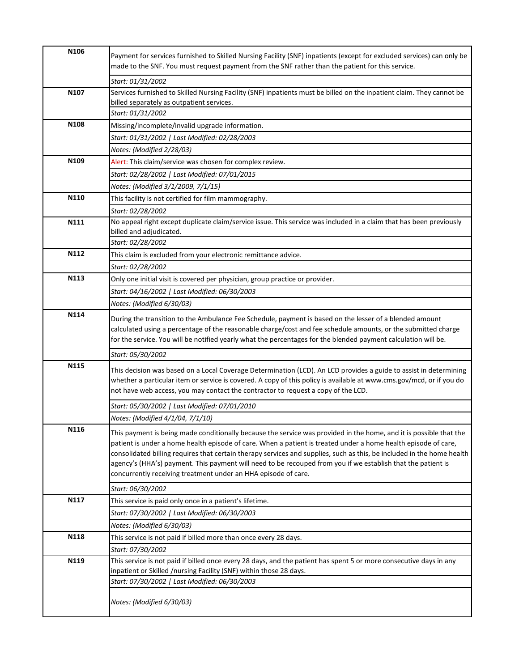| N <sub>106</sub> | Payment for services furnished to Skilled Nursing Facility (SNF) inpatients (except for excluded services) can only be<br>made to the SNF. You must request payment from the SNF rather than the patient for this service.                                                                                                                                                                                                                                                                                                                       |
|------------------|--------------------------------------------------------------------------------------------------------------------------------------------------------------------------------------------------------------------------------------------------------------------------------------------------------------------------------------------------------------------------------------------------------------------------------------------------------------------------------------------------------------------------------------------------|
|                  | Start: 01/31/2002                                                                                                                                                                                                                                                                                                                                                                                                                                                                                                                                |
| N <sub>107</sub> | Services furnished to Skilled Nursing Facility (SNF) inpatients must be billed on the inpatient claim. They cannot be                                                                                                                                                                                                                                                                                                                                                                                                                            |
|                  | billed separately as outpatient services.                                                                                                                                                                                                                                                                                                                                                                                                                                                                                                        |
|                  | Start: 01/31/2002                                                                                                                                                                                                                                                                                                                                                                                                                                                                                                                                |
| N <sub>108</sub> | Missing/incomplete/invalid upgrade information.                                                                                                                                                                                                                                                                                                                                                                                                                                                                                                  |
|                  | Start: 01/31/2002   Last Modified: 02/28/2003                                                                                                                                                                                                                                                                                                                                                                                                                                                                                                    |
|                  | Notes: (Modified 2/28/03)                                                                                                                                                                                                                                                                                                                                                                                                                                                                                                                        |
| N <sub>109</sub> | Alert: This claim/service was chosen for complex review.                                                                                                                                                                                                                                                                                                                                                                                                                                                                                         |
|                  | Start: 02/28/2002   Last Modified: 07/01/2015                                                                                                                                                                                                                                                                                                                                                                                                                                                                                                    |
|                  | Notes: (Modified 3/1/2009, 7/1/15)                                                                                                                                                                                                                                                                                                                                                                                                                                                                                                               |
| N110             | This facility is not certified for film mammography.                                                                                                                                                                                                                                                                                                                                                                                                                                                                                             |
|                  | Start: 02/28/2002                                                                                                                                                                                                                                                                                                                                                                                                                                                                                                                                |
| N111             | No appeal right except duplicate claim/service issue. This service was included in a claim that has been previously<br>billed and adjudicated.                                                                                                                                                                                                                                                                                                                                                                                                   |
|                  | Start: 02/28/2002                                                                                                                                                                                                                                                                                                                                                                                                                                                                                                                                |
| N112             | This claim is excluded from your electronic remittance advice.                                                                                                                                                                                                                                                                                                                                                                                                                                                                                   |
|                  | Start: 02/28/2002                                                                                                                                                                                                                                                                                                                                                                                                                                                                                                                                |
| N113             | Only one initial visit is covered per physician, group practice or provider.                                                                                                                                                                                                                                                                                                                                                                                                                                                                     |
|                  | Start: 04/16/2002   Last Modified: 06/30/2003                                                                                                                                                                                                                                                                                                                                                                                                                                                                                                    |
|                  | Notes: (Modified 6/30/03)                                                                                                                                                                                                                                                                                                                                                                                                                                                                                                                        |
| N114             | During the transition to the Ambulance Fee Schedule, payment is based on the lesser of a blended amount<br>calculated using a percentage of the reasonable charge/cost and fee schedule amounts, or the submitted charge<br>for the service. You will be notified yearly what the percentages for the blended payment calculation will be.                                                                                                                                                                                                       |
|                  | Start: 05/30/2002                                                                                                                                                                                                                                                                                                                                                                                                                                                                                                                                |
| N115             | This decision was based on a Local Coverage Determination (LCD). An LCD provides a guide to assist in determining<br>whether a particular item or service is covered. A copy of this policy is available at www.cms.gov/mcd, or if you do<br>not have web access, you may contact the contractor to request a copy of the LCD.                                                                                                                                                                                                                   |
|                  | Start: 05/30/2002   Last Modified: 07/01/2010                                                                                                                                                                                                                                                                                                                                                                                                                                                                                                    |
|                  | Notes: (Modified 4/1/04, 7/1/10)                                                                                                                                                                                                                                                                                                                                                                                                                                                                                                                 |
| N116             | This payment is being made conditionally because the service was provided in the home, and it is possible that the<br>patient is under a home health episode of care. When a patient is treated under a home health episode of care,<br>consolidated billing requires that certain therapy services and supplies, such as this, be included in the home health<br>agency's (HHA's) payment. This payment will need to be recouped from you if we establish that the patient is<br>concurrently receiving treatment under an HHA episode of care. |
|                  | Start: 06/30/2002                                                                                                                                                                                                                                                                                                                                                                                                                                                                                                                                |
| N117             | This service is paid only once in a patient's lifetime.                                                                                                                                                                                                                                                                                                                                                                                                                                                                                          |
|                  | Start: 07/30/2002   Last Modified: 06/30/2003                                                                                                                                                                                                                                                                                                                                                                                                                                                                                                    |
|                  | Notes: (Modified 6/30/03)                                                                                                                                                                                                                                                                                                                                                                                                                                                                                                                        |
| N118             | This service is not paid if billed more than once every 28 days.                                                                                                                                                                                                                                                                                                                                                                                                                                                                                 |
|                  | Start: 07/30/2002                                                                                                                                                                                                                                                                                                                                                                                                                                                                                                                                |
| N119             | This service is not paid if billed once every 28 days, and the patient has spent 5 or more consecutive days in any<br>inpatient or Skilled /nursing Facility (SNF) within those 28 days.                                                                                                                                                                                                                                                                                                                                                         |
|                  | Start: 07/30/2002   Last Modified: 06/30/2003<br>Notes: (Modified 6/30/03)                                                                                                                                                                                                                                                                                                                                                                                                                                                                       |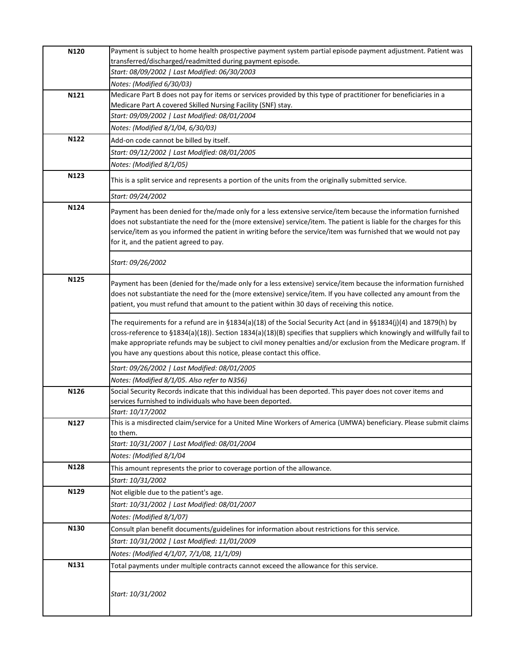| N120 | Payment is subject to home health prospective payment system partial episode payment adjustment. Patient was                                                                                                                       |
|------|------------------------------------------------------------------------------------------------------------------------------------------------------------------------------------------------------------------------------------|
|      | transferred/discharged/readmitted during payment episode.                                                                                                                                                                          |
|      | Start: 08/09/2002   Last Modified: 06/30/2003                                                                                                                                                                                      |
|      | Notes: (Modified 6/30/03)                                                                                                                                                                                                          |
| N121 | Medicare Part B does not pay for items or services provided by this type of practitioner for beneficiaries in a<br>Medicare Part A covered Skilled Nursing Facility (SNF) stay.                                                    |
|      | Start: 09/09/2002   Last Modified: 08/01/2004                                                                                                                                                                                      |
|      | Notes: (Modified 8/1/04, 6/30/03)                                                                                                                                                                                                  |
| N122 | Add-on code cannot be billed by itself.                                                                                                                                                                                            |
|      | Start: 09/12/2002   Last Modified: 08/01/2005                                                                                                                                                                                      |
|      | Notes: (Modified 8/1/05)                                                                                                                                                                                                           |
| N123 |                                                                                                                                                                                                                                    |
|      | This is a split service and represents a portion of the units from the originally submitted service.                                                                                                                               |
|      | Start: 09/24/2002                                                                                                                                                                                                                  |
| N124 | Payment has been denied for the/made only for a less extensive service/item because the information furnished                                                                                                                      |
|      | does not substantiate the need for the (more extensive) service/item. The patient is liable for the charges for this                                                                                                               |
|      | service/item as you informed the patient in writing before the service/item was furnished that we would not pay                                                                                                                    |
|      | for it, and the patient agreed to pay.                                                                                                                                                                                             |
|      | Start: 09/26/2002                                                                                                                                                                                                                  |
| N125 |                                                                                                                                                                                                                                    |
|      | Payment has been (denied for the/made only for a less extensive) service/item because the information furnished<br>does not substantiate the need for the (more extensive) service/item. If you have collected any amount from the |
|      | patient, you must refund that amount to the patient within 30 days of receiving this notice.                                                                                                                                       |
|      |                                                                                                                                                                                                                                    |
|      | The requirements for a refund are in §1834(a)(18) of the Social Security Act (and in §§1834(j)(4) and 1879(h) by                                                                                                                   |
|      | cross-reference to §1834(a)(18)). Section 1834(a)(18)(B) specifies that suppliers which knowingly and willfully fail to                                                                                                            |
|      | make appropriate refunds may be subject to civil money penalties and/or exclusion from the Medicare program. If<br>you have any questions about this notice, please contact this office.                                           |
|      |                                                                                                                                                                                                                                    |
|      | Start: 09/26/2002   Last Modified: 08/01/2005                                                                                                                                                                                      |
|      | Notes: (Modified 8/1/05. Also refer to N356)                                                                                                                                                                                       |
| N126 | Social Security Records indicate that this individual has been deported. This payer does not cover items and<br>services furnished to individuals who have been deported.                                                          |
|      | Start: 10/17/2002                                                                                                                                                                                                                  |
| N127 | This is a misdirected claim/service for a United Mine Workers of America (UMWA) beneficiary. Please submit claims                                                                                                                  |
|      | to them.                                                                                                                                                                                                                           |
|      | Start: 10/31/2007   Last Modified: 08/01/2004                                                                                                                                                                                      |
|      | Notes: (Modified 8/1/04                                                                                                                                                                                                            |
| N128 | This amount represents the prior to coverage portion of the allowance.                                                                                                                                                             |
|      | Start: 10/31/2002                                                                                                                                                                                                                  |
| N129 | Not eligible due to the patient's age.                                                                                                                                                                                             |
|      | Start: 10/31/2002   Last Modified: 08/01/2007                                                                                                                                                                                      |
|      | Notes: (Modified 8/1/07)                                                                                                                                                                                                           |
| N130 | Consult plan benefit documents/guidelines for information about restrictions for this service.                                                                                                                                     |
|      | Start: 10/31/2002   Last Modified: 11/01/2009                                                                                                                                                                                      |
|      | Notes: (Modified 4/1/07, 7/1/08, 11/1/09)                                                                                                                                                                                          |
| N131 | Total payments under multiple contracts cannot exceed the allowance for this service.                                                                                                                                              |
|      |                                                                                                                                                                                                                                    |
|      | Start: 10/31/2002                                                                                                                                                                                                                  |
|      |                                                                                                                                                                                                                                    |
|      |                                                                                                                                                                                                                                    |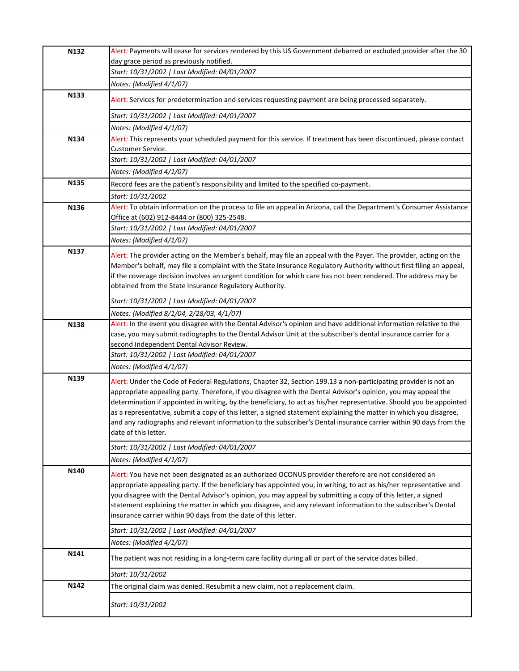| N132 | Alert: Payments will cease for services rendered by this US Government debarred or excluded provider after the 30                                                  |
|------|--------------------------------------------------------------------------------------------------------------------------------------------------------------------|
|      | day grace period as previously notified.                                                                                                                           |
|      | Start: 10/31/2002   Last Modified: 04/01/2007                                                                                                                      |
|      | Notes: (Modified 4/1/07)                                                                                                                                           |
| N133 | Alert: Services for predetermination and services requesting payment are being processed separately.                                                               |
|      | Start: 10/31/2002   Last Modified: 04/01/2007                                                                                                                      |
|      | Notes: (Modified 4/1/07)                                                                                                                                           |
| N134 | Alert: This represents your scheduled payment for this service. If treatment has been discontinued, please contact                                                 |
|      | <b>Customer Service.</b>                                                                                                                                           |
|      | Start: 10/31/2002   Last Modified: 04/01/2007                                                                                                                      |
|      | Notes: (Modified 4/1/07)                                                                                                                                           |
| N135 | Record fees are the patient's responsibility and limited to the specified co-payment.                                                                              |
|      | Start: 10/31/2002                                                                                                                                                  |
| N136 | Alert: To obtain information on the process to file an appeal in Arizona, call the Department's Consumer Assistance<br>Office at (602) 912-8444 or (800) 325-2548. |
|      | Start: 10/31/2002   Last Modified: 04/01/2007                                                                                                                      |
|      | Notes: (Modified 4/1/07)                                                                                                                                           |
| N137 | Alert: The provider acting on the Member's behalf, may file an appeal with the Payer. The provider, acting on the                                                  |
|      | Member's behalf, may file a complaint with the State Insurance Regulatory Authority without first filing an appeal,                                                |
|      | if the coverage decision involves an urgent condition for which care has not been rendered. The address may be                                                     |
|      | obtained from the State Insurance Regulatory Authority.                                                                                                            |
|      | Start: 10/31/2002   Last Modified: 04/01/2007                                                                                                                      |
|      | Notes: (Modified 8/1/04, 2/28/03, 4/1/07)                                                                                                                          |
| N138 | Alert: In the event you disagree with the Dental Advisor's opinion and have additional information relative to the                                                 |
|      | case, you may submit radiographs to the Dental Advisor Unit at the subscriber's dental insurance carrier for a                                                     |
|      | second Independent Dental Advisor Review.                                                                                                                          |
|      | Start: 10/31/2002   Last Modified: 04/01/2007                                                                                                                      |
|      | Notes: (Modified 4/1/07)                                                                                                                                           |
| N139 | Alert: Under the Code of Federal Regulations, Chapter 32, Section 199.13 a non-participating provider is not an                                                    |
|      | appropriate appealing party. Therefore, if you disagree with the Dental Advisor's opinion, you may appeal the                                                      |
|      | determination if appointed in writing, by the beneficiary, to act as his/her representative. Should you be appointed                                               |
|      | as a representative, submit a copy of this letter, a signed statement explaining the matter in which you disagree,                                                 |
|      | and any radiographs and relevant information to the subscriber's Dental insurance carrier within 90 days from the                                                  |
|      | date of this letter.                                                                                                                                               |
|      | Start: 10/31/2002   Last Modified: 04/01/2007                                                                                                                      |
|      | Notes: (Modified 4/1/07)                                                                                                                                           |
| N140 | Alert: You have not been designated as an authorized OCONUS provider therefore are not considered an                                                               |
|      | appropriate appealing party. If the beneficiary has appointed you, in writing, to act as his/her representative and                                                |
|      | you disagree with the Dental Advisor's opinion, you may appeal by submitting a copy of this letter, a signed                                                       |
|      | statement explaining the matter in which you disagree, and any relevant information to the subscriber's Dental                                                     |
|      | insurance carrier within 90 days from the date of this letter.                                                                                                     |
|      | Start: 10/31/2002   Last Modified: 04/01/2007                                                                                                                      |
|      | Notes: (Modified 4/1/07)                                                                                                                                           |
| N141 | The patient was not residing in a long-term care facility during all or part of the service dates billed.                                                          |
|      | Start: 10/31/2002                                                                                                                                                  |
| N142 | The original claim was denied. Resubmit a new claim, not a replacement claim.                                                                                      |
|      |                                                                                                                                                                    |
|      | Start: 10/31/2002                                                                                                                                                  |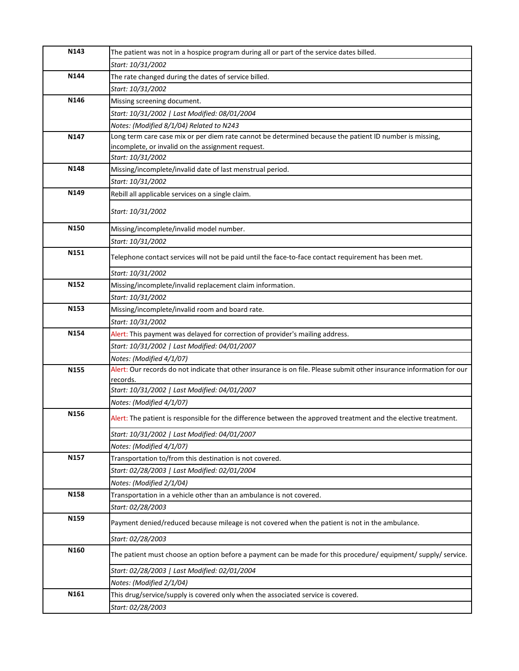| N143 | The patient was not in a hospice program during all or part of the service dates billed.                              |
|------|-----------------------------------------------------------------------------------------------------------------------|
|      | Start: 10/31/2002                                                                                                     |
| N144 | The rate changed during the dates of service billed.                                                                  |
|      | Start: 10/31/2002                                                                                                     |
| N146 | Missing screening document.                                                                                           |
|      | Start: 10/31/2002   Last Modified: 08/01/2004                                                                         |
|      | Notes: (Modified 8/1/04) Related to N243                                                                              |
| N147 | Long term care case mix or per diem rate cannot be determined because the patient ID number is missing,               |
|      | incomplete, or invalid on the assignment request.                                                                     |
|      | Start: 10/31/2002                                                                                                     |
| N148 | Missing/incomplete/invalid date of last menstrual period.                                                             |
|      | Start: 10/31/2002                                                                                                     |
| N149 | Rebill all applicable services on a single claim.                                                                     |
|      | Start: 10/31/2002                                                                                                     |
| N150 | Missing/incomplete/invalid model number.                                                                              |
|      | Start: 10/31/2002                                                                                                     |
| N151 | Telephone contact services will not be paid until the face-to-face contact requirement has been met.                  |
|      | Start: 10/31/2002                                                                                                     |
| N152 | Missing/incomplete/invalid replacement claim information.                                                             |
|      | Start: 10/31/2002                                                                                                     |
| N153 | Missing/incomplete/invalid room and board rate.                                                                       |
|      | Start: 10/31/2002                                                                                                     |
| N154 | Alert: This payment was delayed for correction of provider's mailing address.                                         |
|      | Start: 10/31/2002   Last Modified: 04/01/2007                                                                         |
|      | Notes: (Modified 4/1/07)                                                                                              |
| N155 | Alert: Our records do not indicate that other insurance is on file. Please submit other insurance information for our |
|      | records.                                                                                                              |
|      | Start: 10/31/2002   Last Modified: 04/01/2007                                                                         |
|      | Notes: (Modified 4/1/07)                                                                                              |
| N156 | Alert: The patient is responsible for the difference between the approved treatment and the elective treatment.       |
|      | Start: 10/31/2002   Last Modified: 04/01/2007                                                                         |
|      | Notes: (Modified 4/1/07)                                                                                              |
| N157 | Transportation to/from this destination is not covered.                                                               |
|      | Start: 02/28/2003   Last Modified: 02/01/2004                                                                         |
|      | Notes: (Modified 2/1/04)                                                                                              |
| N158 | Transportation in a vehicle other than an ambulance is not covered.                                                   |
|      | Start: 02/28/2003                                                                                                     |
| N159 | Payment denied/reduced because mileage is not covered when the patient is not in the ambulance.                       |
|      | Start: 02/28/2003                                                                                                     |
| N160 | The patient must choose an option before a payment can be made for this procedure/equipment/supply/service.           |
|      | Start: 02/28/2003   Last Modified: 02/01/2004                                                                         |
|      | Notes: (Modified 2/1/04)                                                                                              |
| N161 | This drug/service/supply is covered only when the associated service is covered.                                      |
|      | Start: 02/28/2003                                                                                                     |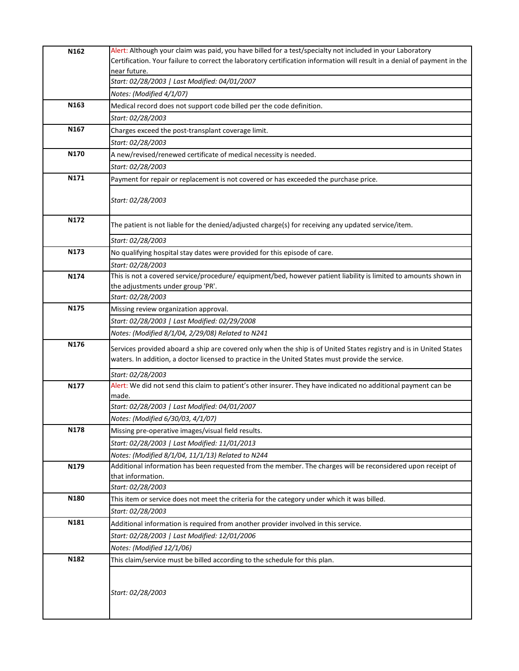| N162             | Alert: Although your claim was paid, you have billed for a test/specialty not included in your Laboratory                                                                                                                |
|------------------|--------------------------------------------------------------------------------------------------------------------------------------------------------------------------------------------------------------------------|
|                  | Certification. Your failure to correct the laboratory certification information will result in a denial of payment in the                                                                                                |
|                  | near future.                                                                                                                                                                                                             |
|                  | Start: 02/28/2003   Last Modified: 04/01/2007                                                                                                                                                                            |
|                  | Notes: (Modified 4/1/07)                                                                                                                                                                                                 |
| N <sub>163</sub> | Medical record does not support code billed per the code definition.                                                                                                                                                     |
|                  | Start: 02/28/2003                                                                                                                                                                                                        |
| N <sub>167</sub> | Charges exceed the post-transplant coverage limit.                                                                                                                                                                       |
|                  | Start: 02/28/2003                                                                                                                                                                                                        |
| N170             | A new/revised/renewed certificate of medical necessity is needed.                                                                                                                                                        |
|                  | Start: 02/28/2003                                                                                                                                                                                                        |
| N171             | Payment for repair or replacement is not covered or has exceeded the purchase price.                                                                                                                                     |
|                  | Start: 02/28/2003                                                                                                                                                                                                        |
| N172             | The patient is not liable for the denied/adjusted charge(s) for receiving any updated service/item.                                                                                                                      |
|                  | Start: 02/28/2003                                                                                                                                                                                                        |
| N173             | No qualifying hospital stay dates were provided for this episode of care.                                                                                                                                                |
|                  | Start: 02/28/2003                                                                                                                                                                                                        |
| N174             | This is not a covered service/procedure/ equipment/bed, however patient liability is limited to amounts shown in                                                                                                         |
|                  | the adjustments under group 'PR'.                                                                                                                                                                                        |
|                  | Start: 02/28/2003                                                                                                                                                                                                        |
| N <sub>175</sub> | Missing review organization approval.                                                                                                                                                                                    |
|                  | Start: 02/28/2003   Last Modified: 02/29/2008                                                                                                                                                                            |
|                  | Notes: (Modified 8/1/04, 2/29/08) Related to N241                                                                                                                                                                        |
| N176             | Services provided aboard a ship are covered only when the ship is of United States registry and is in United States<br>waters. In addition, a doctor licensed to practice in the United States must provide the service. |
|                  | Start: 02/28/2003                                                                                                                                                                                                        |
| N177             | Alert: We did not send this claim to patient's other insurer. They have indicated no additional payment can be                                                                                                           |
|                  | made.                                                                                                                                                                                                                    |
|                  | Start: 02/28/2003   Last Modified: 04/01/2007                                                                                                                                                                            |
|                  | Notes: (Modified 6/30/03, 4/1/07)                                                                                                                                                                                        |
| N178             | Missing pre-operative images/visual field results.                                                                                                                                                                       |
|                  | Start: 02/28/2003   Last Modified: 11/01/2013                                                                                                                                                                            |
|                  | Notes: (Modified 8/1/04, 11/1/13) Related to N244                                                                                                                                                                        |
| N179             | Additional information has been requested from the member. The charges will be reconsidered upon receipt of                                                                                                              |
|                  | that information.                                                                                                                                                                                                        |
|                  | Start: 02/28/2003                                                                                                                                                                                                        |
| N180             | This item or service does not meet the criteria for the category under which it was billed.                                                                                                                              |
|                  | Start: 02/28/2003                                                                                                                                                                                                        |
| N181             | Additional information is required from another provider involved in this service.                                                                                                                                       |
|                  | Start: 02/28/2003   Last Modified: 12/01/2006                                                                                                                                                                            |
|                  | Notes: (Modified 12/1/06)                                                                                                                                                                                                |
| N182             | This claim/service must be billed according to the schedule for this plan.                                                                                                                                               |
|                  | Start: 02/28/2003                                                                                                                                                                                                        |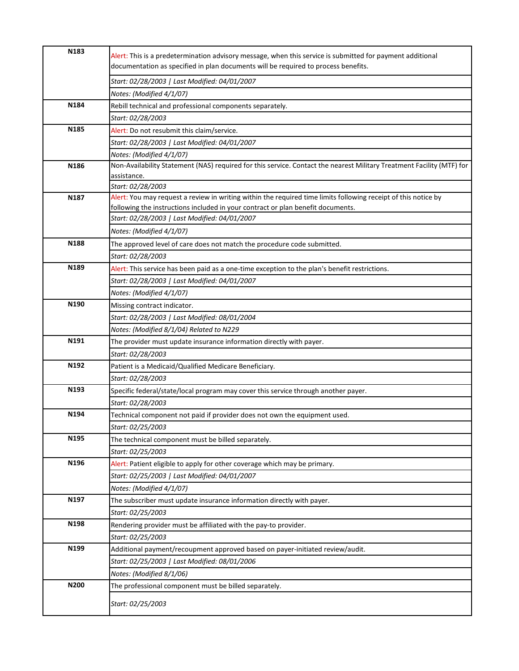| N183             | Alert: This is a predetermination advisory message, when this service is submitted for payment additional<br>documentation as specified in plan documents will be required to process benefits.   |
|------------------|---------------------------------------------------------------------------------------------------------------------------------------------------------------------------------------------------|
|                  | Start: 02/28/2003   Last Modified: 04/01/2007                                                                                                                                                     |
|                  | Notes: (Modified 4/1/07)                                                                                                                                                                          |
| N184             | Rebill technical and professional components separately.                                                                                                                                          |
|                  | Start: 02/28/2003                                                                                                                                                                                 |
| N185             | Alert: Do not resubmit this claim/service.                                                                                                                                                        |
|                  | Start: 02/28/2003   Last Modified: 04/01/2007                                                                                                                                                     |
|                  | Notes: (Modified 4/1/07)                                                                                                                                                                          |
| N186             | Non-Availability Statement (NAS) required for this service. Contact the nearest Military Treatment Facility (MTF) for                                                                             |
|                  | assistance.                                                                                                                                                                                       |
|                  | Start: 02/28/2003                                                                                                                                                                                 |
| N187             | Alert: You may request a review in writing within the required time limits following receipt of this notice by<br>following the instructions included in your contract or plan benefit documents. |
|                  | Start: 02/28/2003   Last Modified: 04/01/2007                                                                                                                                                     |
|                  | Notes: (Modified 4/1/07)                                                                                                                                                                          |
| N188             | The approved level of care does not match the procedure code submitted.                                                                                                                           |
|                  | Start: 02/28/2003                                                                                                                                                                                 |
| N189             | Alert: This service has been paid as a one-time exception to the plan's benefit restrictions.                                                                                                     |
|                  | Start: 02/28/2003   Last Modified: 04/01/2007                                                                                                                                                     |
|                  | Notes: (Modified 4/1/07)                                                                                                                                                                          |
| N <sub>190</sub> | Missing contract indicator.                                                                                                                                                                       |
|                  | Start: 02/28/2003   Last Modified: 08/01/2004                                                                                                                                                     |
|                  | Notes: (Modified 8/1/04) Related to N229                                                                                                                                                          |
| N191             | The provider must update insurance information directly with payer.                                                                                                                               |
|                  | Start: 02/28/2003                                                                                                                                                                                 |
| N192             | Patient is a Medicaid/Qualified Medicare Beneficiary.                                                                                                                                             |
|                  | Start: 02/28/2003                                                                                                                                                                                 |
| N193             | Specific federal/state/local program may cover this service through another payer.                                                                                                                |
|                  | Start: 02/28/2003                                                                                                                                                                                 |
| N194             | Technical component not paid if provider does not own the equipment used.                                                                                                                         |
|                  | Start: 02/25/2003                                                                                                                                                                                 |
| N <sub>195</sub> | The technical component must be billed separately.                                                                                                                                                |
|                  | Start: 02/25/2003                                                                                                                                                                                 |
| N196             | Alert: Patient eligible to apply for other coverage which may be primary.                                                                                                                         |
|                  | Start: 02/25/2003   Last Modified: 04/01/2007                                                                                                                                                     |
|                  | Notes: (Modified 4/1/07)                                                                                                                                                                          |
| N197             | The subscriber must update insurance information directly with payer.                                                                                                                             |
|                  | Start: 02/25/2003                                                                                                                                                                                 |
| N198             | Rendering provider must be affiliated with the pay-to provider.                                                                                                                                   |
|                  | Start: 02/25/2003                                                                                                                                                                                 |
| N199             | Additional payment/recoupment approved based on payer-initiated review/audit.                                                                                                                     |
|                  | Start: 02/25/2003   Last Modified: 08/01/2006                                                                                                                                                     |
|                  | Notes: (Modified 8/1/06)                                                                                                                                                                          |
| N200             | The professional component must be billed separately.                                                                                                                                             |
|                  | Start: 02/25/2003                                                                                                                                                                                 |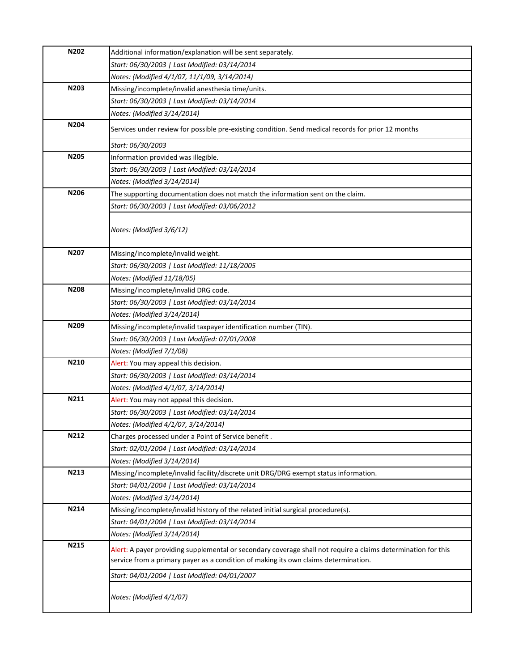| N202 | Additional information/explanation will be sent separately.                                                                                                                                          |
|------|------------------------------------------------------------------------------------------------------------------------------------------------------------------------------------------------------|
|      | Start: 06/30/2003   Last Modified: 03/14/2014                                                                                                                                                        |
|      | Notes: (Modified 4/1/07, 11/1/09, 3/14/2014)                                                                                                                                                         |
| N203 | Missing/incomplete/invalid anesthesia time/units.                                                                                                                                                    |
|      | Start: 06/30/2003   Last Modified: 03/14/2014                                                                                                                                                        |
|      | Notes: (Modified 3/14/2014)                                                                                                                                                                          |
| N204 | Services under review for possible pre-existing condition. Send medical records for prior 12 months                                                                                                  |
|      | Start: 06/30/2003                                                                                                                                                                                    |
| N205 | Information provided was illegible.                                                                                                                                                                  |
|      | Start: 06/30/2003   Last Modified: 03/14/2014                                                                                                                                                        |
|      | Notes: (Modified 3/14/2014)                                                                                                                                                                          |
| N206 | The supporting documentation does not match the information sent on the claim.                                                                                                                       |
|      | Start: 06/30/2003   Last Modified: 03/06/2012                                                                                                                                                        |
|      | Notes: (Modified 3/6/12)                                                                                                                                                                             |
| N207 | Missing/incomplete/invalid weight.                                                                                                                                                                   |
|      | Start: 06/30/2003   Last Modified: 11/18/2005                                                                                                                                                        |
|      | Notes: (Modified 11/18/05)                                                                                                                                                                           |
| N208 | Missing/incomplete/invalid DRG code.                                                                                                                                                                 |
|      | Start: 06/30/2003   Last Modified: 03/14/2014                                                                                                                                                        |
|      | Notes: (Modified 3/14/2014)                                                                                                                                                                          |
| N209 | Missing/incomplete/invalid taxpayer identification number (TIN).                                                                                                                                     |
|      | Start: 06/30/2003   Last Modified: 07/01/2008                                                                                                                                                        |
|      | Notes: (Modified 7/1/08)                                                                                                                                                                             |
| N210 | Alert: You may appeal this decision.                                                                                                                                                                 |
|      | Start: 06/30/2003   Last Modified: 03/14/2014                                                                                                                                                        |
|      | Notes: (Modified 4/1/07, 3/14/2014)                                                                                                                                                                  |
| N211 | Alert: You may not appeal this decision.                                                                                                                                                             |
|      | Start: 06/30/2003   Last Modified: 03/14/2014                                                                                                                                                        |
|      | Notes: (Modified 4/1/07, 3/14/2014)                                                                                                                                                                  |
| N212 | Charges processed under a Point of Service benefit.                                                                                                                                                  |
|      | Start: 02/01/2004   Last Modified: 03/14/2014                                                                                                                                                        |
|      | Notes: (Modified 3/14/2014)                                                                                                                                                                          |
| N213 | Missing/incomplete/invalid facility/discrete unit DRG/DRG exempt status information.                                                                                                                 |
|      | Start: 04/01/2004   Last Modified: 03/14/2014                                                                                                                                                        |
|      | Notes: (Modified 3/14/2014)                                                                                                                                                                          |
| N214 | Missing/incomplete/invalid history of the related initial surgical procedure(s).                                                                                                                     |
|      | Start: 04/01/2004   Last Modified: 03/14/2014                                                                                                                                                        |
|      | Notes: (Modified 3/14/2014)                                                                                                                                                                          |
| N215 | Alert: A payer providing supplemental or secondary coverage shall not require a claims determination for this<br>service from a primary payer as a condition of making its own claims determination. |
|      | Start: 04/01/2004   Last Modified: 04/01/2007                                                                                                                                                        |
|      | Notes: (Modified 4/1/07)                                                                                                                                                                             |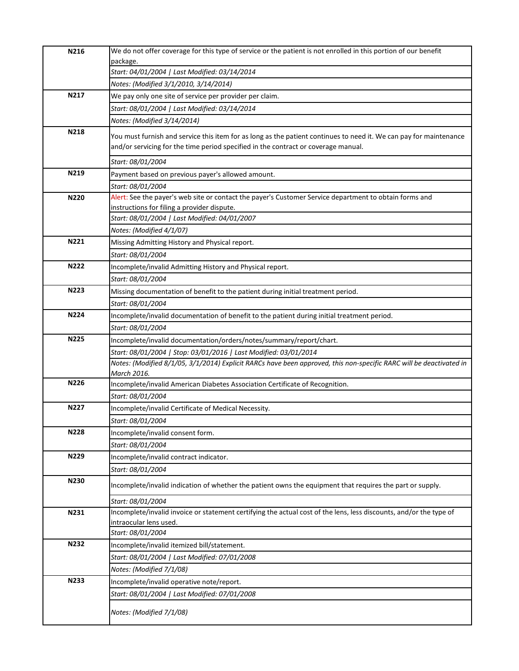| N216        | We do not offer coverage for this type of service or the patient is not enrolled in this portion of our benefit                                                                                          |
|-------------|----------------------------------------------------------------------------------------------------------------------------------------------------------------------------------------------------------|
|             | package.<br>Start: 04/01/2004   Last Modified: 03/14/2014                                                                                                                                                |
|             | Notes: (Modified 3/1/2010, 3/14/2014)                                                                                                                                                                    |
| N217        | We pay only one site of service per provider per claim.                                                                                                                                                  |
|             | Start: 08/01/2004   Last Modified: 03/14/2014                                                                                                                                                            |
|             | Notes: (Modified 3/14/2014)                                                                                                                                                                              |
| N218        |                                                                                                                                                                                                          |
|             | You must furnish and service this item for as long as the patient continues to need it. We can pay for maintenance<br>and/or servicing for the time period specified in the contract or coverage manual. |
|             | Start: 08/01/2004                                                                                                                                                                                        |
| N219        | Payment based on previous payer's allowed amount.                                                                                                                                                        |
|             | Start: 08/01/2004                                                                                                                                                                                        |
| N220        | Alert: See the payer's web site or contact the payer's Customer Service department to obtain forms and                                                                                                   |
|             | instructions for filing a provider dispute.                                                                                                                                                              |
|             | Start: 08/01/2004   Last Modified: 04/01/2007                                                                                                                                                            |
|             | Notes: (Modified 4/1/07)                                                                                                                                                                                 |
| N221        | Missing Admitting History and Physical report.                                                                                                                                                           |
|             | Start: 08/01/2004                                                                                                                                                                                        |
| <b>N222</b> | Incomplete/invalid Admitting History and Physical report.                                                                                                                                                |
|             | Start: 08/01/2004                                                                                                                                                                                        |
| N223        | Missing documentation of benefit to the patient during initial treatment period.                                                                                                                         |
|             | Start: 08/01/2004                                                                                                                                                                                        |
| <b>N224</b> | Incomplete/invalid documentation of benefit to the patient during initial treatment period.                                                                                                              |
|             | Start: 08/01/2004                                                                                                                                                                                        |
| <b>N225</b> | Incomplete/invalid documentation/orders/notes/summary/report/chart.                                                                                                                                      |
|             | Start: 08/01/2004   Stop: 03/01/2016   Last Modified: 03/01/2014                                                                                                                                         |
|             | Notes: (Modified 8/1/05, 3/1/2014) Explicit RARCs have been approved, this non-specific RARC will be deactivated in                                                                                      |
|             | March 2016.                                                                                                                                                                                              |
| N226        | Incomplete/invalid American Diabetes Association Certificate of Recognition.                                                                                                                             |
|             | Start: 08/01/2004                                                                                                                                                                                        |
| N227        | Incomplete/invalid Certificate of Medical Necessity.                                                                                                                                                     |
|             | Start: 08/01/2004                                                                                                                                                                                        |
| <b>N228</b> | Incomplete/invalid consent form.                                                                                                                                                                         |
|             | Start: 08/01/2004                                                                                                                                                                                        |
| N229        | Incomplete/invalid contract indicator.                                                                                                                                                                   |
|             | Start: 08/01/2004                                                                                                                                                                                        |
| N230        | Incomplete/invalid indication of whether the patient owns the equipment that requires the part or supply.                                                                                                |
|             | Start: 08/01/2004                                                                                                                                                                                        |
| N231        | Incomplete/invalid invoice or statement certifying the actual cost of the lens, less discounts, and/or the type of                                                                                       |
|             | intraocular lens used.                                                                                                                                                                                   |
| N232        | Start: 08/01/2004                                                                                                                                                                                        |
|             | Incomplete/invalid itemized bill/statement.                                                                                                                                                              |
|             | Start: 08/01/2004   Last Modified: 07/01/2008                                                                                                                                                            |
|             | Notes: (Modified 7/1/08)                                                                                                                                                                                 |
| N233        | Incomplete/invalid operative note/report.                                                                                                                                                                |
|             | Start: 08/01/2004   Last Modified: 07/01/2008                                                                                                                                                            |
|             |                                                                                                                                                                                                          |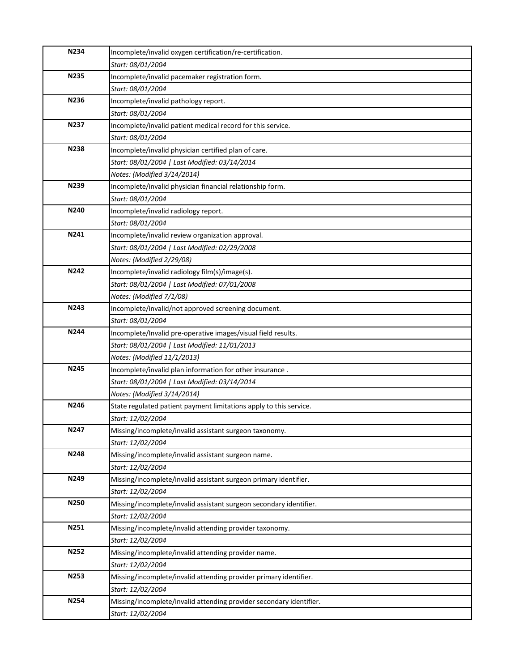| N234        | Incomplete/invalid oxygen certification/re-certification.           |
|-------------|---------------------------------------------------------------------|
|             | Start: 08/01/2004                                                   |
| <b>N235</b> | Incomplete/invalid pacemaker registration form.                     |
|             | Start: 08/01/2004                                                   |
| N236        | Incomplete/invalid pathology report.                                |
|             | Start: 08/01/2004                                                   |
| N237        | Incomplete/invalid patient medical record for this service.         |
|             | Start: 08/01/2004                                                   |
| N238        | Incomplete/invalid physician certified plan of care.                |
|             | Start: 08/01/2004   Last Modified: 03/14/2014                       |
|             | Notes: (Modified 3/14/2014)                                         |
| N239        | Incomplete/invalid physician financial relationship form.           |
|             | Start: 08/01/2004                                                   |
| N240        | Incomplete/invalid radiology report.                                |
|             | Start: 08/01/2004                                                   |
| N241        | Incomplete/invalid review organization approval.                    |
|             | Start: 08/01/2004   Last Modified: 02/29/2008                       |
|             | Notes: (Modified 2/29/08)                                           |
| N242        | Incomplete/invalid radiology film(s)/image(s).                      |
|             | Start: 08/01/2004   Last Modified: 07/01/2008                       |
|             | Notes: (Modified 7/1/08)                                            |
| N243        | Incomplete/invalid/not approved screening document.                 |
|             | Start: 08/01/2004                                                   |
| N244        | Incomplete/Invalid pre-operative images/visual field results.       |
|             | Start: 08/01/2004   Last Modified: 11/01/2013                       |
|             | Notes: (Modified 11/1/2013)                                         |
| N245        | Incomplete/invalid plan information for other insurance.            |
|             | Start: 08/01/2004   Last Modified: 03/14/2014                       |
|             | Notes: (Modified 3/14/2014)                                         |
| N246        | State regulated patient payment limitations apply to this service.  |
|             | Start: 12/02/2004                                                   |
| N247        | Missing/incomplete/invalid assistant surgeon taxonomy.              |
|             | Start: 12/02/2004                                                   |
| N248        | Missing/incomplete/invalid assistant surgeon name.                  |
|             | Start: 12/02/2004                                                   |
| N249        | Missing/incomplete/invalid assistant surgeon primary identifier.    |
|             | Start: 12/02/2004                                                   |
| N250        | Missing/incomplete/invalid assistant surgeon secondary identifier.  |
|             | Start: 12/02/2004                                                   |
| N251        | Missing/incomplete/invalid attending provider taxonomy.             |
|             | Start: 12/02/2004                                                   |
| N252        | Missing/incomplete/invalid attending provider name.                 |
|             | Start: 12/02/2004                                                   |
| N253        | Missing/incomplete/invalid attending provider primary identifier.   |
|             | Start: 12/02/2004                                                   |
|             |                                                                     |
| N254        | Missing/incomplete/invalid attending provider secondary identifier. |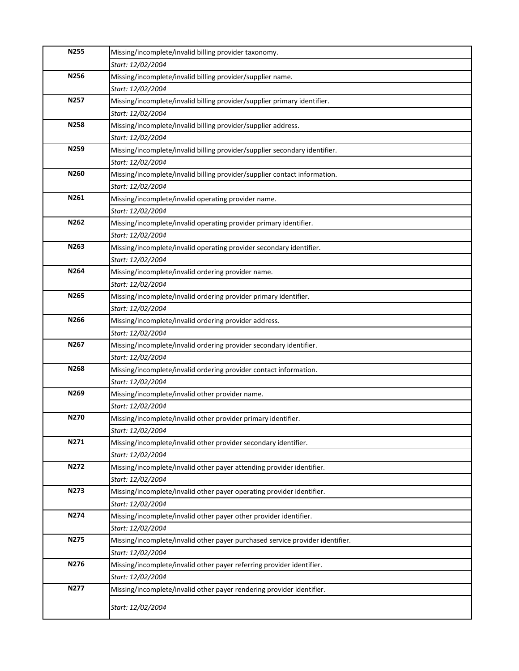| N255        | Missing/incomplete/invalid billing provider taxonomy.                         |
|-------------|-------------------------------------------------------------------------------|
|             | Start: 12/02/2004                                                             |
| N256        | Missing/incomplete/invalid billing provider/supplier name.                    |
|             | Start: 12/02/2004                                                             |
| N257        | Missing/incomplete/invalid billing provider/supplier primary identifier.      |
|             | Start: 12/02/2004                                                             |
| <b>N258</b> | Missing/incomplete/invalid billing provider/supplier address.                 |
|             | Start: 12/02/2004                                                             |
| N259        | Missing/incomplete/invalid billing provider/supplier secondary identifier.    |
|             | Start: 12/02/2004                                                             |
| N260        | Missing/incomplete/invalid billing provider/supplier contact information.     |
|             | Start: 12/02/2004                                                             |
| N261        | Missing/incomplete/invalid operating provider name.                           |
|             | Start: 12/02/2004                                                             |
| N262        | Missing/incomplete/invalid operating provider primary identifier.             |
|             | Start: 12/02/2004                                                             |
| N263        | Missing/incomplete/invalid operating provider secondary identifier.           |
|             | Start: 12/02/2004                                                             |
| N264        | Missing/incomplete/invalid ordering provider name.                            |
|             | Start: 12/02/2004                                                             |
| N265        | Missing/incomplete/invalid ordering provider primary identifier.              |
|             | Start: 12/02/2004                                                             |
| N266        | Missing/incomplete/invalid ordering provider address.                         |
|             | Start: 12/02/2004                                                             |
| N267        | Missing/incomplete/invalid ordering provider secondary identifier.            |
|             | Start: 12/02/2004                                                             |
| N268        | Missing/incomplete/invalid ordering provider contact information.             |
|             | Start: 12/02/2004                                                             |
| N269        | Missing/incomplete/invalid other provider name.                               |
|             | Start: 12/02/2004                                                             |
| N270        | Missing/incomplete/invalid other provider primary identifier.                 |
|             | Start: 12/02/2004                                                             |
| N271        | Missing/incomplete/invalid other provider secondary identifier.               |
|             | Start: 12/02/2004                                                             |
| N272        | Missing/incomplete/invalid other payer attending provider identifier.         |
|             | Start: 12/02/2004                                                             |
| N273        | Missing/incomplete/invalid other payer operating provider identifier.         |
|             | Start: 12/02/2004                                                             |
| N274        | Missing/incomplete/invalid other payer other provider identifier.             |
|             | Start: 12/02/2004                                                             |
| N275        | Missing/incomplete/invalid other payer purchased service provider identifier. |
|             | Start: 12/02/2004                                                             |
| N276        | Missing/incomplete/invalid other payer referring provider identifier.         |
|             | Start: 12/02/2004                                                             |
| N277        | Missing/incomplete/invalid other payer rendering provider identifier.         |
|             |                                                                               |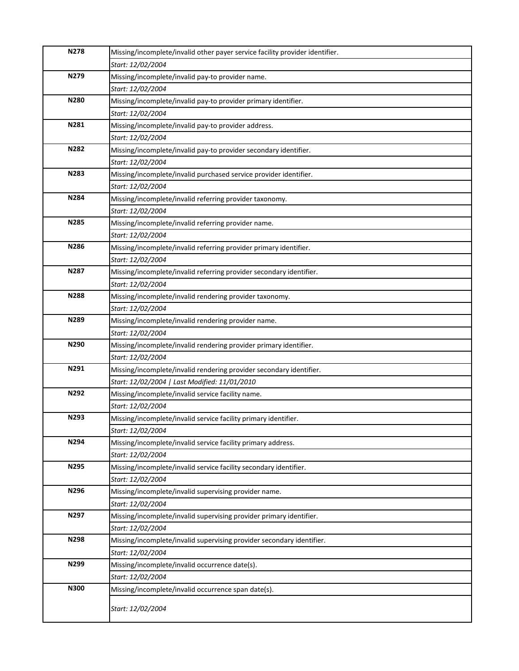| <b>N278</b> | Missing/incomplete/invalid other payer service facility provider identifier.           |
|-------------|----------------------------------------------------------------------------------------|
|             | Start: 12/02/2004                                                                      |
| N279        | Missing/incomplete/invalid pay-to provider name.                                       |
|             | Start: 12/02/2004                                                                      |
| N280        | Missing/incomplete/invalid pay-to provider primary identifier.                         |
|             | Start: 12/02/2004                                                                      |
| N281        | Missing/incomplete/invalid pay-to provider address.                                    |
|             | Start: 12/02/2004                                                                      |
| N282        | Missing/incomplete/invalid pay-to provider secondary identifier.                       |
|             | Start: 12/02/2004                                                                      |
| N283        | Missing/incomplete/invalid purchased service provider identifier.                      |
|             | Start: 12/02/2004                                                                      |
| N284        | Missing/incomplete/invalid referring provider taxonomy.                                |
|             | Start: 12/02/2004                                                                      |
| N285        | Missing/incomplete/invalid referring provider name.                                    |
|             | Start: 12/02/2004                                                                      |
| N286        | Missing/incomplete/invalid referring provider primary identifier.                      |
|             | Start: 12/02/2004                                                                      |
| N287        | Missing/incomplete/invalid referring provider secondary identifier.                    |
|             | Start: 12/02/2004                                                                      |
| N288        | Missing/incomplete/invalid rendering provider taxonomy.                                |
|             | Start: 12/02/2004                                                                      |
| N289        | Missing/incomplete/invalid rendering provider name.                                    |
| N290        | Start: 12/02/2004                                                                      |
|             | Missing/incomplete/invalid rendering provider primary identifier.<br>Start: 12/02/2004 |
| N291        | Missing/incomplete/invalid rendering provider secondary identifier.                    |
|             | Start: 12/02/2004   Last Modified: 11/01/2010                                          |
| N292        | Missing/incomplete/invalid service facility name.                                      |
|             | Start: 12/02/2004                                                                      |
| N293        | Missing/incomplete/invalid service facility primary identifier.                        |
|             | Start: 12/02/2004                                                                      |
| N294        | Missing/incomplete/invalid service facility primary address.                           |
|             | Start: 12/02/2004                                                                      |
| N295        | Missing/incomplete/invalid service facility secondary identifier.                      |
|             | Start: 12/02/2004                                                                      |
| N296        | Missing/incomplete/invalid supervising provider name.                                  |
|             | Start: 12/02/2004                                                                      |
| N297        | Missing/incomplete/invalid supervising provider primary identifier.                    |
|             | Start: 12/02/2004                                                                      |
| N298        | Missing/incomplete/invalid supervising provider secondary identifier.                  |
|             | Start: 12/02/2004                                                                      |
| N299        | Missing/incomplete/invalid occurrence date(s).                                         |
|             | Start: 12/02/2004                                                                      |
| N300        | Missing/incomplete/invalid occurrence span date(s).                                    |
|             | Start: 12/02/2004                                                                      |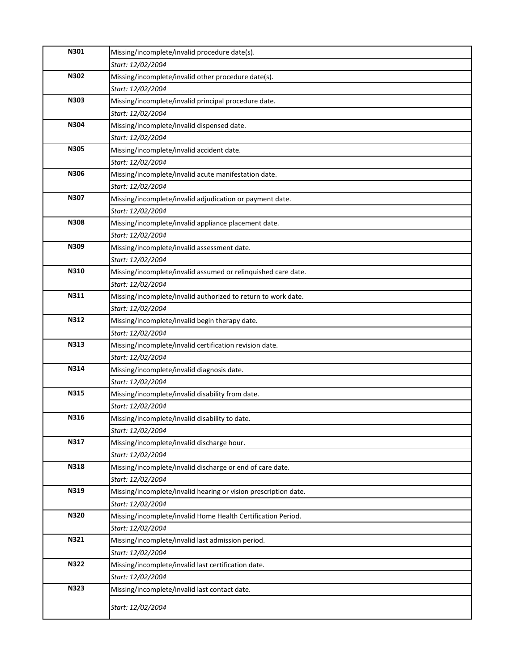| N301        | Missing/incomplete/invalid procedure date(s).                   |
|-------------|-----------------------------------------------------------------|
|             | Start: 12/02/2004                                               |
| N302        | Missing/incomplete/invalid other procedure date(s).             |
|             | Start: 12/02/2004                                               |
| N303        | Missing/incomplete/invalid principal procedure date.            |
|             | Start: 12/02/2004                                               |
| N304        | Missing/incomplete/invalid dispensed date.                      |
|             | Start: 12/02/2004                                               |
| <b>N305</b> | Missing/incomplete/invalid accident date.                       |
|             | Start: 12/02/2004                                               |
| N306        | Missing/incomplete/invalid acute manifestation date.            |
|             | Start: 12/02/2004                                               |
| N307        | Missing/incomplete/invalid adjudication or payment date.        |
|             | Start: 12/02/2004                                               |
| N308        | Missing/incomplete/invalid appliance placement date.            |
|             | Start: 12/02/2004                                               |
| N309        | Missing/incomplete/invalid assessment date.                     |
|             | Start: 12/02/2004                                               |
| N310        | Missing/incomplete/invalid assumed or relinquished care date.   |
|             | Start: 12/02/2004                                               |
| N311        | Missing/incomplete/invalid authorized to return to work date.   |
|             | Start: 12/02/2004                                               |
| N312        | Missing/incomplete/invalid begin therapy date.                  |
|             | Start: 12/02/2004                                               |
| N313        | Missing/incomplete/invalid certification revision date.         |
|             | Start: 12/02/2004                                               |
| N314        | Missing/incomplete/invalid diagnosis date.                      |
|             | Start: 12/02/2004                                               |
| N315        | Missing/incomplete/invalid disability from date.                |
|             | Start: 12/02/2004                                               |
| N316        | Missing/incomplete/invalid disability to date.                  |
|             | Start: 12/02/2004                                               |
| N317        | Missing/incomplete/invalid discharge hour.                      |
|             | Start: 12/02/2004                                               |
| N318        | Missing/incomplete/invalid discharge or end of care date.       |
|             | Start: 12/02/2004                                               |
| N319        | Missing/incomplete/invalid hearing or vision prescription date. |
| <b>N320</b> | Start: 12/02/2004                                               |
|             | Missing/incomplete/invalid Home Health Certification Period.    |
|             | Start: 12/02/2004                                               |
| N321        | Missing/incomplete/invalid last admission period.               |
|             | Start: 12/02/2004                                               |
| N322        | Missing/incomplete/invalid last certification date.             |
|             | Start: 12/02/2004                                               |
|             | Missing/incomplete/invalid last contact date.                   |
| N323        |                                                                 |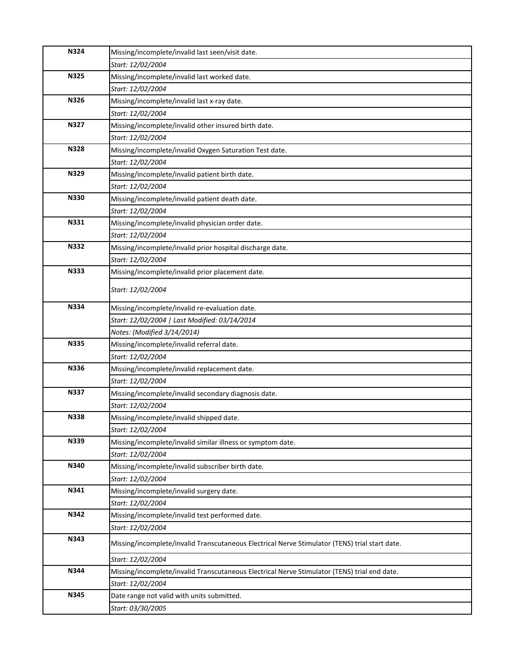| <b>N324</b> | Missing/incomplete/invalid last seen/visit date.                                               |
|-------------|------------------------------------------------------------------------------------------------|
|             | Start: 12/02/2004                                                                              |
| <b>N325</b> | Missing/incomplete/invalid last worked date.                                                   |
|             | Start: 12/02/2004                                                                              |
| N326        | Missing/incomplete/invalid last x-ray date.                                                    |
|             | Start: 12/02/2004                                                                              |
| N327        | Missing/incomplete/invalid other insured birth date.                                           |
|             | Start: 12/02/2004                                                                              |
| <b>N328</b> | Missing/incomplete/invalid Oxygen Saturation Test date.                                        |
|             | Start: 12/02/2004                                                                              |
| N329        | Missing/incomplete/invalid patient birth date.                                                 |
|             | Start: 12/02/2004                                                                              |
| N330        | Missing/incomplete/invalid patient death date.                                                 |
|             | Start: 12/02/2004                                                                              |
| N331        | Missing/incomplete/invalid physician order date.                                               |
|             | Start: 12/02/2004                                                                              |
| N332        | Missing/incomplete/invalid prior hospital discharge date.                                      |
|             | Start: 12/02/2004                                                                              |
| N333        | Missing/incomplete/invalid prior placement date.                                               |
|             | Start: 12/02/2004                                                                              |
| N334        | Missing/incomplete/invalid re-evaluation date.                                                 |
|             | Start: 12/02/2004   Last Modified: 03/14/2014                                                  |
|             | Notes: (Modified 3/14/2014)                                                                    |
| <b>N335</b> | Missing/incomplete/invalid referral date.                                                      |
|             | Start: 12/02/2004                                                                              |
| N336        | Missing/incomplete/invalid replacement date.                                                   |
|             | Start: 12/02/2004                                                                              |
| <b>N337</b> | Missing/incomplete/invalid secondary diagnosis date.                                           |
|             | Start: 12/02/2004                                                                              |
| <b>N338</b> | Missing/incomplete/invalid shipped date.                                                       |
|             | Start: 12/02/2004                                                                              |
| N339        | Missing/incomplete/invalid similar illness or symptom date.                                    |
|             | Start: 12/02/2004                                                                              |
| N340        | Missing/incomplete/invalid subscriber birth date.                                              |
|             | Start: 12/02/2004                                                                              |
| N341        | Missing/incomplete/invalid surgery date.                                                       |
|             | Start: 12/02/2004                                                                              |
| N342        | Missing/incomplete/invalid test performed date.                                                |
|             | Start: 12/02/2004                                                                              |
| N343        | Missing/incomplete/invalid Transcutaneous Electrical Nerve Stimulator (TENS) trial start date. |
|             | Start: 12/02/2004                                                                              |
| N344        | Missing/incomplete/invalid Transcutaneous Electrical Nerve Stimulator (TENS) trial end date.   |
|             | Start: 12/02/2004                                                                              |
| N345        | Date range not valid with units submitted.                                                     |
|             | Start: 03/30/2005                                                                              |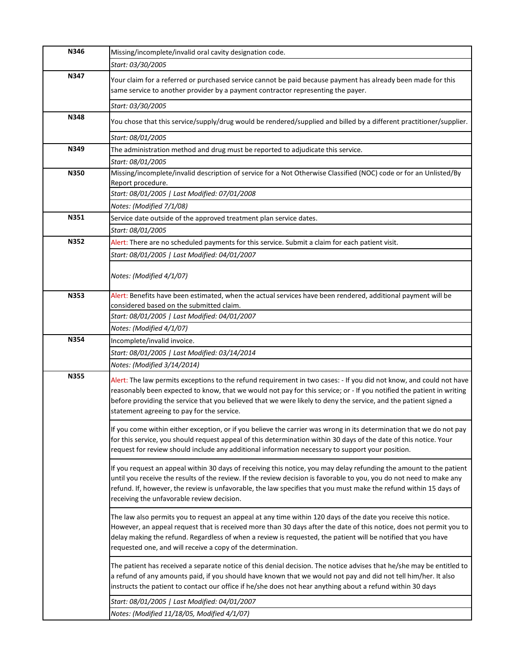| N346        | Missing/incomplete/invalid oral cavity designation code.                                                                                                                                                                                                                                                                                                                                                               |
|-------------|------------------------------------------------------------------------------------------------------------------------------------------------------------------------------------------------------------------------------------------------------------------------------------------------------------------------------------------------------------------------------------------------------------------------|
|             | Start: 03/30/2005                                                                                                                                                                                                                                                                                                                                                                                                      |
| N347        | Your claim for a referred or purchased service cannot be paid because payment has already been made for this<br>same service to another provider by a payment contractor representing the payer.                                                                                                                                                                                                                       |
|             | Start: 03/30/2005                                                                                                                                                                                                                                                                                                                                                                                                      |
| N348        | You chose that this service/supply/drug would be rendered/supplied and billed by a different practitioner/supplier.                                                                                                                                                                                                                                                                                                    |
|             | Start: 08/01/2005                                                                                                                                                                                                                                                                                                                                                                                                      |
| N349        | The administration method and drug must be reported to adjudicate this service.                                                                                                                                                                                                                                                                                                                                        |
|             | Start: 08/01/2005                                                                                                                                                                                                                                                                                                                                                                                                      |
| N350        | Missing/incomplete/invalid description of service for a Not Otherwise Classified (NOC) code or for an Unlisted/By                                                                                                                                                                                                                                                                                                      |
|             | Report procedure.                                                                                                                                                                                                                                                                                                                                                                                                      |
|             | Start: 08/01/2005   Last Modified: 07/01/2008                                                                                                                                                                                                                                                                                                                                                                          |
|             | Notes: (Modified 7/1/08)                                                                                                                                                                                                                                                                                                                                                                                               |
| N351        | Service date outside of the approved treatment plan service dates.                                                                                                                                                                                                                                                                                                                                                     |
|             | Start: 08/01/2005                                                                                                                                                                                                                                                                                                                                                                                                      |
| N352        | Alert: There are no scheduled payments for this service. Submit a claim for each patient visit.                                                                                                                                                                                                                                                                                                                        |
|             | Start: 08/01/2005   Last Modified: 04/01/2007                                                                                                                                                                                                                                                                                                                                                                          |
|             | Notes: (Modified 4/1/07)                                                                                                                                                                                                                                                                                                                                                                                               |
| N353        | Alert: Benefits have been estimated, when the actual services have been rendered, additional payment will be                                                                                                                                                                                                                                                                                                           |
|             | considered based on the submitted claim.                                                                                                                                                                                                                                                                                                                                                                               |
|             | Start: 08/01/2005   Last Modified: 04/01/2007                                                                                                                                                                                                                                                                                                                                                                          |
|             | Notes: (Modified 4/1/07)                                                                                                                                                                                                                                                                                                                                                                                               |
| <b>N354</b> | Incomplete/invalid invoice.                                                                                                                                                                                                                                                                                                                                                                                            |
|             | Start: 08/01/2005   Last Modified: 03/14/2014                                                                                                                                                                                                                                                                                                                                                                          |
|             | Notes: (Modified 3/14/2014)                                                                                                                                                                                                                                                                                                                                                                                            |
| N355        | Alert: The law permits exceptions to the refund requirement in two cases: - If you did not know, and could not have<br>reasonably been expected to know, that we would not pay for this service; or - If you notified the patient in writing<br>before providing the service that you believed that we were likely to deny the service, and the patient signed a<br>statement agreeing to pay for the service.         |
|             | If you come within either exception, or if you believe the carrier was wrong in its determination that we do not pay<br>for this service, you should request appeal of this determination within 30 days of the date of this notice. Your<br>request for review should include any additional information necessary to support your position.                                                                          |
|             | If you request an appeal within 30 days of receiving this notice, you may delay refunding the amount to the patient<br>until you receive the results of the review. If the review decision is favorable to you, you do not need to make any<br>refund. If, however, the review is unfavorable, the law specifies that you must make the refund within 15 days of<br>receiving the unfavorable review decision.         |
|             | The law also permits you to request an appeal at any time within 120 days of the date you receive this notice.<br>However, an appeal request that is received more than 30 days after the date of this notice, does not permit you to<br>delay making the refund. Regardless of when a review is requested, the patient will be notified that you have<br>requested one, and will receive a copy of the determination. |
|             | The patient has received a separate notice of this denial decision. The notice advises that he/she may be entitled to<br>a refund of any amounts paid, if you should have known that we would not pay and did not tell him/her. It also<br>instructs the patient to contact our office if he/she does not hear anything about a refund within 30 days                                                                  |
|             | Start: 08/01/2005   Last Modified: 04/01/2007                                                                                                                                                                                                                                                                                                                                                                          |
|             | Notes: (Modified 11/18/05, Modified 4/1/07)                                                                                                                                                                                                                                                                                                                                                                            |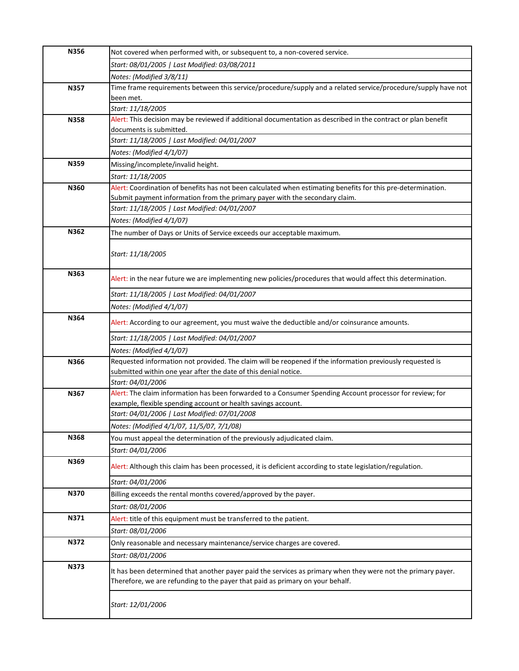| N356        | Not covered when performed with, or subsequent to, a non-covered service.                                                                |
|-------------|------------------------------------------------------------------------------------------------------------------------------------------|
|             | Start: 08/01/2005   Last Modified: 03/08/2011                                                                                            |
|             | Notes: (Modified 3/8/11)                                                                                                                 |
| N357        | Time frame requirements between this service/procedure/supply and a related service/procedure/supply have not                            |
|             | been met.                                                                                                                                |
|             | Start: 11/18/2005                                                                                                                        |
| <b>N358</b> | Alert: This decision may be reviewed if additional documentation as described in the contract or plan benefit<br>documents is submitted. |
|             | Start: 11/18/2005   Last Modified: 04/01/2007                                                                                            |
|             | Notes: (Modified 4/1/07)                                                                                                                 |
| N359        | Missing/incomplete/invalid height.                                                                                                       |
|             | Start: 11/18/2005                                                                                                                        |
| N360        | Alert: Coordination of benefits has not been calculated when estimating benefits for this pre-determination.                             |
|             | Submit payment information from the primary payer with the secondary claim.                                                              |
|             | Start: 11/18/2005   Last Modified: 04/01/2007                                                                                            |
|             | Notes: (Modified 4/1/07)                                                                                                                 |
| N362        | The number of Days or Units of Service exceeds our acceptable maximum.                                                                   |
|             |                                                                                                                                          |
|             | Start: 11/18/2005                                                                                                                        |
| N363        |                                                                                                                                          |
|             | Alert: in the near future we are implementing new policies/procedures that would affect this determination.                              |
|             | Start: 11/18/2005   Last Modified: 04/01/2007                                                                                            |
|             | Notes: (Modified 4/1/07)                                                                                                                 |
| N364        | Alert: According to our agreement, you must waive the deductible and/or coinsurance amounts.                                             |
|             |                                                                                                                                          |
|             | Start: 11/18/2005   Last Modified: 04/01/2007                                                                                            |
| N366        | Notes: (Modified 4/1/07)<br>Requested information not provided. The claim will be reopened if the information previously requested is    |
|             | submitted within one year after the date of this denial notice.                                                                          |
|             | Start: 04/01/2006                                                                                                                        |
| N367        | Alert: The claim information has been forwarded to a Consumer Spending Account processor for review; for                                 |
|             | example, flexible spending account or health savings account.                                                                            |
|             | Start: 04/01/2006   Last Modified: 07/01/2008                                                                                            |
|             | Notes: (Modified 4/1/07, 11/5/07, 7/1/08)                                                                                                |
| N368        | You must appeal the determination of the previously adjudicated claim.                                                                   |
|             | Start: 04/01/2006                                                                                                                        |
| N369        | Alert: Although this claim has been processed, it is deficient according to state legislation/regulation.                                |
|             | Start: 04/01/2006                                                                                                                        |
| N370        | Billing exceeds the rental months covered/approved by the payer.                                                                         |
|             | Start: 08/01/2006                                                                                                                        |
| N371        | Alert: title of this equipment must be transferred to the patient.                                                                       |
|             | Start: 08/01/2006                                                                                                                        |
| N372        | Only reasonable and necessary maintenance/service charges are covered.                                                                   |
|             | Start: 08/01/2006                                                                                                                        |
| N373        |                                                                                                                                          |
|             | It has been determined that another payer paid the services as primary when they were not the primary payer.                             |
|             | Therefore, we are refunding to the payer that paid as primary on your behalf.                                                            |
|             |                                                                                                                                          |
|             | Start: 12/01/2006                                                                                                                        |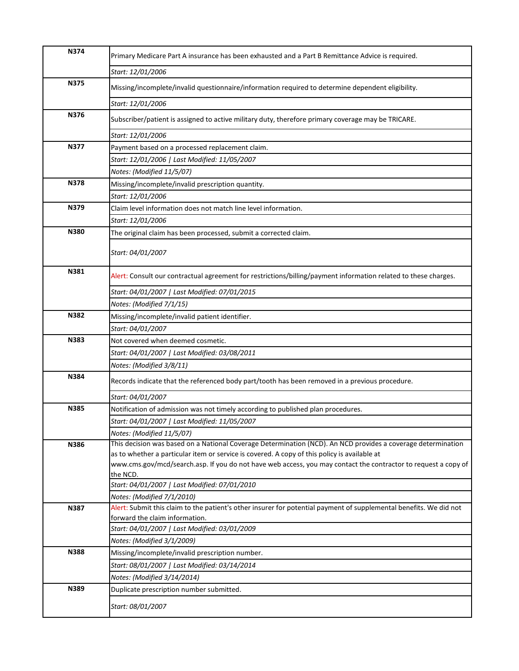| N374        | Primary Medicare Part A insurance has been exhausted and a Part B Remittance Advice is required.                                                                                                               |
|-------------|----------------------------------------------------------------------------------------------------------------------------------------------------------------------------------------------------------------|
|             | Start: 12/01/2006                                                                                                                                                                                              |
| N375        | Missing/incomplete/invalid questionnaire/information required to determine dependent eligibility.                                                                                                              |
|             | Start: 12/01/2006                                                                                                                                                                                              |
| N376        | Subscriber/patient is assigned to active military duty, therefore primary coverage may be TRICARE.                                                                                                             |
|             | Start: 12/01/2006                                                                                                                                                                                              |
| <b>N377</b> | Payment based on a processed replacement claim.                                                                                                                                                                |
|             | Start: 12/01/2006   Last Modified: 11/05/2007                                                                                                                                                                  |
|             | Notes: (Modified 11/5/07)                                                                                                                                                                                      |
| <b>N378</b> | Missing/incomplete/invalid prescription quantity.                                                                                                                                                              |
|             | Start: 12/01/2006                                                                                                                                                                                              |
| N379        | Claim level information does not match line level information.                                                                                                                                                 |
|             | Start: 12/01/2006                                                                                                                                                                                              |
| N380        | The original claim has been processed, submit a corrected claim.                                                                                                                                               |
|             | Start: 04/01/2007                                                                                                                                                                                              |
| N381        | Alert: Consult our contractual agreement for restrictions/billing/payment information related to these charges.                                                                                                |
|             | Start: 04/01/2007   Last Modified: 07/01/2015                                                                                                                                                                  |
|             | Notes: (Modified 7/1/15)                                                                                                                                                                                       |
| N382        | Missing/incomplete/invalid patient identifier.                                                                                                                                                                 |
|             | Start: 04/01/2007                                                                                                                                                                                              |
| N383        | Not covered when deemed cosmetic.                                                                                                                                                                              |
|             | Start: 04/01/2007   Last Modified: 03/08/2011                                                                                                                                                                  |
|             | Notes: (Modified 3/8/11)                                                                                                                                                                                       |
| N384        | Records indicate that the referenced body part/tooth has been removed in a previous procedure.                                                                                                                 |
|             | Start: 04/01/2007                                                                                                                                                                                              |
| <b>N385</b> | Notification of admission was not timely according to published plan procedures.                                                                                                                               |
|             | Start: 04/01/2007   Last Modified: 11/05/2007                                                                                                                                                                  |
|             | Notes: (Modified 11/5/07)                                                                                                                                                                                      |
| N386        | This decision was based on a National Coverage Determination (NCD). An NCD provides a coverage determination                                                                                                   |
|             | as to whether a particular item or service is covered. A copy of this policy is available at<br>www.cms.gov/mcd/search.asp. If you do not have web access, you may contact the contractor to request a copy of |
|             | the NCD.                                                                                                                                                                                                       |
|             | Start: 04/01/2007   Last Modified: 07/01/2010                                                                                                                                                                  |
|             | Notes: (Modified 7/1/2010)                                                                                                                                                                                     |
| N387        | Alert: Submit this claim to the patient's other insurer for potential payment of supplemental benefits. We did not                                                                                             |
|             | forward the claim information.                                                                                                                                                                                 |
|             | Start: 04/01/2007   Last Modified: 03/01/2009                                                                                                                                                                  |
|             | Notes: (Modified 3/1/2009)                                                                                                                                                                                     |
| <b>N388</b> | Missing/incomplete/invalid prescription number.                                                                                                                                                                |
|             | Start: 08/01/2007   Last Modified: 03/14/2014                                                                                                                                                                  |
|             | Notes: (Modified 3/14/2014)                                                                                                                                                                                    |
| N389        | Duplicate prescription number submitted.                                                                                                                                                                       |
|             | Start: 08/01/2007                                                                                                                                                                                              |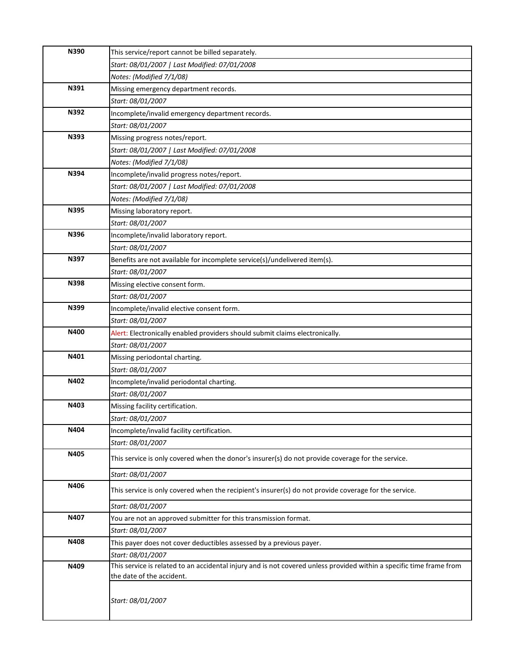| N390 | This service/report cannot be billed separately.                                                                     |
|------|----------------------------------------------------------------------------------------------------------------------|
|      | Start: 08/01/2007   Last Modified: 07/01/2008                                                                        |
|      | Notes: (Modified 7/1/08)                                                                                             |
| N391 | Missing emergency department records.                                                                                |
|      | Start: 08/01/2007                                                                                                    |
| N392 | Incomplete/invalid emergency department records.                                                                     |
|      | Start: 08/01/2007                                                                                                    |
| N393 | Missing progress notes/report.                                                                                       |
|      | Start: 08/01/2007   Last Modified: 07/01/2008                                                                        |
|      | Notes: (Modified 7/1/08)                                                                                             |
| N394 | Incomplete/invalid progress notes/report.                                                                            |
|      | Start: 08/01/2007   Last Modified: 07/01/2008                                                                        |
|      | Notes: (Modified 7/1/08)                                                                                             |
| N395 | Missing laboratory report.                                                                                           |
|      | Start: 08/01/2007                                                                                                    |
| N396 | Incomplete/invalid laboratory report.                                                                                |
|      | Start: 08/01/2007                                                                                                    |
| N397 | Benefits are not available for incomplete service(s)/undelivered item(s).                                            |
|      | Start: 08/01/2007                                                                                                    |
| N398 | Missing elective consent form.                                                                                       |
|      | Start: 08/01/2007                                                                                                    |
| N399 | Incomplete/invalid elective consent form.                                                                            |
|      | Start: 08/01/2007                                                                                                    |
| N400 | Alert: Electronically enabled providers should submit claims electronically.                                         |
|      | Start: 08/01/2007                                                                                                    |
| N401 | Missing periodontal charting.                                                                                        |
|      | Start: 08/01/2007                                                                                                    |
| N402 | Incomplete/invalid periodontal charting.                                                                             |
|      | Start: 08/01/2007                                                                                                    |
| N403 | Missing facility certification.                                                                                      |
|      | Start: 08/01/2007                                                                                                    |
| N404 | Incomplete/invalid facility certification.                                                                           |
|      | Start: 08/01/2007                                                                                                    |
| N405 | This service is only covered when the donor's insurer(s) do not provide coverage for the service.                    |
|      | Start: 08/01/2007                                                                                                    |
| N406 | This service is only covered when the recipient's insurer(s) do not provide coverage for the service.                |
|      | Start: 08/01/2007                                                                                                    |
| N407 | You are not an approved submitter for this transmission format.                                                      |
|      | Start: 08/01/2007                                                                                                    |
| N408 | This payer does not cover deductibles assessed by a previous payer.                                                  |
|      | Start: 08/01/2007                                                                                                    |
| N409 | This service is related to an accidental injury and is not covered unless provided within a specific time frame from |
|      | the date of the accident.                                                                                            |
|      | Start: 08/01/2007                                                                                                    |
|      |                                                                                                                      |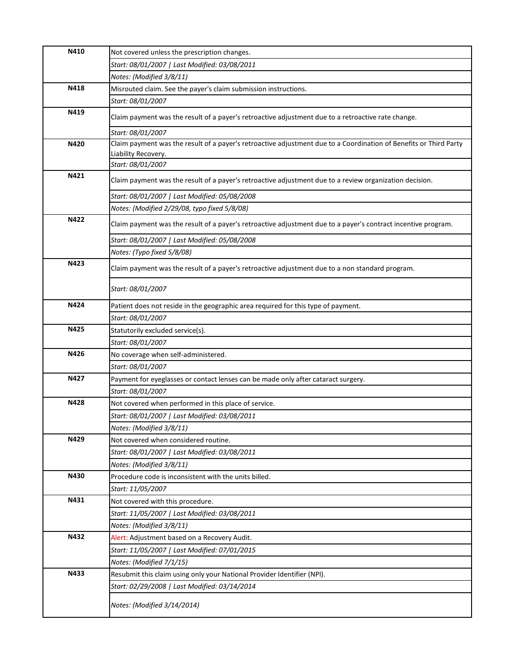| N410        | Not covered unless the prescription changes.                                                                      |
|-------------|-------------------------------------------------------------------------------------------------------------------|
|             | Start: 08/01/2007   Last Modified: 03/08/2011                                                                     |
|             | Notes: (Modified 3/8/11)                                                                                          |
| N418        | Misrouted claim. See the payer's claim submission instructions.                                                   |
|             | Start: 08/01/2007                                                                                                 |
| N419        | Claim payment was the result of a payer's retroactive adjustment due to a retroactive rate change.                |
|             | Start: 08/01/2007                                                                                                 |
| N420        | Claim payment was the result of a payer's retroactive adjustment due to a Coordination of Benefits or Third Party |
|             | Liability Recovery.                                                                                               |
| N421        | Start: 08/01/2007                                                                                                 |
|             | Claim payment was the result of a payer's retroactive adjustment due to a review organization decision.           |
|             | Start: 08/01/2007   Last Modified: 05/08/2008                                                                     |
|             | Notes: (Modified 2/29/08, typo fixed 5/8/08)                                                                      |
| N422        | Claim payment was the result of a payer's retroactive adjustment due to a payer's contract incentive program.     |
|             | Start: 08/01/2007   Last Modified: 05/08/2008                                                                     |
|             | Notes: (Typo fixed 5/8/08)                                                                                        |
| N423        | Claim payment was the result of a payer's retroactive adjustment due to a non standard program.                   |
|             | Start: 08/01/2007                                                                                                 |
| <b>N424</b> | Patient does not reside in the geographic area required for this type of payment.                                 |
|             | Start: 08/01/2007                                                                                                 |
| N425        | Statutorily excluded service(s).                                                                                  |
|             | Start: 08/01/2007                                                                                                 |
| N426        | No coverage when self-administered.                                                                               |
|             | Start: 08/01/2007                                                                                                 |
| N427        | Payment for eyeglasses or contact lenses can be made only after cataract surgery.                                 |
|             | Start: 08/01/2007                                                                                                 |
| N428        | Not covered when performed in this place of service.                                                              |
|             | Start: 08/01/2007   Last Modified: 03/08/2011                                                                     |
|             | Notes: (Modified 3/8/11)                                                                                          |
| N429        | Not covered when considered routine.                                                                              |
|             | Start: 08/01/2007   Last Modified: 03/08/2011                                                                     |
|             | Notes: (Modified 3/8/11)                                                                                          |
| N430        | Procedure code is inconsistent with the units billed.                                                             |
|             | Start: 11/05/2007                                                                                                 |
| N431        | Not covered with this procedure.                                                                                  |
|             | Start: 11/05/2007   Last Modified: 03/08/2011                                                                     |
|             | Notes: (Modified 3/8/11)                                                                                          |
| N432        | Alert: Adjustment based on a Recovery Audit.                                                                      |
|             | Start: 11/05/2007   Last Modified: 07/01/2015                                                                     |
|             | Notes: (Modified 7/1/15)                                                                                          |
| N433        | Resubmit this claim using only your National Provider Identifier (NPI).                                           |
|             | Start: 02/29/2008   Last Modified: 03/14/2014                                                                     |
|             | Notes: (Modified 3/14/2014)                                                                                       |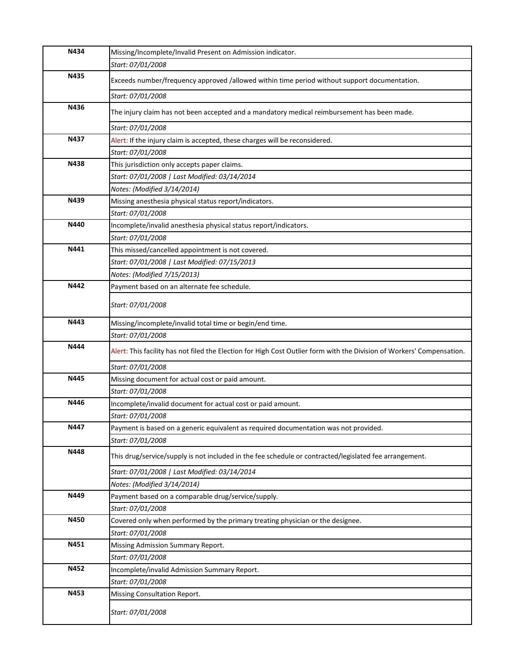| N434 | Missing/Incomplete/Invalid Present on Admission indicator.                                                             |
|------|------------------------------------------------------------------------------------------------------------------------|
|      | Start: 07/01/2008                                                                                                      |
| N435 | Exceeds number/frequency approved /allowed within time period without support documentation.                           |
|      | Start: 07/01/2008                                                                                                      |
| N436 | The injury claim has not been accepted and a mandatory medical reimbursement has been made.                            |
|      | Start: 07/01/2008                                                                                                      |
| N437 | Alert: If the injury claim is accepted, these charges will be reconsidered.                                            |
|      | Start: 07/01/2008                                                                                                      |
| N438 | This jurisdiction only accepts paper claims.                                                                           |
|      | Start: 07/01/2008   Last Modified: 03/14/2014                                                                          |
|      | Notes: (Modified 3/14/2014)                                                                                            |
| N439 | Missing anesthesia physical status report/indicators.                                                                  |
|      | Start: 07/01/2008                                                                                                      |
| N440 | Incomplete/invalid anesthesia physical status report/indicators.                                                       |
|      | Start: 07/01/2008                                                                                                      |
| N441 | This missed/cancelled appointment is not covered.                                                                      |
|      | Start: 07/01/2008   Last Modified: 07/15/2013                                                                          |
|      | Notes: (Modified 7/15/2013)                                                                                            |
| N442 | Payment based on an alternate fee schedule.                                                                            |
|      | Start: 07/01/2008                                                                                                      |
| N443 | Missing/incomplete/invalid total time or begin/end time.                                                               |
|      | Start: 07/01/2008                                                                                                      |
| N444 | Alert: This facility has not filed the Election for High Cost Outlier form with the Division of Workers' Compensation. |
|      | Start: 07/01/2008                                                                                                      |
| N445 | Missing document for actual cost or paid amount.                                                                       |
|      | Start: 07/01/2008                                                                                                      |
| N446 | Incomplete/invalid document for actual cost or paid amount.                                                            |
|      | Start: 07/01/2008                                                                                                      |
| N447 | Payment is based on a generic equivalent as required documentation was not provided.                                   |
|      | Start: 07/01/2008                                                                                                      |
| N448 | This drug/service/supply is not included in the fee schedule or contracted/legislated fee arrangement.                 |
|      | Start: 07/01/2008   Last Modified: 03/14/2014                                                                          |
|      | Notes: (Modified 3/14/2014)                                                                                            |
| N449 | Payment based on a comparable drug/service/supply.                                                                     |
|      | Start: 07/01/2008                                                                                                      |
| N450 | Covered only when performed by the primary treating physician or the designee.                                         |
|      | Start: 07/01/2008                                                                                                      |
| N451 | Missing Admission Summary Report.                                                                                      |
|      | Start: 07/01/2008                                                                                                      |
| N452 | Incomplete/invalid Admission Summary Report.                                                                           |
|      | Start: 07/01/2008                                                                                                      |
| N453 | Missing Consultation Report.                                                                                           |
|      | Start: 07/01/2008                                                                                                      |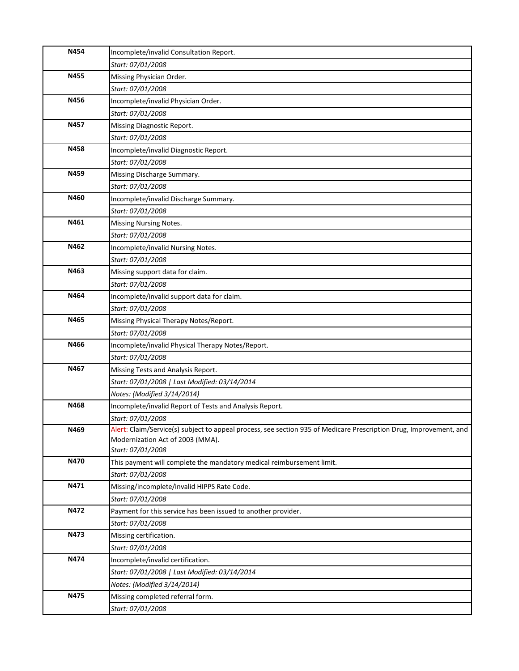| N454 | Incomplete/invalid Consultation Report.                                                                            |
|------|--------------------------------------------------------------------------------------------------------------------|
|      | Start: 07/01/2008                                                                                                  |
| N455 | Missing Physician Order.                                                                                           |
|      | Start: 07/01/2008                                                                                                  |
| N456 | Incomplete/invalid Physician Order.                                                                                |
|      | Start: 07/01/2008                                                                                                  |
| N457 | Missing Diagnostic Report.                                                                                         |
|      | Start: 07/01/2008                                                                                                  |
| N458 | Incomplete/invalid Diagnostic Report.                                                                              |
|      | Start: 07/01/2008                                                                                                  |
| N459 | Missing Discharge Summary.                                                                                         |
|      | Start: 07/01/2008                                                                                                  |
| N460 | Incomplete/invalid Discharge Summary.                                                                              |
|      | Start: 07/01/2008                                                                                                  |
| N461 | Missing Nursing Notes.                                                                                             |
|      | Start: 07/01/2008                                                                                                  |
| N462 | Incomplete/invalid Nursing Notes.                                                                                  |
|      | Start: 07/01/2008                                                                                                  |
| N463 | Missing support data for claim.                                                                                    |
|      | Start: 07/01/2008                                                                                                  |
| N464 | Incomplete/invalid support data for claim.                                                                         |
|      | Start: 07/01/2008                                                                                                  |
| N465 | Missing Physical Therapy Notes/Report.                                                                             |
|      | Start: 07/01/2008                                                                                                  |
| N466 | Incomplete/invalid Physical Therapy Notes/Report.                                                                  |
|      | Start: 07/01/2008                                                                                                  |
| N467 | Missing Tests and Analysis Report.                                                                                 |
|      | Start: 07/01/2008   Last Modified: 03/14/2014                                                                      |
|      | Notes: (Modified 3/14/2014)                                                                                        |
| N468 | Incomplete/invalid Report of Tests and Analysis Report.                                                            |
|      | Start: 07/01/2008                                                                                                  |
| N469 | Alert: Claim/Service(s) subject to appeal process, see section 935 of Medicare Prescription Drug, Improvement, and |
|      | Modernization Act of 2003 (MMA).<br>Start: 07/01/2008                                                              |
| N470 | This payment will complete the mandatory medical reimbursement limit.                                              |
|      | Start: 07/01/2008                                                                                                  |
| N471 | Missing/incomplete/invalid HIPPS Rate Code.                                                                        |
|      | Start: 07/01/2008                                                                                                  |
| N472 | Payment for this service has been issued to another provider.                                                      |
|      | Start: 07/01/2008                                                                                                  |
| N473 | Missing certification.                                                                                             |
|      | Start: 07/01/2008                                                                                                  |
| N474 | Incomplete/invalid certification.                                                                                  |
|      | Start: 07/01/2008   Last Modified: 03/14/2014                                                                      |
|      | Notes: (Modified 3/14/2014)                                                                                        |
| N475 | Missing completed referral form.                                                                                   |
|      | Start: 07/01/2008                                                                                                  |
|      |                                                                                                                    |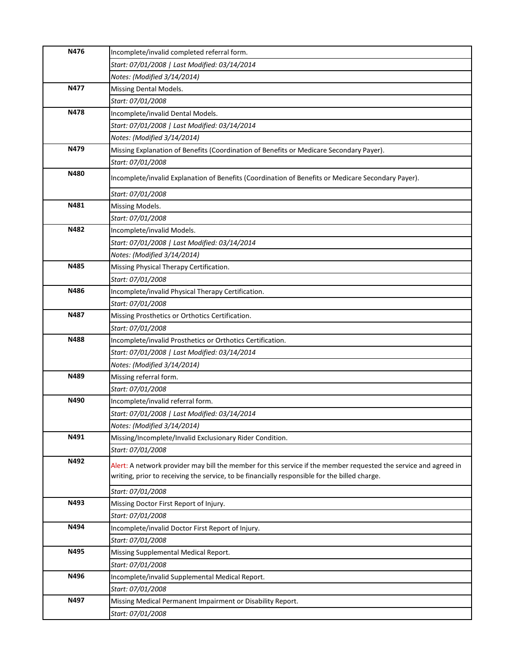| N476 | Incomplete/invalid completed referral form.                                                                                                                                                                       |
|------|-------------------------------------------------------------------------------------------------------------------------------------------------------------------------------------------------------------------|
|      | Start: 07/01/2008   Last Modified: 03/14/2014                                                                                                                                                                     |
|      | Notes: (Modified 3/14/2014)                                                                                                                                                                                       |
| N477 | Missing Dental Models.                                                                                                                                                                                            |
|      | Start: 07/01/2008                                                                                                                                                                                                 |
| N478 | Incomplete/invalid Dental Models.                                                                                                                                                                                 |
|      | Start: 07/01/2008   Last Modified: 03/14/2014                                                                                                                                                                     |
|      | Notes: (Modified 3/14/2014)                                                                                                                                                                                       |
| N479 | Missing Explanation of Benefits (Coordination of Benefits or Medicare Secondary Payer).                                                                                                                           |
|      | Start: 07/01/2008                                                                                                                                                                                                 |
| N480 | Incomplete/invalid Explanation of Benefits (Coordination of Benefits or Medicare Secondary Payer).                                                                                                                |
|      | Start: 07/01/2008                                                                                                                                                                                                 |
| N481 | Missing Models.                                                                                                                                                                                                   |
|      | Start: 07/01/2008                                                                                                                                                                                                 |
| N482 | Incomplete/invalid Models.                                                                                                                                                                                        |
|      | Start: 07/01/2008   Last Modified: 03/14/2014                                                                                                                                                                     |
|      | Notes: (Modified 3/14/2014)                                                                                                                                                                                       |
| N485 | Missing Physical Therapy Certification.                                                                                                                                                                           |
|      | Start: 07/01/2008                                                                                                                                                                                                 |
| N486 | Incomplete/invalid Physical Therapy Certification.                                                                                                                                                                |
|      | Start: 07/01/2008                                                                                                                                                                                                 |
| N487 | Missing Prosthetics or Orthotics Certification.                                                                                                                                                                   |
|      | Start: 07/01/2008                                                                                                                                                                                                 |
| N488 | Incomplete/invalid Prosthetics or Orthotics Certification.                                                                                                                                                        |
|      | Start: 07/01/2008   Last Modified: 03/14/2014                                                                                                                                                                     |
|      | Notes: (Modified 3/14/2014)                                                                                                                                                                                       |
| N489 | Missing referral form.                                                                                                                                                                                            |
|      | Start: 07/01/2008                                                                                                                                                                                                 |
| N490 | Incomplete/invalid referral form.                                                                                                                                                                                 |
|      | Start: 07/01/2008   Last Modified: 03/14/2014                                                                                                                                                                     |
|      | Notes: (Modified 3/14/2014)                                                                                                                                                                                       |
| N491 | Missing/Incomplete/Invalid Exclusionary Rider Condition.                                                                                                                                                          |
|      | Start: 07/01/2008                                                                                                                                                                                                 |
| N492 | Alert: A network provider may bill the member for this service if the member requested the service and agreed in<br>writing, prior to receiving the service, to be financially responsible for the billed charge. |
|      | Start: 07/01/2008                                                                                                                                                                                                 |
| N493 | Missing Doctor First Report of Injury.                                                                                                                                                                            |
|      | Start: 07/01/2008                                                                                                                                                                                                 |
| N494 | Incomplete/invalid Doctor First Report of Injury.                                                                                                                                                                 |
|      | Start: 07/01/2008                                                                                                                                                                                                 |
| N495 | Missing Supplemental Medical Report.                                                                                                                                                                              |
|      | Start: 07/01/2008                                                                                                                                                                                                 |
| N496 | Incomplete/invalid Supplemental Medical Report.                                                                                                                                                                   |
|      | Start: 07/01/2008                                                                                                                                                                                                 |
| N497 | Missing Medical Permanent Impairment or Disability Report.                                                                                                                                                        |
|      | Start: 07/01/2008                                                                                                                                                                                                 |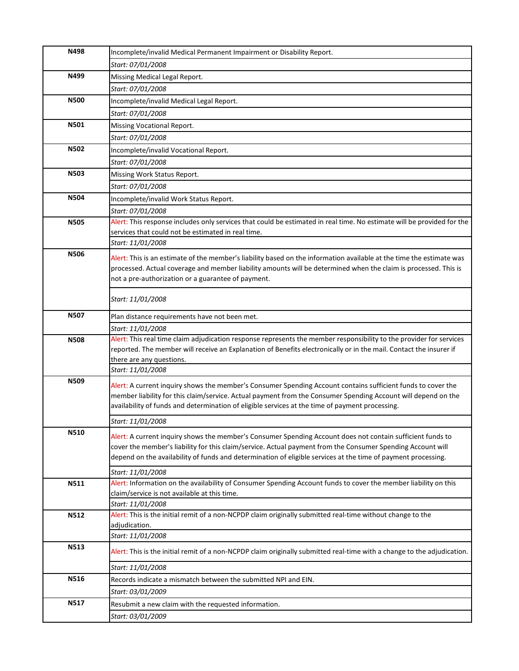| N498        | Incomplete/invalid Medical Permanent Impairment or Disability Report.                                                                    |
|-------------|------------------------------------------------------------------------------------------------------------------------------------------|
|             | Start: 07/01/2008                                                                                                                        |
| N499        | Missing Medical Legal Report.                                                                                                            |
|             | Start: 07/01/2008                                                                                                                        |
| <b>N500</b> | Incomplete/invalid Medical Legal Report.                                                                                                 |
|             | Start: 07/01/2008                                                                                                                        |
| N501        | Missing Vocational Report.                                                                                                               |
|             | Start: 07/01/2008                                                                                                                        |
| <b>N502</b> | Incomplete/invalid Vocational Report.                                                                                                    |
|             | Start: 07/01/2008                                                                                                                        |
| <b>N503</b> | Missing Work Status Report.                                                                                                              |
|             | Start: 07/01/2008                                                                                                                        |
| N504        | Incomplete/invalid Work Status Report.                                                                                                   |
|             | Start: 07/01/2008                                                                                                                        |
| <b>N505</b> | Alert: This response includes only services that could be estimated in real time. No estimate will be provided for the                   |
|             | services that could not be estimated in real time.                                                                                       |
|             | Start: 11/01/2008                                                                                                                        |
| <b>N506</b> | Alert: This is an estimate of the member's liability based on the information available at the time the estimate was                     |
|             | processed. Actual coverage and member liability amounts will be determined when the claim is processed. This is                          |
|             | not a pre-authorization or a guarantee of payment.                                                                                       |
|             | Start: 11/01/2008                                                                                                                        |
|             |                                                                                                                                          |
| <b>N507</b> | Plan distance requirements have not been met.                                                                                            |
|             | Start: 11/01/2008<br>Alert: This real time claim adjudication response represents the member responsibility to the provider for services |
| <b>N508</b> | reported. The member will receive an Explanation of Benefits electronically or in the mail. Contact the insurer if                       |
|             | there are any questions.                                                                                                                 |
|             | Start: 11/01/2008                                                                                                                        |
| N509        | Alert: A current inquiry shows the member's Consumer Spending Account contains sufficient funds to cover the                             |
|             | member liability for this claim/service. Actual payment from the Consumer Spending Account will depend on the                            |
|             | availability of funds and determination of eligible services at the time of payment processing.                                          |
|             | Start: 11/01/2008                                                                                                                        |
| N510        | Alert: A current inquiry shows the member's Consumer Spending Account does not contain sufficient funds to                               |
|             | cover the member's liability for this claim/service. Actual payment from the Consumer Spending Account will                              |
|             | depend on the availability of funds and determination of eligible services at the time of payment processing.                            |
|             | Start: 11/01/2008                                                                                                                        |
| N511        | Alert: Information on the availability of Consumer Spending Account funds to cover the member liability on this                          |
|             | claim/service is not available at this time.                                                                                             |
|             | Start: 11/01/2008                                                                                                                        |
| <b>N512</b> | Alert: This is the initial remit of a non-NCPDP claim originally submitted real-time without change to the<br>adjudication.              |
|             | Start: 11/01/2008                                                                                                                        |
| N513        | Alert: This is the initial remit of a non-NCPDP claim originally submitted real-time with a change to the adjudication.                  |
|             | Start: 11/01/2008                                                                                                                        |
| N516        | Records indicate a mismatch between the submitted NPI and EIN.                                                                           |
|             |                                                                                                                                          |
|             |                                                                                                                                          |
|             | Start: 03/01/2009                                                                                                                        |
| <b>N517</b> | Resubmit a new claim with the requested information.<br>Start: 03/01/2009                                                                |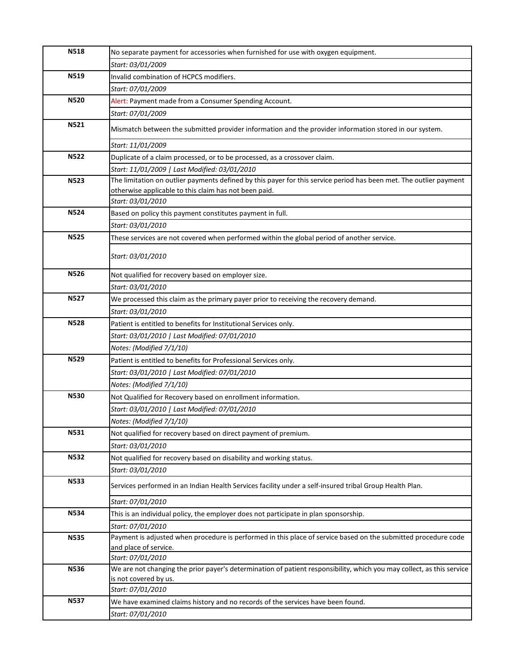| <b>N518</b> | No separate payment for accessories when furnished for use with oxygen equipment.                                                                                                                |
|-------------|--------------------------------------------------------------------------------------------------------------------------------------------------------------------------------------------------|
|             | Start: 03/01/2009                                                                                                                                                                                |
| N519        | Invalid combination of HCPCS modifiers.                                                                                                                                                          |
|             | Start: 07/01/2009                                                                                                                                                                                |
| <b>N520</b> | Alert: Payment made from a Consumer Spending Account.                                                                                                                                            |
|             | Start: 07/01/2009                                                                                                                                                                                |
| N521        | Mismatch between the submitted provider information and the provider information stored in our system.                                                                                           |
|             | Start: 11/01/2009                                                                                                                                                                                |
| <b>N522</b> | Duplicate of a claim processed, or to be processed, as a crossover claim.                                                                                                                        |
|             | Start: 11/01/2009   Last Modified: 03/01/2010                                                                                                                                                    |
| <b>N523</b> | The limitation on outlier payments defined by this payer for this service period has been met. The outlier payment<br>otherwise applicable to this claim has not been paid.<br>Start: 03/01/2010 |
| <b>N524</b> | Based on policy this payment constitutes payment in full.                                                                                                                                        |
|             | Start: 03/01/2010                                                                                                                                                                                |
| <b>N525</b> | These services are not covered when performed within the global period of another service.                                                                                                       |
|             | Start: 03/01/2010                                                                                                                                                                                |
| <b>N526</b> | Not qualified for recovery based on employer size.                                                                                                                                               |
|             | Start: 03/01/2010                                                                                                                                                                                |
| N527        | We processed this claim as the primary payer prior to receiving the recovery demand.                                                                                                             |
|             | Start: 03/01/2010                                                                                                                                                                                |
| <b>N528</b> | Patient is entitled to benefits for Institutional Services only.                                                                                                                                 |
|             | Start: 03/01/2010   Last Modified: 07/01/2010                                                                                                                                                    |
|             | Notes: (Modified 7/1/10)                                                                                                                                                                         |
| <b>N529</b> | Patient is entitled to benefits for Professional Services only.                                                                                                                                  |
|             | Start: 03/01/2010   Last Modified: 07/01/2010                                                                                                                                                    |
|             | Notes: (Modified 7/1/10)                                                                                                                                                                         |
| <b>N530</b> | Not Qualified for Recovery based on enrollment information.                                                                                                                                      |
|             | Start: 03/01/2010   Last Modified: 07/01/2010                                                                                                                                                    |
|             | Notes: (Modified 7/1/10)                                                                                                                                                                         |
| N531        | Not qualified for recovery based on direct payment of premium.                                                                                                                                   |
|             | Start: 03/01/2010                                                                                                                                                                                |
| <b>N532</b> | Not qualified for recovery based on disability and working status.                                                                                                                               |
|             | Start: 03/01/2010                                                                                                                                                                                |
| <b>N533</b> | Services performed in an Indian Health Services facility under a self-insured tribal Group Health Plan.                                                                                          |
|             | Start: 07/01/2010                                                                                                                                                                                |
| <b>N534</b> | This is an individual policy, the employer does not participate in plan sponsorship.                                                                                                             |
|             | Start: 07/01/2010                                                                                                                                                                                |
| <b>N535</b> | Payment is adjusted when procedure is performed in this place of service based on the submitted procedure code                                                                                   |
|             | and place of service.                                                                                                                                                                            |
|             | Start: 07/01/2010                                                                                                                                                                                |
| <b>N536</b> | We are not changing the prior payer's determination of patient responsibility, which you may collect, as this service<br>is not covered by us.                                                   |
|             | Start: 07/01/2010                                                                                                                                                                                |
| <b>N537</b> | We have examined claims history and no records of the services have been found.                                                                                                                  |
|             | Start: 07/01/2010                                                                                                                                                                                |
|             |                                                                                                                                                                                                  |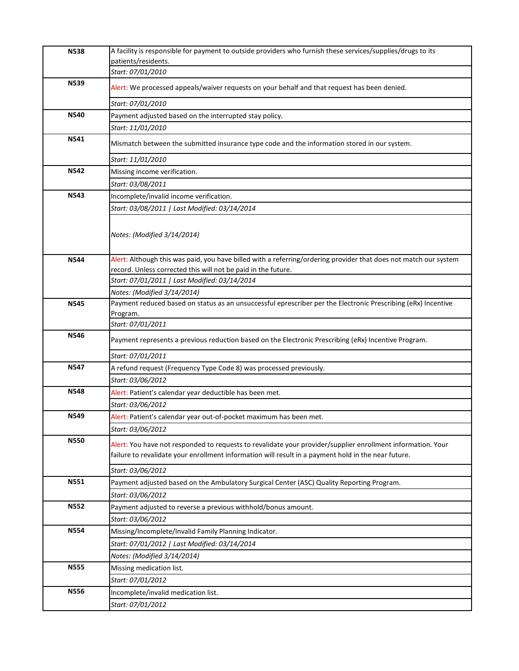| <b>N538</b> | A facility is responsible for payment to outside providers who furnish these services/supplies/drugs to its                                                                                                        |
|-------------|--------------------------------------------------------------------------------------------------------------------------------------------------------------------------------------------------------------------|
|             | patients/residents.                                                                                                                                                                                                |
|             | Start: 07/01/2010                                                                                                                                                                                                  |
| N539        | Alert: We processed appeals/waiver requests on your behalf and that request has been denied.                                                                                                                       |
|             | Start: 07/01/2010                                                                                                                                                                                                  |
| <b>N540</b> | Payment adjusted based on the interrupted stay policy.                                                                                                                                                             |
|             | Start: 11/01/2010                                                                                                                                                                                                  |
| N541        | Mismatch between the submitted insurance type code and the information stored in our system.                                                                                                                       |
|             | Start: 11/01/2010                                                                                                                                                                                                  |
| <b>N542</b> | Missing income verification.                                                                                                                                                                                       |
|             | Start: 03/08/2011                                                                                                                                                                                                  |
| N543        | Incomplete/invalid income verification.                                                                                                                                                                            |
|             | Start: 03/08/2011   Last Modified: 03/14/2014                                                                                                                                                                      |
|             | Notes: (Modified 3/14/2014)                                                                                                                                                                                        |
|             |                                                                                                                                                                                                                    |
| <b>N544</b> | Alert: Although this was paid, you have billed with a referring/ordering provider that does not match our system                                                                                                   |
|             | record. Unless corrected this will not be paid in the future.                                                                                                                                                      |
|             | Start: 07/01/2011   Last Modified: 03/14/2014                                                                                                                                                                      |
| <b>N545</b> | Notes: (Modified 3/14/2014)<br>Payment reduced based on status as an unsuccessful eprescriber per the Electronic Prescribing (eRx) Incentive                                                                       |
|             | Program.                                                                                                                                                                                                           |
|             | Start: 07/01/2011                                                                                                                                                                                                  |
| N546        | Payment represents a previous reduction based on the Electronic Prescribing (eRx) Incentive Program.                                                                                                               |
|             | Start: 07/01/2011                                                                                                                                                                                                  |
| <b>N547</b> | A refund request (Frequency Type Code 8) was processed previously.                                                                                                                                                 |
|             | Start: 03/06/2012                                                                                                                                                                                                  |
| <b>N548</b> | Alert: Patient's calendar year deductible has been met.                                                                                                                                                            |
|             | Start: 03/06/2012                                                                                                                                                                                                  |
| N549        | Alert: Patient's calendar year out-of-pocket maximum has been met.                                                                                                                                                 |
|             | Start: 03/06/2012                                                                                                                                                                                                  |
| <b>N550</b> | Alert: You have not responded to requests to revalidate your provider/supplier enrollment information. Your<br>failure to revalidate your enrollment information will result in a payment hold in the near future. |
|             | Start: 03/06/2012                                                                                                                                                                                                  |
| N551        | Payment adjusted based on the Ambulatory Surgical Center (ASC) Quality Reporting Program.                                                                                                                          |
|             | Start: 03/06/2012                                                                                                                                                                                                  |
| <b>N552</b> | Payment adjusted to reverse a previous withhold/bonus amount.                                                                                                                                                      |
|             | Start: 03/06/2012                                                                                                                                                                                                  |
| <b>N554</b> | Missing/Incomplete/Invalid Family Planning Indicator.                                                                                                                                                              |
|             | Start: 07/01/2012   Last Modified: 03/14/2014                                                                                                                                                                      |
|             | Notes: (Modified 3/14/2014)                                                                                                                                                                                        |
| <b>N555</b> | Missing medication list.                                                                                                                                                                                           |
|             | Start: 07/01/2012                                                                                                                                                                                                  |
| <b>N556</b> | Incomplete/invalid medication list.                                                                                                                                                                                |
|             | Start: 07/01/2012                                                                                                                                                                                                  |
|             |                                                                                                                                                                                                                    |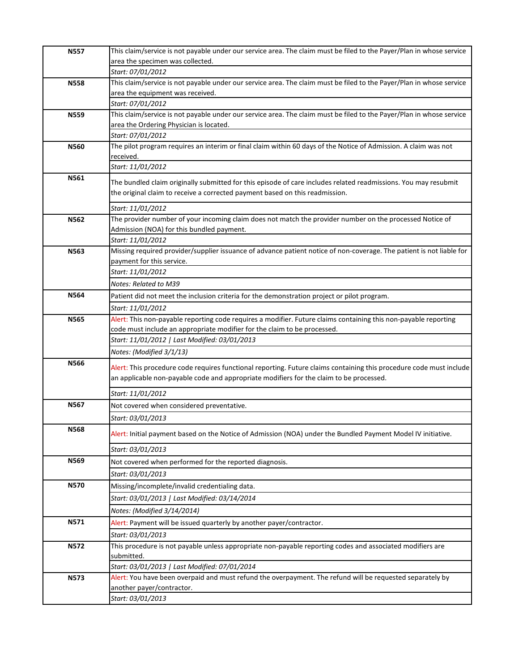| <b>N557</b> | This claim/service is not payable under our service area. The claim must be filed to the Payer/Plan in whose service |
|-------------|----------------------------------------------------------------------------------------------------------------------|
|             | area the specimen was collected.                                                                                     |
|             | Start: 07/01/2012                                                                                                    |
| <b>N558</b> | This claim/service is not payable under our service area. The claim must be filed to the Payer/Plan in whose service |
|             | area the equipment was received.                                                                                     |
|             | Start: 07/01/2012                                                                                                    |
| <b>N559</b> | This claim/service is not payable under our service area. The claim must be filed to the Payer/Plan in whose service |
|             | area the Ordering Physician is located.<br>Start: 07/01/2012                                                         |
| <b>N560</b> | The pilot program requires an interim or final claim within 60 days of the Notice of Admission. A claim was not      |
|             | received.                                                                                                            |
|             | Start: 11/01/2012                                                                                                    |
| N561        | The bundled claim originally submitted for this episode of care includes related readmissions. You may resubmit      |
|             | the original claim to receive a corrected payment based on this readmission.                                         |
|             |                                                                                                                      |
|             | Start: 11/01/2012                                                                                                    |
| N562        | The provider number of your incoming claim does not match the provider number on the processed Notice of             |
|             | Admission (NOA) for this bundled payment.<br>Start: 11/01/2012                                                       |
| N563        | Missing required provider/supplier issuance of advance patient notice of non-coverage. The patient is not liable for |
|             | payment for this service.                                                                                            |
|             | Start: 11/01/2012                                                                                                    |
|             | Notes: Related to M39                                                                                                |
| <b>N564</b> | Patient did not meet the inclusion criteria for the demonstration project or pilot program.                          |
|             | Start: 11/01/2012                                                                                                    |
| <b>N565</b> | Alert: This non-payable reporting code requires a modifier. Future claims containing this non-payable reporting      |
|             | code must include an appropriate modifier for the claim to be processed.                                             |
|             | Start: 11/01/2012   Last Modified: 03/01/2013                                                                        |
|             | Notes: (Modified 3/1/13)                                                                                             |
| <b>N566</b> | Alert: This procedure code requires functional reporting. Future claims containing this procedure code must include  |
|             | an applicable non-payable code and appropriate modifiers for the claim to be processed.                              |
|             | Start: 11/01/2012                                                                                                    |
| <b>N567</b> | Not covered when considered preventative.                                                                            |
|             | Start: 03/01/2013                                                                                                    |
| <b>N568</b> |                                                                                                                      |
|             | Alert: Initial payment based on the Notice of Admission (NOA) under the Bundled Payment Model IV initiative.         |
|             | Start: 03/01/2013                                                                                                    |
| N569        | Not covered when performed for the reported diagnosis.                                                               |
|             | Start: 03/01/2013                                                                                                    |
| <b>N570</b> | Missing/incomplete/invalid credentialing data.                                                                       |
|             | Start: 03/01/2013   Last Modified: 03/14/2014                                                                        |
|             | Notes: (Modified 3/14/2014)                                                                                          |
| N571        | Alert: Payment will be issued quarterly by another payer/contractor.                                                 |
|             | Start: 03/01/2013                                                                                                    |
| <b>N572</b> | This procedure is not payable unless appropriate non-payable reporting codes and associated modifiers are            |
|             | submitted.                                                                                                           |
|             | Start: 03/01/2013   Last Modified: 07/01/2014                                                                        |
| <b>N573</b> | Alert: You have been overpaid and must refund the overpayment. The refund will be requested separately by            |
|             | another payer/contractor.                                                                                            |
|             | Start: 03/01/2013                                                                                                    |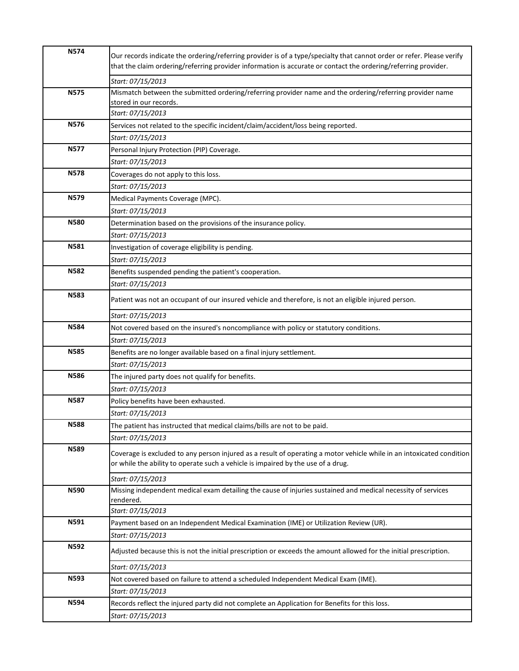| <b>N574</b> | Our records indicate the ordering/referring provider is of a type/specialty that cannot order or refer. Please verify<br>that the claim ordering/referring provider information is accurate or contact the ordering/referring provider. |
|-------------|-----------------------------------------------------------------------------------------------------------------------------------------------------------------------------------------------------------------------------------------|
|             | Start: 07/15/2013                                                                                                                                                                                                                       |
| <b>N575</b> | Mismatch between the submitted ordering/referring provider name and the ordering/referring provider name                                                                                                                                |
|             | stored in our records.                                                                                                                                                                                                                  |
|             | Start: 07/15/2013                                                                                                                                                                                                                       |
| <b>N576</b> | Services not related to the specific incident/claim/accident/loss being reported.                                                                                                                                                       |
|             | Start: 07/15/2013                                                                                                                                                                                                                       |
| <b>N577</b> | Personal Injury Protection (PIP) Coverage.                                                                                                                                                                                              |
|             | Start: 07/15/2013                                                                                                                                                                                                                       |
| <b>N578</b> | Coverages do not apply to this loss.                                                                                                                                                                                                    |
|             | Start: 07/15/2013                                                                                                                                                                                                                       |
| <b>N579</b> | Medical Payments Coverage (MPC).                                                                                                                                                                                                        |
|             | Start: 07/15/2013                                                                                                                                                                                                                       |
| <b>N580</b> | Determination based on the provisions of the insurance policy.                                                                                                                                                                          |
|             | Start: 07/15/2013                                                                                                                                                                                                                       |
| N581        | Investigation of coverage eligibility is pending.                                                                                                                                                                                       |
|             | Start: 07/15/2013                                                                                                                                                                                                                       |
| <b>N582</b> | Benefits suspended pending the patient's cooperation.                                                                                                                                                                                   |
|             | Start: 07/15/2013                                                                                                                                                                                                                       |
| <b>N583</b> | Patient was not an occupant of our insured vehicle and therefore, is not an eligible injured person.                                                                                                                                    |
|             | Start: 07/15/2013                                                                                                                                                                                                                       |
| <b>N584</b> | Not covered based on the insured's noncompliance with policy or statutory conditions.                                                                                                                                                   |
|             | Start: 07/15/2013                                                                                                                                                                                                                       |
| <b>N585</b> | Benefits are no longer available based on a final injury settlement.                                                                                                                                                                    |
|             | Start: 07/15/2013                                                                                                                                                                                                                       |
| <b>N586</b> | The injured party does not qualify for benefits.                                                                                                                                                                                        |
|             | Start: 07/15/2013                                                                                                                                                                                                                       |
| <b>N587</b> | Policy benefits have been exhausted.                                                                                                                                                                                                    |
|             | Start: 07/15/2013                                                                                                                                                                                                                       |
| <b>N588</b> | The patient has instructed that medical claims/bills are not to be paid.                                                                                                                                                                |
|             | Start: 07/15/2013                                                                                                                                                                                                                       |
| <b>N589</b> | Coverage is excluded to any person injured as a result of operating a motor vehicle while in an intoxicated condition<br>or while the ability to operate such a vehicle is impaired by the use of a drug.                               |
|             | Start: 07/15/2013                                                                                                                                                                                                                       |
| N590        | Missing independent medical exam detailing the cause of injuries sustained and medical necessity of services                                                                                                                            |
|             | rendered.                                                                                                                                                                                                                               |
|             | Start: 07/15/2013                                                                                                                                                                                                                       |
| N591        | Payment based on an Independent Medical Examination (IME) or Utilization Review (UR).                                                                                                                                                   |
|             | Start: 07/15/2013                                                                                                                                                                                                                       |
| N592        | Adjusted because this is not the initial prescription or exceeds the amount allowed for the initial prescription.                                                                                                                       |
|             | Start: 07/15/2013                                                                                                                                                                                                                       |
| <b>N593</b> | Not covered based on failure to attend a scheduled Independent Medical Exam (IME).                                                                                                                                                      |
|             | Start: 07/15/2013                                                                                                                                                                                                                       |
| N594        | Records reflect the injured party did not complete an Application for Benefits for this loss.                                                                                                                                           |
|             | Start: 07/15/2013                                                                                                                                                                                                                       |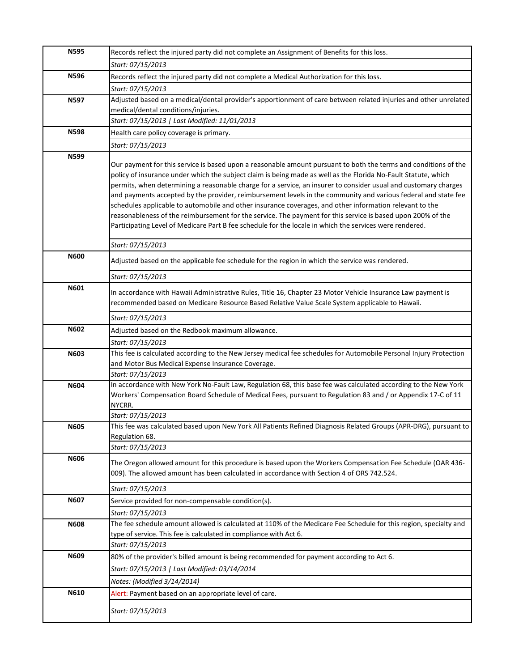| <b>N595</b> | Records reflect the injured party did not complete an Assignment of Benefits for this loss.                                                                                                                                       |
|-------------|-----------------------------------------------------------------------------------------------------------------------------------------------------------------------------------------------------------------------------------|
|             | Start: 07/15/2013                                                                                                                                                                                                                 |
| N596        | Records reflect the injured party did not complete a Medical Authorization for this loss.                                                                                                                                         |
|             | Start: 07/15/2013                                                                                                                                                                                                                 |
| N597        | Adjusted based on a medical/dental provider's apportionment of care between related injuries and other unrelated                                                                                                                  |
|             | medical/dental conditions/injuries.                                                                                                                                                                                               |
|             | Start: 07/15/2013   Last Modified: 11/01/2013                                                                                                                                                                                     |
| <b>N598</b> | Health care policy coverage is primary.                                                                                                                                                                                           |
|             | Start: 07/15/2013                                                                                                                                                                                                                 |
| N599        |                                                                                                                                                                                                                                   |
|             | Our payment for this service is based upon a reasonable amount pursuant to both the terms and conditions of the                                                                                                                   |
|             | policy of insurance under which the subject claim is being made as well as the Florida No-Fault Statute, which<br>permits, when determining a reasonable charge for a service, an insurer to consider usual and customary charges |
|             | and payments accepted by the provider, reimbursement levels in the community and various federal and state fee                                                                                                                    |
|             | schedules applicable to automobile and other insurance coverages, and other information relevant to the                                                                                                                           |
|             | reasonableness of the reimbursement for the service. The payment for this service is based upon 200% of the                                                                                                                       |
|             | Participating Level of Medicare Part B fee schedule for the locale in which the services were rendered.                                                                                                                           |
|             |                                                                                                                                                                                                                                   |
|             | Start: 07/15/2013                                                                                                                                                                                                                 |
| <b>N600</b> | Adjusted based on the applicable fee schedule for the region in which the service was rendered.                                                                                                                                   |
|             | Start: 07/15/2013                                                                                                                                                                                                                 |
| N601        |                                                                                                                                                                                                                                   |
|             | In accordance with Hawaii Administrative Rules, Title 16, Chapter 23 Motor Vehicle Insurance Law payment is<br>recommended based on Medicare Resource Based Relative Value Scale System applicable to Hawaii.                     |
|             |                                                                                                                                                                                                                                   |
|             | Start: 07/15/2013                                                                                                                                                                                                                 |
| N602        | Adjusted based on the Redbook maximum allowance.                                                                                                                                                                                  |
|             | Start: 07/15/2013                                                                                                                                                                                                                 |
| <b>N603</b> | This fee is calculated according to the New Jersey medical fee schedules for Automobile Personal Injury Protection                                                                                                                |
|             | and Motor Bus Medical Expense Insurance Coverage.                                                                                                                                                                                 |
| N604        | Start: 07/15/2013<br>In accordance with New York No-Fault Law, Regulation 68, this base fee was calculated according to the New York                                                                                              |
|             | Workers' Compensation Board Schedule of Medical Fees, pursuant to Regulation 83 and / or Appendix 17-C of 11                                                                                                                      |
|             | NYCRR.                                                                                                                                                                                                                            |
|             | Start: 07/15/2013                                                                                                                                                                                                                 |
| <b>N605</b> | This fee was calculated based upon New York All Patients Refined Diagnosis Related Groups (APR-DRG), pursuant to                                                                                                                  |
|             | Regulation 68.                                                                                                                                                                                                                    |
|             | Start: 07/15/2013                                                                                                                                                                                                                 |
| N606        | The Oregon allowed amount for this procedure is based upon the Workers Compensation Fee Schedule (OAR 436-                                                                                                                        |
|             | 009). The allowed amount has been calculated in accordance with Section 4 of ORS 742.524.                                                                                                                                         |
|             | Start: 07/15/2013                                                                                                                                                                                                                 |
| N607        | Service provided for non-compensable condition(s).                                                                                                                                                                                |
|             | Start: 07/15/2013                                                                                                                                                                                                                 |
| <b>N608</b> | The fee schedule amount allowed is calculated at 110% of the Medicare Fee Schedule for this region, specialty and                                                                                                                 |
|             | type of service. This fee is calculated in compliance with Act 6.                                                                                                                                                                 |
|             | Start: 07/15/2013                                                                                                                                                                                                                 |
| N609        | 80% of the provider's billed amount is being recommended for payment according to Act 6.                                                                                                                                          |
|             | Start: 07/15/2013   Last Modified: 03/14/2014                                                                                                                                                                                     |
|             | Notes: (Modified 3/14/2014)                                                                                                                                                                                                       |
| N610        | Alert: Payment based on an appropriate level of care.                                                                                                                                                                             |
|             |                                                                                                                                                                                                                                   |
|             | Start: 07/15/2013                                                                                                                                                                                                                 |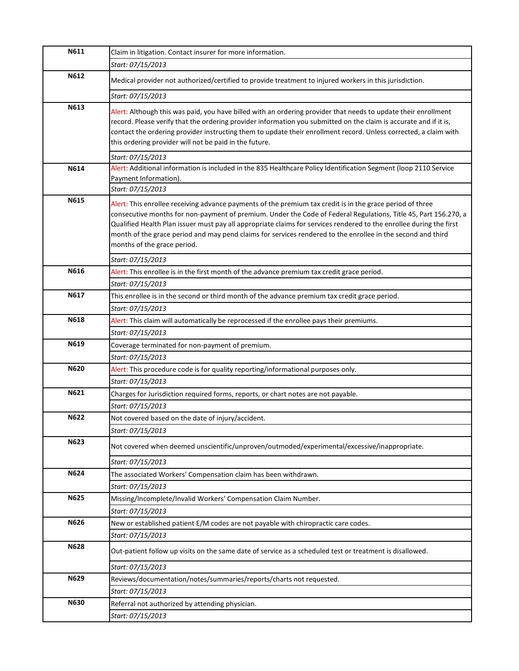| N611        | Claim in litigation. Contact insurer for more information.                                                                                                                                                                                                                                                                                                                                                                                                                                        |
|-------------|---------------------------------------------------------------------------------------------------------------------------------------------------------------------------------------------------------------------------------------------------------------------------------------------------------------------------------------------------------------------------------------------------------------------------------------------------------------------------------------------------|
|             | Start: 07/15/2013                                                                                                                                                                                                                                                                                                                                                                                                                                                                                 |
| N612        | Medical provider not authorized/certified to provide treatment to injured workers in this jurisdiction.                                                                                                                                                                                                                                                                                                                                                                                           |
|             | Start: 07/15/2013                                                                                                                                                                                                                                                                                                                                                                                                                                                                                 |
| N613        | Alert: Although this was paid, you have billed with an ordering provider that needs to update their enrollment<br>record. Please verify that the ordering provider information you submitted on the claim is accurate and if it is,<br>contact the ordering provider instructing them to update their enrollment record. Unless corrected, a claim with<br>this ordering provider will not be paid in the future.                                                                                 |
|             | Start: 07/15/2013                                                                                                                                                                                                                                                                                                                                                                                                                                                                                 |
| N614        | Alert: Additional information is included in the 835 Healthcare Policy Identification Segment (loop 2110 Service<br>Payment Information).                                                                                                                                                                                                                                                                                                                                                         |
|             | Start: 07/15/2013                                                                                                                                                                                                                                                                                                                                                                                                                                                                                 |
| N615        | Alert: This enrollee receiving advance payments of the premium tax credit is in the grace period of three<br>consecutive months for non-payment of premium. Under the Code of Federal Regulations, Title 45, Part 156.270, a<br>Qualified Health Plan issuer must pay all appropriate claims for services rendered to the enrollee during the first<br>month of the grace period and may pend claims for services rendered to the enrollee in the second and third<br>months of the grace period. |
|             | Start: 07/15/2013                                                                                                                                                                                                                                                                                                                                                                                                                                                                                 |
| N616        | Alert: This enrollee is in the first month of the advance premium tax credit grace period.                                                                                                                                                                                                                                                                                                                                                                                                        |
|             | Start: 07/15/2013                                                                                                                                                                                                                                                                                                                                                                                                                                                                                 |
| N617        | This enrollee is in the second or third month of the advance premium tax credit grace period.                                                                                                                                                                                                                                                                                                                                                                                                     |
|             | Start: 07/15/2013                                                                                                                                                                                                                                                                                                                                                                                                                                                                                 |
| N618        | Alert: This claim will automatically be reprocessed if the enrollee pays their premiums.                                                                                                                                                                                                                                                                                                                                                                                                          |
|             | Start: 07/15/2013                                                                                                                                                                                                                                                                                                                                                                                                                                                                                 |
| N619        | Coverage terminated for non-payment of premium.                                                                                                                                                                                                                                                                                                                                                                                                                                                   |
|             | Start: 07/15/2013                                                                                                                                                                                                                                                                                                                                                                                                                                                                                 |
| N620        | Alert: This procedure code is for quality reporting/informational purposes only.                                                                                                                                                                                                                                                                                                                                                                                                                  |
|             | Start: 07/15/2013                                                                                                                                                                                                                                                                                                                                                                                                                                                                                 |
| N621        | Charges for Jurisdiction required forms, reports, or chart notes are not payable.                                                                                                                                                                                                                                                                                                                                                                                                                 |
|             | Start: 07/15/2013                                                                                                                                                                                                                                                                                                                                                                                                                                                                                 |
| N622        | Not covered based on the date of injury/accident.                                                                                                                                                                                                                                                                                                                                                                                                                                                 |
|             | Start: 07/15/2013                                                                                                                                                                                                                                                                                                                                                                                                                                                                                 |
| N623        | Not covered when deemed unscientific/unproven/outmoded/experimental/excessive/inappropriate.                                                                                                                                                                                                                                                                                                                                                                                                      |
|             | Start: 07/15/2013                                                                                                                                                                                                                                                                                                                                                                                                                                                                                 |
| N624        | The associated Workers' Compensation claim has been withdrawn.                                                                                                                                                                                                                                                                                                                                                                                                                                    |
|             | Start: 07/15/2013                                                                                                                                                                                                                                                                                                                                                                                                                                                                                 |
| N625        | Missing/Incomplete/Invalid Workers' Compensation Claim Number.                                                                                                                                                                                                                                                                                                                                                                                                                                    |
|             | Start: 07/15/2013                                                                                                                                                                                                                                                                                                                                                                                                                                                                                 |
| N626        | New or established patient E/M codes are not payable with chiropractic care codes.                                                                                                                                                                                                                                                                                                                                                                                                                |
|             | Start: 07/15/2013                                                                                                                                                                                                                                                                                                                                                                                                                                                                                 |
| <b>N628</b> | Out-patient follow up visits on the same date of service as a scheduled test or treatment is disallowed.                                                                                                                                                                                                                                                                                                                                                                                          |
|             | Start: 07/15/2013                                                                                                                                                                                                                                                                                                                                                                                                                                                                                 |
| N629        | Reviews/documentation/notes/summaries/reports/charts not requested.                                                                                                                                                                                                                                                                                                                                                                                                                               |
|             | Start: 07/15/2013                                                                                                                                                                                                                                                                                                                                                                                                                                                                                 |
| N630        | Referral not authorized by attending physician.                                                                                                                                                                                                                                                                                                                                                                                                                                                   |
|             | Start: 07/15/2013                                                                                                                                                                                                                                                                                                                                                                                                                                                                                 |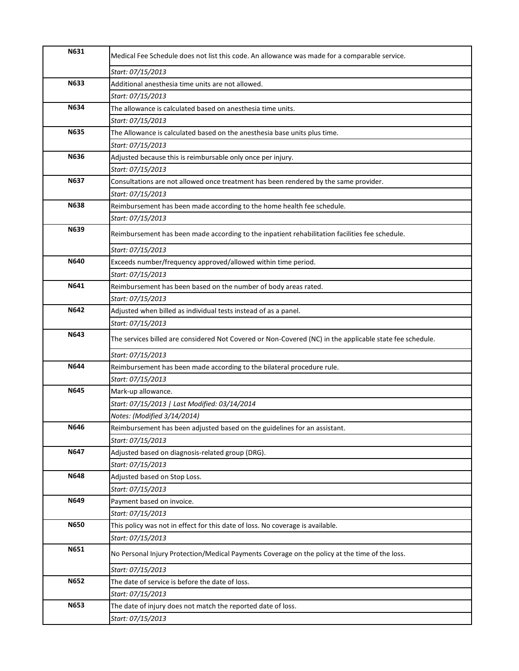| N631        | Medical Fee Schedule does not list this code. An allowance was made for a comparable service.            |
|-------------|----------------------------------------------------------------------------------------------------------|
|             | Start: 07/15/2013                                                                                        |
| N633        | Additional anesthesia time units are not allowed.                                                        |
|             | Start: 07/15/2013                                                                                        |
| N634        | The allowance is calculated based on anesthesia time units.                                              |
|             | Start: 07/15/2013                                                                                        |
| N635        | The Allowance is calculated based on the anesthesia base units plus time.                                |
|             | Start: 07/15/2013                                                                                        |
| <b>N636</b> | Adjusted because this is reimbursable only once per injury.                                              |
|             | Start: 07/15/2013                                                                                        |
| <b>N637</b> | Consultations are not allowed once treatment has been rendered by the same provider.                     |
|             | Start: 07/15/2013                                                                                        |
| <b>N638</b> | Reimbursement has been made according to the home health fee schedule.                                   |
|             | Start: 07/15/2013                                                                                        |
| N639        | Reimbursement has been made according to the inpatient rehabilitation facilities fee schedule.           |
|             | Start: 07/15/2013                                                                                        |
| N640        | Exceeds number/frequency approved/allowed within time period.                                            |
|             | Start: 07/15/2013                                                                                        |
| N641        | Reimbursement has been based on the number of body areas rated.                                          |
|             | Start: 07/15/2013                                                                                        |
| N642        | Adjusted when billed as individual tests instead of as a panel.                                          |
|             | Start: 07/15/2013                                                                                        |
| N643        | The services billed are considered Not Covered or Non-Covered (NC) in the applicable state fee schedule. |
|             | Start: 07/15/2013                                                                                        |
| N644        | Reimbursement has been made according to the bilateral procedure rule.                                   |
|             | Start: 07/15/2013                                                                                        |
| N645        | Mark-up allowance.                                                                                       |
|             | Start: 07/15/2013   Last Modified: 03/14/2014                                                            |
|             | Notes: (Modified 3/14/2014)                                                                              |
| N646        | Reimbursement has been adjusted based on the guidelines for an assistant.                                |
|             | Start: 07/15/2013                                                                                        |
| N647        | Adjusted based on diagnosis-related group (DRG).                                                         |
|             | Start: 07/15/2013                                                                                        |
| N648        | Adjusted based on Stop Loss.                                                                             |
|             | Start: 07/15/2013                                                                                        |
| N649        | Payment based on invoice.                                                                                |
|             | Start: 07/15/2013                                                                                        |
| N650        | This policy was not in effect for this date of loss. No coverage is available.                           |
|             | Start: 07/15/2013                                                                                        |
| N651        | No Personal Injury Protection/Medical Payments Coverage on the policy at the time of the loss.           |
|             | Start: 07/15/2013                                                                                        |
| N652        | The date of service is before the date of loss.                                                          |
|             | Start: 07/15/2013                                                                                        |
| N653        | The date of injury does not match the reported date of loss.                                             |
|             | Start: 07/15/2013                                                                                        |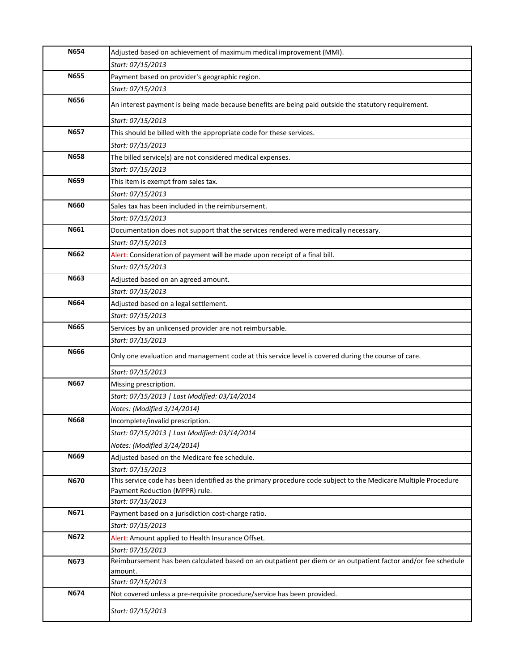| N654        | Adjusted based on achievement of maximum medical improvement (MMI).                                                                              |
|-------------|--------------------------------------------------------------------------------------------------------------------------------------------------|
|             | Start: 07/15/2013                                                                                                                                |
| <b>N655</b> | Payment based on provider's geographic region.                                                                                                   |
|             | Start: 07/15/2013                                                                                                                                |
| <b>N656</b> | An interest payment is being made because benefits are being paid outside the statutory requirement.                                             |
|             | Start: 07/15/2013                                                                                                                                |
| N657        | This should be billed with the appropriate code for these services.                                                                              |
|             | Start: 07/15/2013                                                                                                                                |
| <b>N658</b> | The billed service(s) are not considered medical expenses.                                                                                       |
|             | Start: 07/15/2013                                                                                                                                |
| N659        | This item is exempt from sales tax.                                                                                                              |
|             | Start: 07/15/2013                                                                                                                                |
| N660        | Sales tax has been included in the reimbursement.                                                                                                |
|             | Start: 07/15/2013                                                                                                                                |
| N661        | Documentation does not support that the services rendered were medically necessary.                                                              |
|             | Start: 07/15/2013                                                                                                                                |
| N662        | Alert: Consideration of payment will be made upon receipt of a final bill.                                                                       |
|             | Start: 07/15/2013                                                                                                                                |
| N663        | Adjusted based on an agreed amount.                                                                                                              |
|             | Start: 07/15/2013                                                                                                                                |
| N664        | Adjusted based on a legal settlement.                                                                                                            |
|             | Start: 07/15/2013                                                                                                                                |
| N665        | Services by an unlicensed provider are not reimbursable.                                                                                         |
|             | Start: 07/15/2013                                                                                                                                |
| N666        | Only one evaluation and management code at this service level is covered during the course of care.                                              |
|             | Start: 07/15/2013                                                                                                                                |
| N667        | Missing prescription.                                                                                                                            |
|             | Start: 07/15/2013   Last Modified: 03/14/2014                                                                                                    |
|             | Notes: (Modified 3/14/2014)                                                                                                                      |
| <b>N668</b> | Incomplete/invalid prescription.                                                                                                                 |
|             | Start: 07/15/2013   Last Modified: 03/14/2014                                                                                                    |
|             | Notes: (Modified 3/14/2014)                                                                                                                      |
| N669        | Adjusted based on the Medicare fee schedule.                                                                                                     |
|             | Start: 07/15/2013                                                                                                                                |
| N670        | This service code has been identified as the primary procedure code subject to the Medicare Multiple Procedure<br>Payment Reduction (MPPR) rule. |
|             | Start: 07/15/2013                                                                                                                                |
| N671        | Payment based on a jurisdiction cost-charge ratio.                                                                                               |
|             | Start: 07/15/2013                                                                                                                                |
| N672        | Alert: Amount applied to Health Insurance Offset.                                                                                                |
|             | Start: 07/15/2013                                                                                                                                |
| N673        | Reimbursement has been calculated based on an outpatient per diem or an outpatient factor and/or fee schedule                                    |
|             | amount.                                                                                                                                          |
|             | Start: 07/15/2013                                                                                                                                |
| N674        | Not covered unless a pre-requisite procedure/service has been provided.                                                                          |
|             | Start: 07/15/2013                                                                                                                                |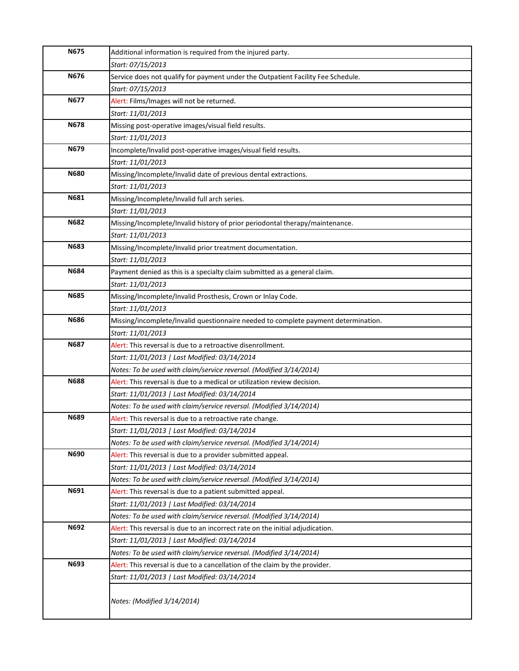| <b>N675</b> | Additional information is required from the injured party.                                                           |
|-------------|----------------------------------------------------------------------------------------------------------------------|
|             | Start: 07/15/2013                                                                                                    |
| N676        | Service does not qualify for payment under the Outpatient Facility Fee Schedule.                                     |
|             | Start: 07/15/2013                                                                                                    |
| <b>N677</b> | Alert: Films/Images will not be returned.                                                                            |
|             | Start: 11/01/2013                                                                                                    |
| <b>N678</b> | Missing post-operative images/visual field results.                                                                  |
|             | Start: 11/01/2013                                                                                                    |
| N679        | Incomplete/Invalid post-operative images/visual field results.                                                       |
|             | Start: 11/01/2013                                                                                                    |
| <b>N680</b> | Missing/Incomplete/Invalid date of previous dental extractions.                                                      |
|             | Start: 11/01/2013                                                                                                    |
| N681        | Missing/Incomplete/Invalid full arch series.                                                                         |
|             | Start: 11/01/2013                                                                                                    |
| N682        | Missing/Incomplete/Invalid history of prior periodontal therapy/maintenance.                                         |
|             | Start: 11/01/2013                                                                                                    |
| N683        | Missing/Incomplete/Invalid prior treatment documentation.                                                            |
|             | Start: 11/01/2013                                                                                                    |
| <b>N684</b> | Payment denied as this is a specialty claim submitted as a general claim.                                            |
|             | Start: 11/01/2013                                                                                                    |
| <b>N685</b> | Missing/Incomplete/Invalid Prosthesis, Crown or Inlay Code.                                                          |
|             | Start: 11/01/2013                                                                                                    |
| <b>N686</b> | Missing/incomplete/Invalid questionnaire needed to complete payment determination.                                   |
|             | Start: 11/01/2013                                                                                                    |
| N687        | Alert: This reversal is due to a retroactive disenrollment.                                                          |
|             | Start: 11/01/2013   Last Modified: 03/14/2014                                                                        |
| <b>N688</b> | Notes: To be used with claim/service reversal. (Modified 3/14/2014)                                                  |
|             | Alert: This reversal is due to a medical or utilization review decision.                                             |
|             | Start: 11/01/2013   Last Modified: 03/14/2014                                                                        |
| N689        | Notes: To be used with claim/service reversal. (Modified 3/14/2014)                                                  |
|             | Alert: This reversal is due to a retroactive rate change.                                                            |
|             | Start: 11/01/2013   Last Modified: 03/14/2014<br>Notes: To be used with claim/service reversal. (Modified 3/14/2014) |
| N690        | Alert: This reversal is due to a provider submitted appeal.                                                          |
|             | Start: 11/01/2013   Last Modified: 03/14/2014                                                                        |
|             | Notes: To be used with claim/service reversal. (Modified 3/14/2014)                                                  |
| N691        | Alert: This reversal is due to a patient submitted appeal.                                                           |
|             | Start: 11/01/2013   Last Modified: 03/14/2014                                                                        |
|             | Notes: To be used with claim/service reversal. (Modified 3/14/2014)                                                  |
| N692        | Alert: This reversal is due to an incorrect rate on the initial adjudication.                                        |
|             | Start: 11/01/2013   Last Modified: 03/14/2014                                                                        |
|             | Notes: To be used with claim/service reversal. (Modified 3/14/2014)                                                  |
| N693        | Alert: This reversal is due to a cancellation of the claim by the provider.                                          |
|             | Start: 11/01/2013   Last Modified: 03/14/2014                                                                        |
|             |                                                                                                                      |
|             | Notes: (Modified 3/14/2014)                                                                                          |
|             |                                                                                                                      |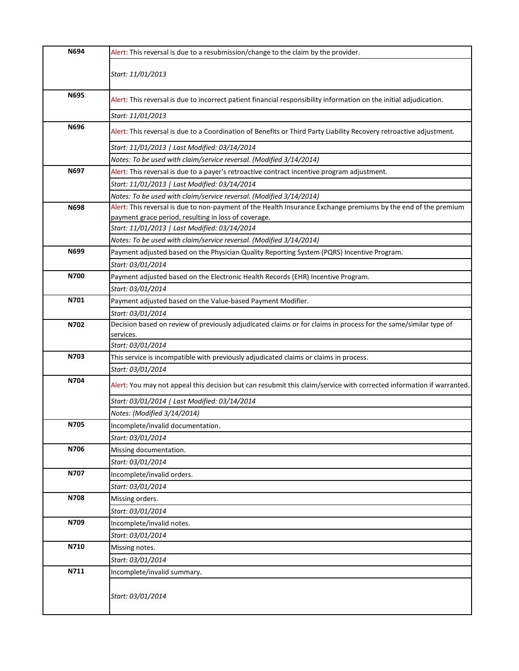| N694 | Alert: This reversal is due to a resubmission/change to the claim by the provider.                                   |
|------|----------------------------------------------------------------------------------------------------------------------|
|      | Start: 11/01/2013                                                                                                    |
| N695 | Alert: This reversal is due to incorrect patient financial responsibility information on the initial adjudication.   |
|      | Start: 11/01/2013                                                                                                    |
| N696 | Alert: This reversal is due to a Coordination of Benefits or Third Party Liability Recovery retroactive adjustment.  |
|      | Start: 11/01/2013   Last Modified: 03/14/2014                                                                        |
|      | Notes: To be used with claim/service reversal. (Modified 3/14/2014)                                                  |
| N697 | Alert: This reversal is due to a payer's retroactive contract incentive program adjustment.                          |
|      | Start: 11/01/2013   Last Modified: 03/14/2014                                                                        |
|      | Notes: To be used with claim/service reversal. (Modified 3/14/2014)                                                  |
| N698 | Alert: This reversal is due to non-payment of the Health Insurance Exchange premiums by the end of the premium       |
|      | payment grace period, resulting in loss of coverage.                                                                 |
|      | Start: 11/01/2013   Last Modified: 03/14/2014                                                                        |
|      | Notes: To be used with claim/service reversal. (Modified 3/14/2014)                                                  |
| N699 | Payment adjusted based on the Physician Quality Reporting System (PQRS) Incentive Program.                           |
|      | Start: 03/01/2014                                                                                                    |
| N700 | Payment adjusted based on the Electronic Health Records (EHR) Incentive Program.                                     |
|      | Start: 03/01/2014                                                                                                    |
| N701 | Payment adjusted based on the Value-based Payment Modifier.                                                          |
|      | Start: 03/01/2014                                                                                                    |
| N702 | Decision based on review of previously adjudicated claims or for claims in process for the same/similar type of      |
|      | services.                                                                                                            |
|      | Start: 03/01/2014                                                                                                    |
| N703 | This service is incompatible with previously adjudicated claims or claims in process.                                |
|      | Start: 03/01/2014                                                                                                    |
| N704 | Alert: You may not appeal this decision but can resubmit this claim/service with corrected information if warranted. |
|      | Start: 03/01/2014   Last Modified: 03/14/2014                                                                        |
|      | Notes: (Modified 3/14/2014)                                                                                          |
| N705 | Incomplete/invalid documentation.                                                                                    |
|      | Start: 03/01/2014                                                                                                    |
| N706 | Missing documentation.                                                                                               |
|      | Start: 03/01/2014                                                                                                    |
| N707 | Incomplete/invalid orders.                                                                                           |
|      | Start: 03/01/2014                                                                                                    |
| N708 | Missing orders.                                                                                                      |
|      | Start: 03/01/2014                                                                                                    |
| N709 | Incomplete/invalid notes.                                                                                            |
|      | Start: 03/01/2014                                                                                                    |
| N710 | Missing notes.                                                                                                       |
|      | Start: 03/01/2014                                                                                                    |
| N711 | Incomplete/invalid summary.                                                                                          |
|      |                                                                                                                      |
|      | Start: 03/01/2014                                                                                                    |
|      |                                                                                                                      |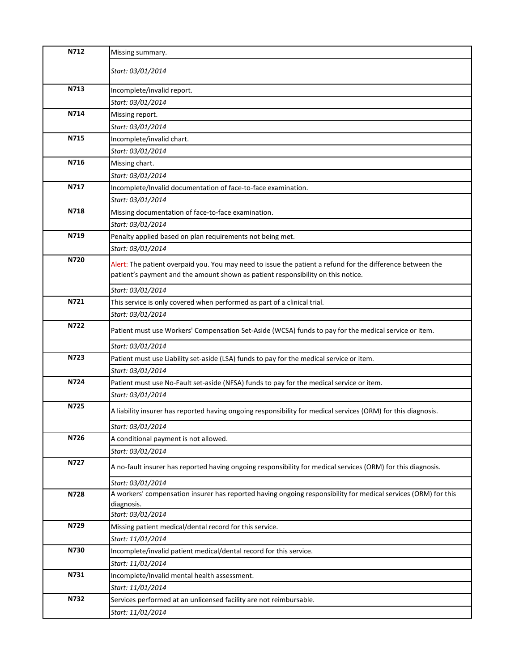| N712 | Missing summary.                                                                                               |
|------|----------------------------------------------------------------------------------------------------------------|
|      | Start: 03/01/2014                                                                                              |
|      |                                                                                                                |
| N713 | Incomplete/invalid report.                                                                                     |
|      | Start: 03/01/2014                                                                                              |
| N714 | Missing report.                                                                                                |
|      | Start: 03/01/2014                                                                                              |
| N715 | Incomplete/invalid chart.                                                                                      |
|      | Start: 03/01/2014                                                                                              |
| N716 | Missing chart.                                                                                                 |
|      | Start: 03/01/2014                                                                                              |
| N717 | Incomplete/Invalid documentation of face-to-face examination.                                                  |
|      | Start: 03/01/2014                                                                                              |
| N718 | Missing documentation of face-to-face examination.                                                             |
|      | Start: 03/01/2014                                                                                              |
| N719 | Penalty applied based on plan requirements not being met.                                                      |
|      | Start: 03/01/2014                                                                                              |
| N720 | Alert: The patient overpaid you. You may need to issue the patient a refund for the difference between the     |
|      | patient's payment and the amount shown as patient responsibility on this notice.                               |
|      | Start: 03/01/2014                                                                                              |
| N721 | This service is only covered when performed as part of a clinical trial.                                       |
|      | Start: 03/01/2014                                                                                              |
| N722 | Patient must use Workers' Compensation Set-Aside (WCSA) funds to pay for the medical service or item.          |
|      | Start: 03/01/2014                                                                                              |
| N723 | Patient must use Liability set-aside (LSA) funds to pay for the medical service or item.                       |
|      | Start: 03/01/2014                                                                                              |
| N724 | Patient must use No-Fault set-aside (NFSA) funds to pay for the medical service or item.                       |
|      | Start: 03/01/2014                                                                                              |
| N725 | A liability insurer has reported having ongoing responsibility for medical services (ORM) for this diagnosis.  |
|      | Start: 03/01/2014                                                                                              |
| N726 | A conditional payment is not allowed.                                                                          |
|      | Start: 03/01/2014                                                                                              |
| N727 | A no-fault insurer has reported having ongoing responsibility for medical services (ORM) for this diagnosis.   |
|      | Start: 03/01/2014                                                                                              |
| N728 | A workers' compensation insurer has reported having ongoing responsibility for medical services (ORM) for this |
|      | diagnosis.                                                                                                     |
|      | Start: 03/01/2014                                                                                              |
| N729 | Missing patient medical/dental record for this service.                                                        |
|      | Start: 11/01/2014                                                                                              |
| N730 | Incomplete/invalid patient medical/dental record for this service.                                             |
|      | Start: 11/01/2014                                                                                              |
| N731 | Incomplete/Invalid mental health assessment.                                                                   |
|      | Start: 11/01/2014                                                                                              |
| N732 | Services performed at an unlicensed facility are not reimbursable.                                             |
|      | Start: 11/01/2014                                                                                              |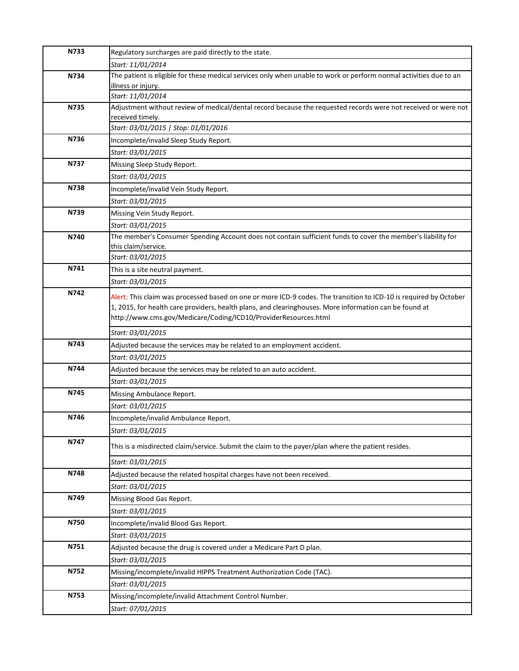| N733 | Regulatory surcharges are paid directly to the state.                                                                             |
|------|-----------------------------------------------------------------------------------------------------------------------------------|
|      | Start: 11/01/2014                                                                                                                 |
| N734 | The patient is eligible for these medical services only when unable to work or perform normal activities due to an                |
|      | illness or injury.                                                                                                                |
|      | Start: 11/01/2014                                                                                                                 |
| N735 | Adjustment without review of medical/dental record because the requested records were not received or were not                    |
|      | received timely.<br>Start: 03/01/2015   Stop: 01/01/2016                                                                          |
| N736 | Incomplete/invalid Sleep Study Report.                                                                                            |
|      | Start: 03/01/2015                                                                                                                 |
| N737 | Missing Sleep Study Report.                                                                                                       |
|      | Start: 03/01/2015                                                                                                                 |
| N738 |                                                                                                                                   |
|      | Incomplete/invalid Vein Study Report.                                                                                             |
| N739 | Start: 03/01/2015                                                                                                                 |
|      | Missing Vein Study Report.                                                                                                        |
| N740 | Start: 03/01/2015<br>The member's Consumer Spending Account does not contain sufficient funds to cover the member's liability for |
|      | this claim/service.                                                                                                               |
|      | Start: 03/01/2015                                                                                                                 |
| N741 | This is a site neutral payment.                                                                                                   |
|      | Start: 03/01/2015                                                                                                                 |
| N742 | Alert: This claim was processed based on one or more ICD-9 codes. The transition to ICD-10 is required by October                 |
|      | 1, 2015, for health care providers, health plans, and clearinghouses. More information can be found at                            |
|      | http://www.cms.gov/Medicare/Coding/ICD10/ProviderResources.html                                                                   |
|      | Start: 03/01/2015                                                                                                                 |
| N743 | Adjusted because the services may be related to an employment accident.                                                           |
|      | Start: 03/01/2015                                                                                                                 |
| N744 | Adjusted because the services may be related to an auto accident.                                                                 |
|      | Start: 03/01/2015                                                                                                                 |
| N745 | Missing Ambulance Report.                                                                                                         |
|      | Start: 03/01/2015                                                                                                                 |
| N746 | Incomplete/invalid Ambulance Report.                                                                                              |
|      | Start: 03/01/2015                                                                                                                 |
| N747 |                                                                                                                                   |
|      | This is a misdirected claim/service. Submit the claim to the payer/plan where the patient resides.                                |
|      | Start: 03/01/2015                                                                                                                 |
| N748 | Adjusted because the related hospital charges have not been received.                                                             |
|      | Start: 03/01/2015                                                                                                                 |
| N749 | Missing Blood Gas Report.                                                                                                         |
|      | Start: 03/01/2015                                                                                                                 |
| N750 | Incomplete/invalid Blood Gas Report.                                                                                              |
|      | Start: 03/01/2015                                                                                                                 |
| N751 | Adjusted because the drug is covered under a Medicare Part D plan.                                                                |
|      | Start: 03/01/2015                                                                                                                 |
| N752 | Missing/incomplete/invalid HIPPS Treatment Authorization Code (TAC).                                                              |
|      | Start: 03/01/2015                                                                                                                 |
| N753 | Missing/incomplete/invalid Attachment Control Number.                                                                             |
|      | Start: 07/01/2015                                                                                                                 |